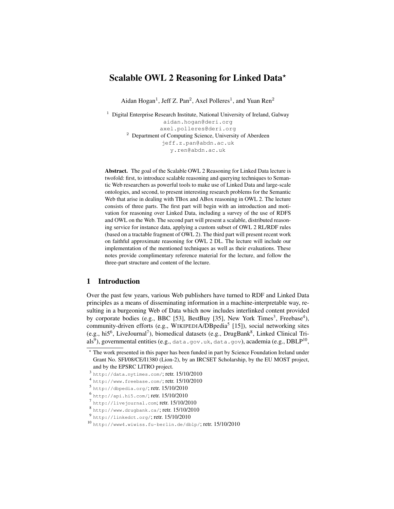# Scalable OWL 2 Reasoning for Linked Data\*

Aidan Hogan<sup>1</sup>, Jeff Z. Pan<sup>2</sup>, Axel Polleres<sup>1</sup>, and Yuan Ren<sup>2</sup>

<sup>1</sup> Digital Enterprise Research Institute, National University of Ireland, Galway aidan.hogan@deri.org axel.polleres@deri.org <sup>2</sup> Department of Computing Science, University of Aberdeen jeff.z.pan@abdn.ac.uk y.ren@abdn.ac.uk

Abstract. The goal of the Scalable OWL 2 Reasoning for Linked Data lecture is twofold: first, to introduce scalable reasoning and querying techniques to Semantic Web researchers as powerful tools to make use of Linked Data and large-scale ontologies, and second, to present interesting research problems for the Semantic Web that arise in dealing with TBox and ABox reasoning in OWL 2. The lecture consists of three parts. The first part will begin with an introduction and motivation for reasoning over Linked Data, including a survey of the use of RDFS and OWL on the Web. The second part will present a scalable, distributed reasoning service for instance data, applying a custom subset of OWL 2 RL/RDF rules (based on a tractable fragment of OWL 2). The third part will present recent work on faithful approximate reasoning for OWL 2 DL. The lecture will include our implementation of the mentioned techniques as well as their evaluations. These notes provide complimentary reference material for the lecture, and follow the three-part structure and content of the lecture.

# 1 Introduction

Over the past few years, various Web publishers have turned to RDF and Linked Data principles as a means of disseminating information in a machine-interpretable way, resulting in a burgeoning Web of Data which now includes interlinked content provided by corporate bodies (e.g., BBC [53], BestBuy [35], New York Times<sup>3</sup>, Freebase<sup>4</sup>), community-driven efforts (e.g., WIKIPEDIA/DBpedia<sup>5</sup> [15]), social networking sites (e.g., hi5<sup>6</sup>, LiveJournal<sup>7</sup>), biomedical datasets (e.g., DrugBank<sup>8</sup>, Linked Clinical Tri- ${\rm als}^9$ ), governmental entities (e.g., <code>data.gov.uk,</code> <code>data.gov</code>), <code>academia</code> (e.g., <code>DBLP $^{10}$ ,</code>

<sup>?</sup> The work presented in this paper has been funded in part by Science Foundation Ireland under Grant No. SFI/08/CE/I1380 (Lion-2), by an IRCSET Scholarship, by the EU MOST project, and by the EPSRC LITRO project.

 $^3$  http://data.nytimes.com/; retr. 15/10/2010

 $^4$  http://www.freebase.com/; retr. 15/10/2010

<sup>5</sup> http://dbpedia.org/; retr. 15/10/2010

<sup>6</sup> http://api.hi5.com/; retr. 15/10/2010

 $^7$  http://livejournal.com; retr. 15/10/2010

 $^8$  http://www.drugbank.ca/; retr. 15/10/2010

 $^9$  http://linkedct.org/; retr. 15/10/2010

<sup>10</sup> http://www4.wiwiss.fu-berlin.de/dblp/; retr. 15/10/2010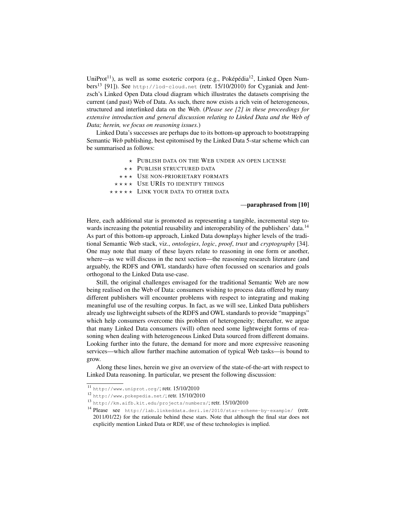UniProt<sup>11</sup>), as well as some esoteric corpora (e.g., Poképédia<sup>12</sup>, Linked Open Numbers<sup>13</sup> [91]). See http://lod-cloud.net (retr. 15/10/2010) for Cyganiak and Jentzsch's Linked Open Data cloud diagram which illustrates the datasets comprising the current (and past) Web of Data. As such, there now exists a rich vein of heterogeneous, structured and interlinked data on the Web. (*Please see [2] in these proceedings for extensive introduction and general discussion relating to Linked Data and the Web of Data; herein, we focus on reasoning issues.*)

Linked Data's successes are perhaps due to its bottom-up approach to bootstrapping Semantic *Web* publishing, best epitomised by the Linked Data 5-star scheme which can be summarised as follows:

- $\star$  PUBLISH DATA ON THE WEB UNDER AN OPEN LICENSE
- $\star\star$  PUBLISH STRUCTURED DATA
- \*\*\* USE NON-PRIORIETARY FORMATS
- \*\*\*\* USE URIS TO IDENTIFY THINGS
- ? ? ? ? ? LINK YOUR DATA TO OTHER DATA

### —paraphrased from [10]

Here, each additional star is promoted as representing a tangible, incremental step towards increasing the potential reusability and interoperability of the publishers' data.<sup>14</sup> As part of this bottom-up approach, Linked Data downplays higher levels of the traditional Semantic Web stack, viz., *ontologies*, *logic*, *proof*, *trust* and *cryptography* [34]. One may note that many of these layers relate to reasoning in one form or another, where—as we will discuss in the next section—the reasoning research literature (and arguably, the RDFS and OWL standards) have often focussed on scenarios and goals orthogonal to the Linked Data use-case.

Still, the original challenges envisaged for the traditional Semantic Web are now being realised on the Web of Data: consumers wishing to process data offered by many different publishers will encounter problems with respect to integrating and making meaningful use of the resulting corpus. In fact, as we will see, Linked Data publishers already use lightweight subsets of the RDFS and OWL standards to provide "mappings" which help consumers overcome this problem of heterogeneity; thereafter, we argue that many Linked Data consumers (will) often need some lightweight forms of reasoning when dealing with heterogeneous Linked Data sourced from different domains. Looking further into the future, the demand for more and more expressive reasoning services—which allow further machine automation of typical Web tasks—is bound to grow.

Along these lines, herein we give an overview of the state-of-the-art with respect to Linked Data reasoning. In particular, we present the following discussion:

<sup>11</sup> http://www.uniprot.org/; retr. 15/10/2010

<sup>12</sup> http://www.pokepedia.net/; retr. 15/10/2010

<sup>13</sup> http://km.aifb.kit.edu/projects/numbers/; retr. 15/10/2010

<sup>14</sup> Please see http://lab.linkeddata.deri.ie/2010/star-scheme-by-example/ (retr. 2011/01/22) for the rationale behind these stars. Note that although the final star does not explicitly mention Linked Data or RDF, use of these technologies is implied.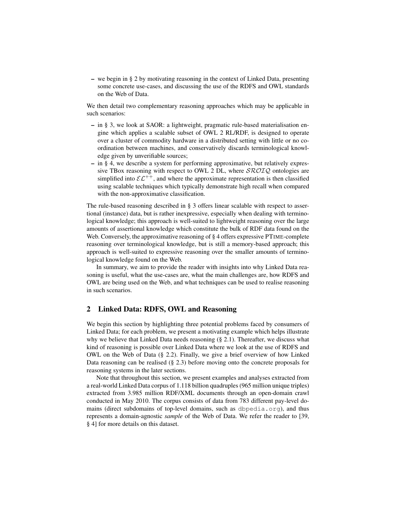– we begin in § 2 by motivating reasoning in the context of Linked Data, presenting some concrete use-cases, and discussing the use of the RDFS and OWL standards on the Web of Data.

We then detail two complementary reasoning approaches which may be applicable in such scenarios:

- in § 3, we look at SAOR: a lightweight, pragmatic rule-based materialisation engine which applies a scalable subset of OWL 2 RL/RDF, is designed to operate over a cluster of commodity hardware in a distributed setting with little or no coordination between machines, and conservatively discards terminological knowledge given by unverifiable sources;
- in § 4, we describe a system for performing approximative, but relatively expressive TBox reasoning with respect to OWL 2 DL, where  $\mathcal{SROLQ}$  ontologies are simplified into  $\mathcal{EL}^{++}$ , and where the approximate representation is then classified using scalable techniques which typically demonstrate high recall when compared with the non-approximative classification.

The rule-based reasoning described in § 3 offers linear scalable with respect to assertional (instance) data, but is rather inexpressive, especially when dealing with terminological knowledge; this approach is well-suited to lightweight reasoning over the large amounts of assertional knowledge which constitute the bulk of RDF data found on the Web. Conversely, the approximative reasoning of § 4 offers expressive PTIME-complete reasoning over terminological knowledge, but is still a memory-based approach; this approach is well-suited to expressive reasoning over the smaller amounts of terminological knowledge found on the Web.

In summary, we aim to provide the reader with insights into why Linked Data reasoning is useful, what the use-cases are, what the main challenges are, how RDFS and OWL are being used on the Web, and what techniques can be used to realise reasoning in such scenarios.

# 2 Linked Data: RDFS, OWL and Reasoning

We begin this section by highlighting three potential problems faced by consumers of Linked Data; for each problem, we present a motivating example which helps illustrate why we believe that Linked Data needs reasoning (§ 2.1). Thereafter, we discuss what kind of reasoning is possible over Linked Data where we look at the use of RDFS and OWL on the Web of Data (§ 2.2). Finally, we give a brief overview of how Linked Data reasoning can be realised  $(\S 2.3)$  before moving onto the concrete proposals for reasoning systems in the later sections.

Note that throughout this section, we present examples and analyses extracted from a real-world Linked Data corpus of 1.118 billion quadruples (965 million unique triples) extracted from 3.985 million RDF/XML documents through an open-domain crawl conducted in May 2010. The corpus consists of data from 783 different pay-level domains (direct subdomains of top-level domains, such as dbpedia.org), and thus represents a domain-agnostic *sample* of the Web of Data. We refer the reader to [39, § 4] for more details on this dataset.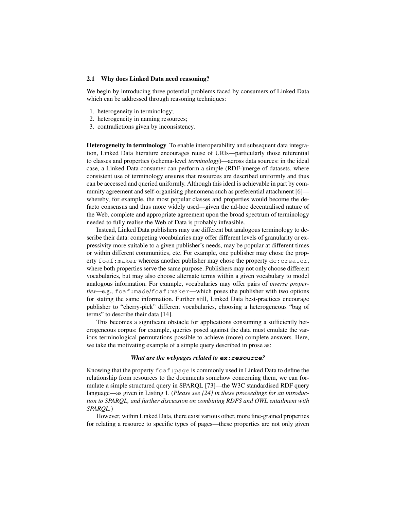#### 2.1 Why does Linked Data need reasoning?

We begin by introducing three potential problems faced by consumers of Linked Data which can be addressed through reasoning techniques:

- 1. heterogeneity in terminology;
- 2. heterogeneity in naming resources;
- 3. contradictions given by inconsistency.

Heterogeneity in terminology To enable interoperability and subsequent data integration, Linked Data literature encourages reuse of URIs—particularly those referential to classes and properties (schema-level *terminology*)—across data sources: in the ideal case, a Linked Data consumer can perform a simple (RDF-)merge of datasets, where consistent use of terminology ensures that resources are described uniformly and thus can be accessed and queried uniformly. Although this ideal is achievable in part by community agreement and self-organising phenomena such as preferential attachment [6] whereby, for example, the most popular classes and properties would become the defacto consensus and thus more widely used—given the ad-hoc decentralised nature of the Web, complete and appropriate agreement upon the broad spectrum of terminology needed to fully realise the Web of Data is probably infeasible.

Instead, Linked Data publishers may use different but analogous terminology to describe their data: competing vocabularies may offer different levels of granularity or expressivity more suitable to a given publisher's needs, may be popular at different times or within different communities, etc. For example, one publisher may chose the property foaf:maker whereas another publisher may chose the property dc:creator, where both properties serve the same purpose. Publishers may not only choose different vocabularies, but may also choose alternate terms within a given vocabulary to model analogous information. For example, vocabularies may offer pairs of *inverse properties*—e.g., foaf:made/foaf:maker—which poses the publisher with two options for stating the same information. Further still, Linked Data best-practices encourage publisher to "cherry-pick" different vocabularies, choosing a heterogeneous "bag of terms" to describe their data [14].

This becomes a significant obstacle for applications consuming a sufficiently heterogeneous corpus: for example, queries posed against the data must emulate the various terminological permutations possible to achieve (more) complete answers. Here, we take the motivating example of a simple query described in prose as:

#### *What are the webpages related to* **ex:resource***?*

Knowing that the property foaf:page is commonly used in Linked Data to define the relationship from resources to the documents somehow concerning them, we can formulate a simple structured query in SPARQL [73]—the W3C standardised RDF query language—as given in Listing 1. (*Please see [24] in these proceedings for an introduction to SPARQL, and further discussion on combining RDFS and OWL entailment with SPARQL.*)

However, within Linked Data, there exist various other, more fine-grained properties for relating a resource to specific types of pages—these properties are not only given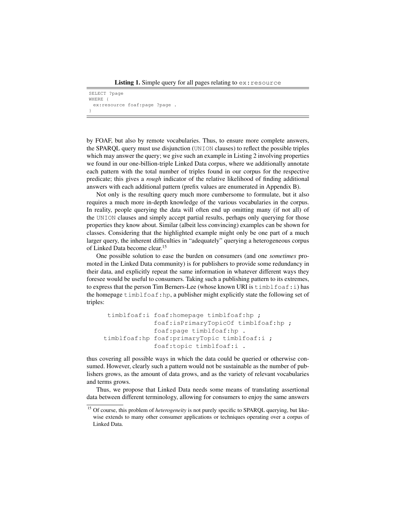**Listing 1.** Simple query for all pages relating to  $\mathsf{ex:}$  resource

SELECT ?page WHERE { ex:resource foaf:page ?page . }

by FOAF, but also by remote vocabularies. Thus, to ensure more complete answers, the SPARQL query must use disjunction (UNION clauses) to reflect the possible triples which may answer the query; we give such an example in Listing 2 involving properties we found in our one-billion-triple Linked Data corpus, where we additionally annotate each pattern with the total number of triples found in our corpus for the respective predicate; this gives a *rough* indicator of the relative likelihood of finding additional answers with each additional pattern (prefix values are enumerated in Appendix B).

Not only is the resulting query much more cumbersome to formulate, but it also requires a much more in-depth knowledge of the various vocabularies in the corpus. In reality, people querying the data will often end up omitting many (if not all) of the UNION clauses and simply accept partial results, perhaps only querying for those properties they know about. Similar (albeit less convincing) examples can be shown for classes. Considering that the highlighted example might only be one part of a much larger query, the inherent difficulties in "adequately" querying a heterogeneous corpus of Linked Data become clear.<sup>15</sup>

One possible solution to ease the burden on consumers (and one *sometimes* promoted in the Linked Data community) is for publishers to provide some redundancy in their data, and explicitly repeat the same information in whatever different ways they foresee would be useful to consumers. Taking such a publishing pattern to its extremes, to express that the person Tim Berners-Lee (whose known URI is  $t$  imblfoaf:i) has the homepage  $\text{timblfoaf:hp}$ , a publisher might explicitly state the following set of triples:

```
timblfoaf:i foaf:homepage timblfoaf:hp ;
             foaf:isPrimaryTopicOf timblfoaf:hp ;
             foaf:page timblfoaf:hp .
timblfoaf:hp foaf:primaryTopic timblfoaf:i ;
             foaf:topic timblfoaf:i .
```
thus covering all possible ways in which the data could be queried or otherwise consumed. However, clearly such a pattern would not be sustainable as the number of publishers grows, as the amount of data grows, and as the variety of relevant vocabularies and terms grows.

Thus, we propose that Linked Data needs some means of translating assertional data between different terminology, allowing for consumers to enjoy the same answers

<sup>&</sup>lt;sup>15</sup> Of course, this problem of *heterogeneity* is not purely specific to SPARQL querying, but likewise extends to many other consumer applications or techniques operating over a corpus of Linked Data.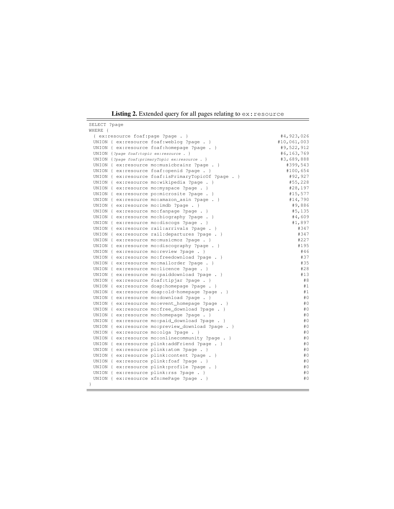Listing 2. Extended query for all pages relating to ex: resource

| SELECT ?page<br>WHERE {                             |             |
|-----------------------------------------------------|-------------|
| { ex:resource foaf:page ?page . }                   | #4,923,026  |
| UNION { ex:resource foaf:weblog ?page . }           | #10,061,003 |
| UNION { ex: resource foaf: homepage ?page . }       | #9,522,912  |
| UNION { ?page foaf:topic ex:resource . }            | #6,163,769  |
| UNION { ?page foaf: primaryTopic ex: resource . }   |             |
|                                                     | #3,689,888  |
| UNION { ex: resource mo: musicbrainz ?page . }      | #399,543    |
| UNION { ex:resource foaf:openid ?page . }           | #100,654    |
| UNION { ex:resource foaf:isPrimaryTopicOf ?paqe . } | #92,927     |
| UNION { ex: resource mo: wikipedia ?page . }        | #55,228     |
| UNION { ex: resource mo: myspace ? page . }         | #28,197     |
| UNION { ex: resource po: microsite ?page . }        | #15,577     |
| UNION { ex: resource mo: amazon_asin ?page . }      | #14,790     |
| UNION { ex: resource mo: imdb ?page . }             | #9,886      |
| UNION { ex:resource mo:fanpage ?page . }            | #5, 135     |
| UNION { ex: resource mo: biography ?page . }        | #4,609      |
| UNION { ex: resource mo: discogs ? page . }         | #1,897      |
| UNION { ex:resource rail:arrivals ?page . }         | #347        |
| UNION { ex: resource rail: departures ?page . }     | #347        |
| UNION { ex:resource mo:musicmoz ?page . }           | #227        |
| UNION { ex: resource mo: discography ?page . }      | #195        |
| UNION { ex: resource mo: review ? page . }          | #46         |
| UNION { ex: resource mo: freedownload ?page . }     | #37         |
| UNION { ex: resource mo: mailorder ?page . }        | #35         |
| UNION { ex: resource mo: licence ?page . }          | #28         |
| UNION { ex: resource mo: paiddownload ? page . }    | #13         |
| UNION { ex:resource foaf:tipjar ?page . }           | #8          |
| UNION { ex:resource doap:homepage ?page . }         | #1          |
| UNION { ex: resource doap: old-homepage ?page . }   | #1          |
| UNION { ex: resource mo: download ?page . }         | #0          |
| UNION { ex: resource mo: event_homepage ?page . }   | #0          |
| UNION { ex: resource mo: free_download ?page . }    | #0          |
| UNION { ex:resource mo:homepage ?page . }           | #0          |
| UNION { ex: resource mo: paid_download ? page . }   | #0          |
| UNION { ex:resource mo:preview_download ?page . }   | #0          |
| UNION { ex: resource mo: olga ?page . }             | #0          |
| UNION { ex:resource mo:onlinecommunity ?page . }    | #0          |
| UNION { ex: resource plink: addFriend ?page . }     | #0          |
| UNION { ex: resource plink: atom ? page . }         | #0          |
| UNION { ex: resource plink: content ?page . }       | #0          |
| UNION { ex:resource plink:foaf ?page . }            | #0          |
| UNION { ex:resource plink: profile ?page . }        | #0          |
| UNION { ex: resource plink: rss ? page . }          | #0          |
| UNION { ex: resource xfn: mePage ?page . }          | #0          |
|                                                     |             |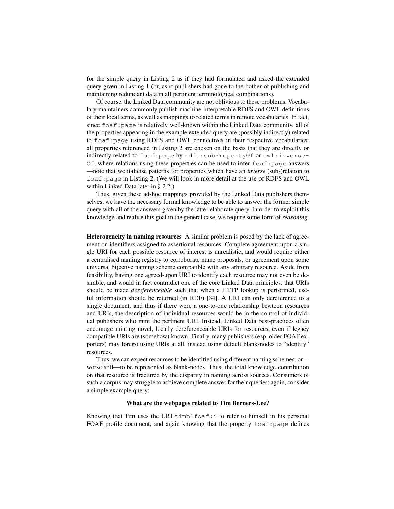for the simple query in Listing 2 as if they had formulated and asked the extended query given in Listing 1 (or, as if publishers had gone to the bother of publishing and maintaining redundant data in all pertinent terminological combinations).

Of course, the Linked Data community are not oblivious to these problems. Vocabulary maintainers commonly publish machine-interpretable RDFS and OWL definitions of their local terms, as well as mappings to related terms in remote vocabularies. In fact, since  $f \circ af :paq \in$  is relatively well-known within the Linked Data community, all of the properties appearing in the example extended query are (possibly indirectly) related to foaf:page using RDFS and OWL connectives in their respective vocabularies: all properties referenced in Listing 2 are chosen on the basis that they are directly or indirectly related to foaf:page by rdfs:subPropertyOf or owl:inverse-Of, where relations using these properties can be used to infer  $f$ oaf:page answers —note that we italicise patterns for properties which have an *inverse* (sub-)relation to foaf:page in Listing 2. (We will look in more detail at the use of RDFS and OWL within Linked Data later in § 2.2.)

Thus, given these ad-hoc mappings provided by the Linked Data publishers themselves, we have the necessary formal knowledge to be able to answer the former simple query with all of the answers given by the latter elaborate query. In order to exploit this knowledge and realise this goal in the general case, we require some form of *reasoning*.

Heterogeneity in naming resources A similar problem is posed by the lack of agreement on identifiers assigned to assertional resources. Complete agreement upon a single URI for each possible resource of interest is unrealistic, and would require either a centralised naming registry to corroborate name proposals, or agreement upon some universal bijective naming scheme compatible with any arbitrary resource. Aside from feasibility, having one agreed-upon URI to identify each resource may not even be desirable, and would in fact contradict one of the core Linked Data principles: that URIs should be made *dereferenceable* such that when a HTTP lookup is performed, useful information should be returned (in RDF) [34]. A URI can only dereference to a single document, and thus if there were a one-to-one relationship bewteen resources and URIs, the description of individual resources would be in the control of individual publishers who mint the pertinent URI. Instead, Linked Data best-practices often encourage minting novel, locally dereferenceable URIs for resources, even if legacy compatible URIs are (somehow) known. Finally, many publishers (esp. older FOAF exporters) may forego using URIs at all, instead using default blank-nodes to "identify" resources.

Thus, we can expect resources to be identified using different naming schemes, or worse still—to be represented as blank-nodes. Thus, the total knowledge contribution on that resource is fractured by the disparity in naming across sources. Consumers of such a corpus may struggle to achieve complete answer for their queries; again, consider a simple example query:

### What are the webpages related to Tim Berners-Lee?

Knowing that Tim uses the URI  $\text{timblfoaf}:i$  to refer to himself in his personal FOAF profile document, and again knowing that the property foaf: page defines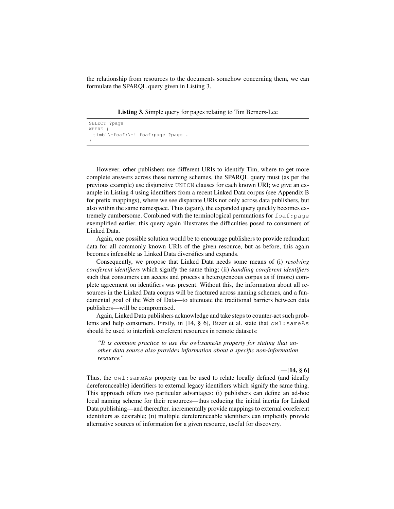the relationship from resources to the documents somehow concerning them, we can formulate the SPARQL query given in Listing 3.

Listing 3. Simple query for pages relating to Tim Berners-Lee

```
SELECT ?page
WHERE {
 timbl\-foaf:\-i foaf:page ?page .
}
```
However, other publishers use different URIs to identify Tim, where to get more complete answers across these naming schemes, the SPARQL query must (as per the previous example) use disjunctive UNION clauses for each known URI; we give an example in Listing 4 using identifiers from a recent Linked Data corpus (see Appendix B for prefix mappings), where we see disparate URIs not only across data publishers, but also within the same namespace. Thus (again), the expanded query quickly becomes extremely cumbersome. Combined with the terminological permuations for foaf: page exemplified earlier, this query again illustrates the difficulties posed to consumers of Linked Data.

Again, one possible solution would be to encourage publishers to provide redundant data for all commonly known URIs of the given resource, but as before, this again becomes infeasible as Linked Data diversifies and expands.

Consequently, we propose that Linked Data needs some means of (i) *resolving coreferent identifiers* which signify the same thing; (ii) *handling coreferent identifiers* such that consumers can access and process a heterogeneous corpus as if (more) complete agreement on identifiers was present. Without this, the information about all resources in the Linked Data corpus will be fractured across naming schemes, and a fundamental goal of the Web of Data—to attenuate the traditional barriers between data publishers—will be compromised.

Again, Linked Data publishers acknowledge and take steps to counter-act such problems and help consumers. Firstly, in [14,  $\S$  6], Bizer et al. state that  $\circ \text{wt}$ : sameAs should be used to interlink coreferent resources in remote datasets:

*"It is common practice to use the owl:sameAs property for stating that another data source also provides information about a specific non-information resource."*

# $-$ [14, § 6]

Thus, the  $\text{owl:}\text{sameAs}$  property can be used to relate locally defined (and ideally dereferenceable) identifiers to external legacy identifiers which signify the same thing. This approach offers two particular advantages: (i) publishers can define an ad-hoc local naming scheme for their resources—thus reducing the initial inertia for Linked Data publishing—and thereafter, incrementally provide mappings to external coreferent identifiers as desirable; (ii) multiple dereferenceable identifiers can implicitly provide alternative sources of information for a given resource, useful for discovery.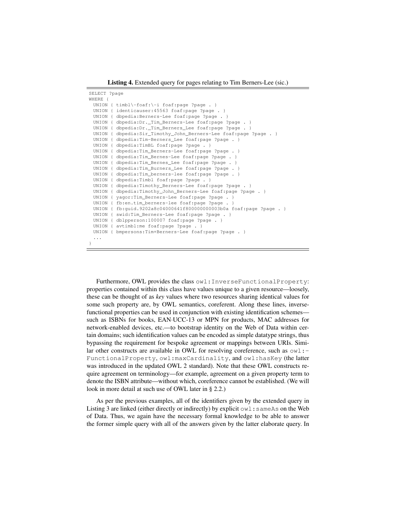Listing 4. Extended query for pages relating to Tim Berners-Lee (sic.)

| SELECT ?page |                                                                              |
|--------------|------------------------------------------------------------------------------|
| WHERE {      |                                                                              |
|              | UNION { $\text{timbl}\text{-foaf:}\text{-i foaf:}\text{page }?\text{page }.$ |
|              | UNION { identicauser: 45563 foaf: page ? page . }                            |
| UNION {      | dbpedia:Berners-Lee foaf:page ?page . }                                      |
| UNION {      | dbpedia:Dr. Tim Berners-Lee foaf:page ?page . }                              |
| UNION {      | dbpedia:Dr._Tim_Berners_Lee foaf:page ?page . }                              |
| UNION {      | dbpedia:Sir_Timothy_John_Berners-Lee foaf:page ?page . }                     |
| UNION {      | dbpedia:Tim-Berners_Lee foaf:page ?page . }                                  |
| UNION {      | dbpedia:TimBL foaf:page ?page . }                                            |
| UNION {      | dbpedia: Tim Berners-Lee foaf: page ? page . }                               |
|              | UNION { dbpedia: Tim_Bernes-Lee foaf: page ? page . }                        |
| UNION {      | dbpedia: Tim Bernes Lee foaf: page ? page . }                                |
| UNION {      | dbpedia:Tim_Burners_Lee foaf:page ?page . }                                  |
| UNION {      | dbpedia: Tim_berners-lee foaf: page ? page . }                               |
| UNION {      | dbpedia: Timbl foaf: page ? page . $\}$                                      |
| UNION {      | dbpedia:Timothy_Berners-Lee foaf:page ?page . }                              |
| UNION        | dbpedia:Timothy_John_Berners-Lee foaf:page ?page . }                         |
| UNION {      | yagor:Tim_Berners-Lee foaf:page ?page . }                                    |
| UNION {      | fb:en.tim berners-lee foaf:page ?page. }                                     |
| UNION {      | $fb:$ quid.9202a8c04000641f800000000003b0a foaf:paqe ?paqe . }               |
| UNION {      | swid:Tim_Berners-Lee foaf:page ?page . }                                     |
| UNION {      | dblpperson:100007 foaf:page ?page . }                                        |
| UNION {      | avtimbl:me foaf:page ?page . }                                               |
|              | UNION { bmpersons: Tim+Berners-Lee foaf: page ? page . }                     |
| .            |                                                                              |
| <sup>}</sup> |                                                                              |

Furthermore, OWL provides the class  $\text{owl:InvesterunctionalProperty:}$ properties contained within this class have values unique to a given resource—loosely, these can be thought of as *key* values where two resources sharing identical values for some such property are, by OWL semantics, coreferent. Along these lines, inversefunctional properties can be used in conjunction with existing identification schemes such as ISBNs for books, EAN·UCC-13 or MPN for products, MAC addresses for network-enabled devices, etc.—to bootstrap identity on the Web of Data within certain domains; such identification values can be encoded as simple datatype strings, thus bypassing the requirement for bespoke agreement or mappings between URIs. Similar other constructs are available in OWL for resolving coreference, such as  $\circ \text{wt}$ : FunctionalProperty, owl:maxCardinality, and owl:hasKey (the latter was introduced in the updated OWL 2 standard). Note that these OWL constructs require agreement on terminology—for example, agreement on a given property term to denote the ISBN attribute—without which, coreference cannot be established. (We will look in more detail at such use of OWL later in § 2.2.)

As per the previous examples, all of the identifiers given by the extended query in Listing 3 are linked (either directly or indirectly) by explicit  $\circ \text{wl}: \text{sameAs on the Web}$ of Data. Thus, we again have the necessary formal knowledge to be able to answer the former simple query with all of the answers given by the latter elaborate query. In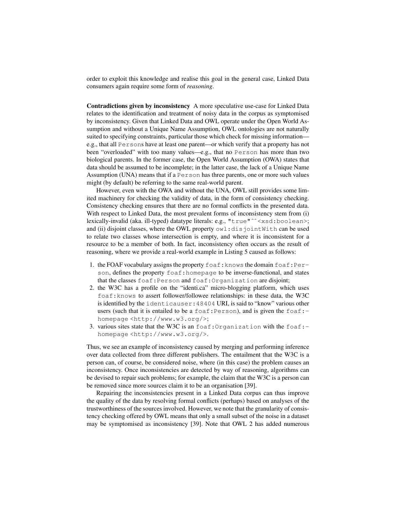order to exploit this knowledge and realise this goal in the general case, Linked Data consumers again require some form of *reasoning*.

Contradictions given by inconsistency A more speculative use-case for Linked Data relates to the identification and treatment of noisy data in the corpus as symptomised by inconsistency. Given that Linked Data and OWL operate under the Open World Assumption and without a Unique Name Assumption, OWL ontologies are not naturally suited to specifying constraints, particular those which check for missing information e.g., that all Persons have at least one parent—or which verify that a property has not been "overloaded" with too many values—e.g., that no Person has more than two biological parents. In the former case, the Open World Assumption (OWA) states that data should be assumed to be incomplete; in the latter case, the lack of a Unique Name Assumption (UNA) means that if a Person has three parents, one or more such values might (by default) be referring to the same real-world parent.

However, even with the OWA and without the UNA, OWL still provides some limited machinery for checking the validity of data, in the form of consistency checking. Consistency checking ensures that there are no formal conflicts in the presented data. With respect to Linked Data, the most prevalent forms of inconsistency stem from (i) lexically-invalid (aka. ill-typed) datatype literals: e.g., "true"ˆˆ<xsd:boolean>; and (ii) disjoint classes, where the OWL property  $\text{owl:}\text{disjointWith}$  can be used to relate two classes whose intersection is empty, and where it is inconsistent for a resource to be a member of both. In fact, inconsistency often occurs as the result of reasoning, where we provide a real-world example in Listing 5 caused as follows:

- 1. the FOAF vocabulary assigns the property foaf:knows the domain foaf:Person, defines the property foaf:homepage to be inverse-functional, and states that the classes foaf:Person and foaf:Organization are disjoint;
- 2. the W3C has a profile on the "identi.ca" micro-blogging platform, which uses foaf:knows to assert follower/followee relationships: in these data, the W3C is identified by the identicauser:48404 URI, is said to "know" various other users (such that it is entailed to be a foaf:Person), and is given the foaf: homepage <http://www.w3.org/>;
- 3. various sites state that the W3C is an foaf:Organization with the foaf: $$ homepage <http://www.w3.org/>.

Thus, we see an example of inconsistency caused by merging and performing inference over data collected from three different publishers. The entailment that the W3C is a person can, of course, be considered noise, where (in this case) the problem causes an inconsistency. Once inconsistencies are detected by way of reasoning, algorithms can be devised to repair such problems; for example, the claim that the W3C is a person can be removed since more sources claim it to be an organisation [39].

Repairing the inconsistencies present in a Linked Data corpus can thus improve the quality of the data by resolving formal conflicts (perhaps) based on analyses of the trustworthiness of the sources involved. However, we note that the granularity of consistency checking offered by OWL means that only a small subset of the noise in a dataset may be symptomised as inconsistency [39]. Note that OWL 2 has added numerous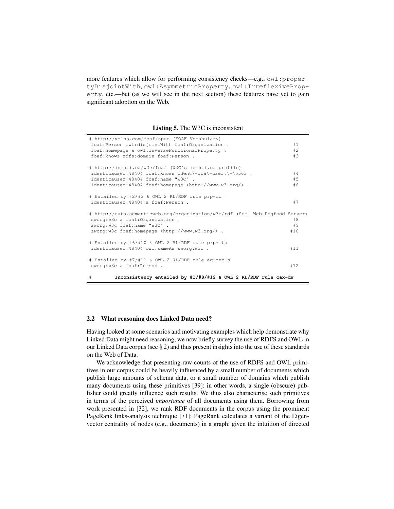more features which allow for performing consistency checks—e.g., owl:propertyDisjointWith, owl:AsymmetricProperty, owl:IrreflexiveProperty, etc.—but (as we will see in the next section) these features have yet to gain significant adoption on the Web.

| <b>Listing 5.</b> The W3C is inconsistent |  |  |
|-------------------------------------------|--|--|
|-------------------------------------------|--|--|

|   | # http://xmlns.com/foaf/spec (FOAF Vocabulary)                               |     |
|---|------------------------------------------------------------------------------|-----|
|   | foaf: Person owl: disjointWith foaf: Organization .                          | #1  |
|   | foaf: homepage a owl: InverseFunctionalProperty.                             | #2  |
|   | foaf: knows rdfs: domain foaf: Person.                                       | #3  |
|   | # http://identi.ca/w3c/foaf (W3C's identi.ca profile)                        |     |
|   | identicauser: 48404 foaf: knows ident\-ica\-user: \-45563.                   | #4  |
|   | identicauser: 48404 foaf: name "W3C".                                        | #5  |
|   | identicauser: 48404 foaf: homepage <http: www.w3.org=""></http:> .           | #6  |
|   |                                                                              |     |
|   | # Entailed by #2/#3 & OWL 2 RL/RDF rule prp-dom                              |     |
|   | identicauser: 48404 a foaf: Person.                                          | #7  |
|   |                                                                              |     |
|   | # http://data.semanticweb.org/organization/w3c/rdf (Sem. Web Dogfood Server) |     |
|   | sworg: w3c a foaf: Organization .                                            | #8  |
|   | sworq:w3c foaf:name "W3C".                                                   | #9  |
|   | sworg:w3c foaf:homepage <http: www.w3.org=""></http:> .                      | #10 |
|   |                                                                              |     |
|   | # Entailed by #6/#10 & OWL 2 RL/RDF rule prp-ifp                             |     |
|   | identicauser: 48404 owl: sameAs sworg: w3c .                                 | #11 |
|   | # Entailed by #7/#11 & OWL 2 RL/RDF rule eq-rep-s                            |     |
|   | sworg:w3c a foaf:Person.                                                     | #12 |
|   |                                                                              |     |
| # | Inconsistency entailed by #1/#8/#12 & OWL 2 RL/RDF rule cax-dw               |     |
|   |                                                                              |     |

#### 2.2 What reasoning does Linked Data need?

Having looked at some scenarios and motivating examples which help demonstrate why Linked Data might need reasoning, we now briefly survey the use of RDFS and OWL in our Linked Data corpus (see § 2) and thus present insights into the use of these standards on the Web of Data.

We acknowledge that presenting raw counts of the use of RDFS and OWL primitives in our corpus could be heavily influenced by a small number of documents which publish large amounts of schema data, or a small number of domains which publish many documents using these primitives [39]: in other words, a single (obscure) publisher could greatly influence such results. We thus also characterise such primitives in terms of the perceived *importance* of all documents using them. Borrowing from work presented in [32], we rank RDF documents in the corpus using the prominent PageRank links-analysis technique [71]: PageRank calculates a variant of the Eigenvector centrality of nodes (e.g., documents) in a graph: given the intuition of directed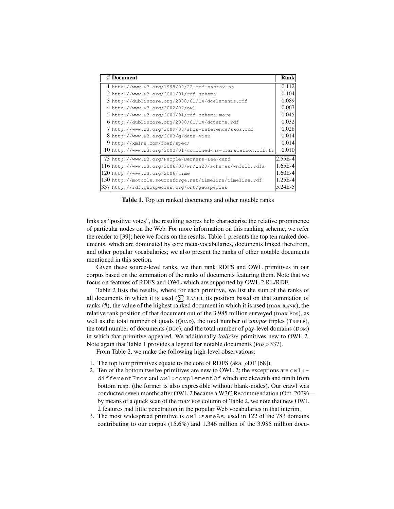| # Document                                                  | Rank    |
|-------------------------------------------------------------|---------|
| $1$  http://www.w3.org/1999/02/22-rdf-syntax-ns             | 0.112   |
| $2$  http://www.w3.org/2000/01/rdf-schema                   | 0.104   |
| $3$  http://dublincore.org/2008/01/14/dcelements.rdf        | 0.089   |
| $4$  http://www.w3.org/2002/07/owl                          | 0.067   |
| $5$  http://www.w3.org/2000/01/rdf-schema-more              | 0.045   |
| $6$  http://dublincore.org/2008/01/14/dcterms.rdf           | 0.032   |
| 7 http://www.w3.org/2009/08/skos-reference/skos.rdf         | 0.028   |
| $8$  http://www.w3.org/2003/g/data-view                     | 0.014   |
| 9http://xmlns.com/foaf/spec/                                | 0.014   |
| 10 http://www.w3.org/2000/01/combined-ns-translation.rdf.fr | 0.010   |
| 73 http://www.w3.org/People/Berners-Lee/card                | 2.55E-4 |
| 116 http://www.w3.org/2006/03/wn/wn20/schemas/wnfull.rdfs   | 1.65E-4 |
| $120$  http://www.w3.org/2006/time                          | 1.60E-4 |
| 150 http://motools.sourceforge.net/timeline/timeline.rdf    | 1.25E-4 |
| 337 http://rdf.geospecies.org/ont/geospecies                | 5.24E-5 |

Table 1. Top ten ranked documents and other notable ranks

links as "positive votes", the resulting scores help characterise the relative prominence of particular nodes on the Web. For more information on this ranking scheme, we refer the reader to [39]; here we focus on the results. Table 1 presents the top ten ranked documents, which are dominated by core meta-vocabularies, documents linked therefrom, and other popular vocabularies; we also present the ranks of other notable documents mentioned in this section.

Given these source-level ranks, we then rank RDFS and OWL primitives in our corpus based on the summation of the ranks of documents featuring them. Note that we focus on features of RDFS and OWL which are supported by OWL 2 RL/RDF.

Table 2 lists the results, where for each primitive, we list the sum of the ranks of all documents in which it is used  $(\sum R_{\text{ANK}})$ , its position based on that summation of ranks (#), the value of the highest ranked document in which it is used (max RANK), the relative rank position of that document out of the 3.985 million surveyed (max Pos), as well as the total number of quads (QUAD), the total number of *unique* triples (TRIPLE), the total number of documents (DOC), and the total number of pay-level domains (DOM) in which that primitive appeared. We additionally *italicise* primitives new to OWL 2. Note again that Table 1 provides a legend for notable documents ( $Pos > 337$ ).

From Table 2, we make the following high-level observations:

- 1. The top four primitives equate to the core of RDFS (aka.  $\rho$ DF [68]).
- 2. Ten of the bottom twelve primitives are new to OWL 2; the exceptions are  $\text{ow1:}$ differentFrom and owl:complementOf which are eleventh and ninth from bottom resp. (the former is also expressible without blank-nodes). Our crawl was conducted seven months after OWL 2 became a W3C Recommendation (Oct. 2009)by means of a quick scan of the max POS column of Table 2, we note that new OWL 2 features had little penetration in the popular Web vocabularies in that interim.
- 3. The most widespread primitive is  $\text{owl}:$  same As, used in 122 of the 783 domains contributing to our corpus (15.6%) and 1.346 million of the 3.985 million docu-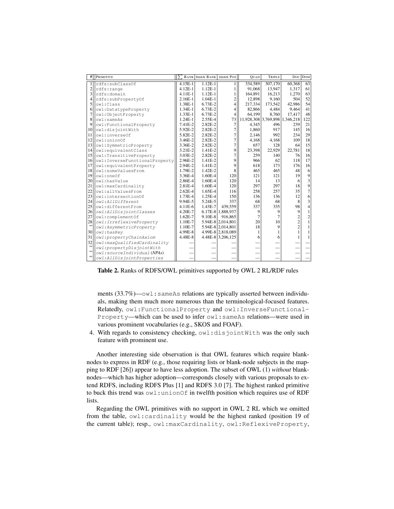| #               | PRIMITIVE                     |             | RANK max RANK max Pos |                   | <b>QUAD</b>                    | TRIPLE  |                | Doc Dom         |
|-----------------|-------------------------------|-------------|-----------------------|-------------------|--------------------------------|---------|----------------|-----------------|
| 1 <sup>1</sup>  | rdfs:subClassOf               | $4.15E-1$   | $1.12E-1$             |                   | 334.589                        | 307,170 | 60,368         | $\overline{63}$ |
| $\overline{2}$  | rdfs:range                    | $4.12E-1$   | $1.12E-1$             |                   | 91.068                         | 13.947  | 1.317          | 61              |
| $\frac{3}{ }$   | rdfs:domain                   | $4.11E-1$   | $1.12E-1$             |                   | 164,891                        | 16,213  | 1,270          | 63              |
| 4 <sup>1</sup>  | rdfs:subPropertyOf            | $2.16E-1$   | $1.04E-1$             | $\overline{2}$    | 12,898                         | 9,160   | 504            | 52              |
| 5               | owl:Class                     | 1.38E-1     | 6.73E-2               | 4                 | 217,334                        | 173,542 | 42,986         | 54              |
| 6 <sup>1</sup>  | owl:DatatypeProperty          | $1.34E-1$   | 6.73E-2               | 4                 | 82.866                         | 4.484   | 9.464          | 41              |
| $\overline{7}$  | owl:ObjectProperty            | 1.33E-1     | 6.73E-2               | 4                 | 64.199                         | 8,760   | 17,417         | 48              |
| 8 <sup>1</sup>  | owl:sameAs                    | 1.24E-1     | 2.55E-4               | 73                | 11,928,308 3,769,898 1,346,218 |         |                | 122             |
| 9               | owl:FunctionalProperty        | 7.41E-2     | 2.82E-2               | 7                 | 4,345                          | 496     | 239            | 21              |
| 10 <sup>1</sup> | owl:disjointWith              | 5.92E-2     | 2.82E-2               | 7                 | 1,860                          | 917     | 145            | 16              |
| 11              | owl:inverseOf                 | 5.82E-2     | 2.82E-2               | 7                 | 2,146                          | 992     | 234            | 29              |
| 12              | owl:unionOf                   | 3.46E-2     | 2.82E-2               | 7                 | 4,168                          | 4,168   | 109            | 18              |
| 13 <sup>1</sup> | owl:SymmetricProperty         | 3.36E-2     | 2.82E-2               | $\overline{7}$    | 657                            | 128     | 64             | 15              |
| 14              | owl:equivalentClass           | 3.21E-2     | 1.41E-2               | 9                 | 23,398                         | 22.929  | 22,781         | 18              |
| 15 <sup>1</sup> | owl:TransitiveProperty        | $3.03E-2$   | 2.82E-2               | $\overline{7}$    | 259                            | 140     | 76             | 16              |
| 16              | owl:InverseFunctionalProperty | 2.96E-2     | 1.41E-2               | 9                 | 966                            | 62      | 118            | 17              |
| 17 <sup>1</sup> | owl:equivalentProperty        | 2.94E-2     | 1.41E-2               | 9                 | 618                            | 173     | 176            | 16              |
| 18 <sup>1</sup> | owl:someValuesFrom            | 1.79E-2     | $1.42E - 2$           | 8                 | 465                            | 465     | 48             | 6               |
| 19 <sup>1</sup> | owl:oneOf                     | 3.36E-4     | 1.60E-4               | 120               | 121                            | 121     | 19             | 9               |
| 20 <sup>1</sup> | owl:hasValue                  | 2.86E-4     | 1.60E-4               | 120               | 14                             | 13      | 6              | 3               |
| 21              | owl:maxCardinality            | $2.81E - 4$ | 1.60E-4               | 120               | 297                            | 297     | 18             | 9               |
| 22              | owl:allValuesFrom             | $2.62E - 4$ | 1.65E-4               | 116               | 258                            | 257     | 35             | $\overline{7}$  |
| 23              | owl:intersectionOf            | 1.73E-4     | 1.25E-4               | 150               | 136                            | 136     | 12             | 6               |
| 24              | owl:AllDifferent              | 9.94E-5     | 5.24E-5               | 337               | 68                             | 68      | 8              | 3               |
| 25              | owl:differentFrom             | $4.11E-6$   | $1.43E-7$             | 439,559           | 337                            | 335     | 98             | $\overline{4}$  |
| 26              | owl:AllDisjointClasses        | 4.20E-7     |                       | 6.17E-8 1,888,937 | 9                              | 9       | 9              | $\mathbf{1}$    |
| 27              | owl:complementOf              | $1.62E - 7$ | 9.10E-8               | 916,865           | $\overline{7}$                 | 7       | $\overline{2}$ | $\frac{2}{1}$   |
| 28              | owl:IrreflexiveProperty       | 1.10E-7     |                       | 5.94E-8 2,014,801 | 20                             | 10      | $\overline{c}$ |                 |
| 1111            | owl:AsymmetricProperty        | 1.10E-7     |                       | 5.94E-8 2,014,801 | 18                             | 9       | $\overline{c}$ | $\mathbf{1}$    |
| 30              | owl:hasKey                    | 4.99E-8     |                       | 4.99E-8 2,818,089 | 1                              |         | 1              | $\mathbf{1}$    |
| 31              | owl: propertyChainAxiom       | $4.48E - 8$ |                       | 4.48E-8 3,206,125 | 6                              | 6       | 1              | $\mathbf{1}$    |
| 32              | owl:maxQualifiedCardinality   |             |                       |                   |                                |         |                |                 |
| 1111            | owl:propertyDisjointWith      |             |                       |                   |                                |         |                |                 |
| 1111            | owl:sourceIndividual(NPAs)    |             |                       |                   |                                |         |                |                 |
| ,,,,            | owl:AllDisjointProperties     |             |                       |                   |                                |         |                |                 |

Table 2. Ranks of RDFS/OWL primitives supported by OWL 2 RL/RDF rules

ments (33.7%)—owl: sameAs relations are typically asserted between individuals, making them much more numerous than the terminological-focused features. Relatedly, owl:FunctionalProperty and owl:InverseFunctional-Property—which can be used to infer owl:sameAs relations—were used in various prominent vocabularies (e.g., SKOS and FOAF).

4. With regards to consistency checking, owl:disjointWith was the only such feature with prominent use.

Another interesting side observation is that OWL features which require blanknodes to express in RDF (e.g., those requiring lists or blank-node subjects in the mapping to RDF [26]) appear to have less adoption. The subset of OWL (1) *without* blanknodes—which has higher adoption—corresponds closely with various proposals to extend RDFS, including RDFS Plus [1] and RDFS 3.0 [7]. The highest ranked primitive to buck this trend was owl:unionOf in twelfth position which requires use of RDF lists.

Regarding the OWL primitives with no support in OWL 2 RL which we omitted from the table, owl:cardinality would be the highest ranked (position 19 of the current table); resp., owl:maxCardinality, owl:ReflexiveProperty,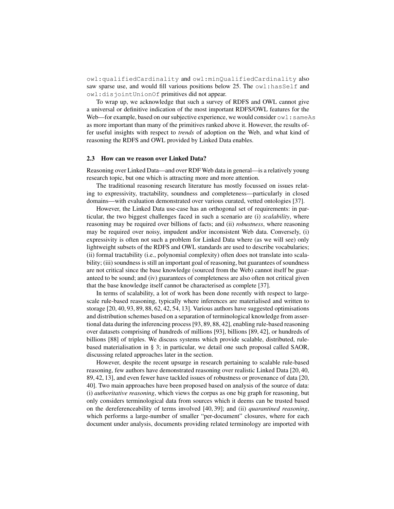owl:qualifiedCardinality and owl:minQualifiedCardinality also saw sparse use, and would fill various positions below 25. The  $\text{owl:hasSelf}$  and owl:disjointUnionOf primitives did not appear.

To wrap up, we acknowledge that such a survey of RDFS and OWL cannot give a universal or definitive indication of the most important RDFS/OWL features for the Web—for example, based on our subjective experience, we would consider  $\text{owl}:$  sameAs as more important than many of the primitives ranked above it. However, the results offer useful insights with respect to *trends* of adoption on the Web, and what kind of reasoning the RDFS and OWL provided by Linked Data enables.

#### 2.3 How can we reason over Linked Data?

Reasoning over Linked Data—and over RDF Web data in general—is a relatively young research topic, but one which is attracting more and more attention.

The traditional reasoning research literature has mostly focussed on issues relating to expressivity, tractability, soundness and completeness—particularly in closed domains—with evaluation demonstrated over various curated, vetted ontologies [37].

However, the Linked Data use-case has an orthogonal set of requirements: in particular, the two biggest challenges faced in such a scenario are (i) *scalability*, where reasoning may be required over billions of facts; and (ii) *robustness*, where reasoning may be required over noisy, impudent and/or inconsistent Web data. Conversely, (i) expressivity is often not such a problem for Linked Data where (as we will see) only lightweight subsets of the RDFS and OWL standards are used to describe vocabularies; (ii) formal tractability (i.e., polynomial complexity) often does not translate into scalability; (iii) soundness is still an important goal of reasoning, but guarantees of soundness are not critical since the base knowledge (sourced from the Web) cannot itself be guaranteed to be sound; and (iv) guarantees of completeness are also often not critical given that the base knowledge itself cannot be characterised as complete [37].

In terms of scalability, a lot of work has been done recently with respect to largescale rule-based reasoning, typically where inferences are materialised and written to storage [20, 40, 93, 89, 88, 62, 42, 54, 13]. Various authors have suggested optimisations and distribution schemes based on a separation of terminological knowledge from assertional data during the inferencing process [93, 89, 88, 42], enabling rule-based reasoning over datasets comprising of hundreds of millions [93], billions [89, 42], or hundreds of billions [88] of triples. We discuss systems which provide scalable, distributed, rulebased materialisation in § 3; in particular, we detail one such proposal called SAOR, discussing related approaches later in the section.

However, despite the recent upsurge in research pertaining to scalable rule-based reasoning, few authors have demonstrated reasoning over realistic Linked Data [20, 40, 89, 42, 13], and even fewer have tackled issues of robustness or provenance of data [20, 40]. Two main approaches have been proposed based on analysis of the source of data: (i) *authoritative reasoning*, which views the corpus as one big graph for reasoning, but only considers terminological data from sources which it deems can be trusted based on the dereferenceability of terms involved [40, 39]; and (ii) *quarantined reasoning*, which performs a large-number of smaller "per-document" closures, where for each document under analysis, documents providing related terminology are imported with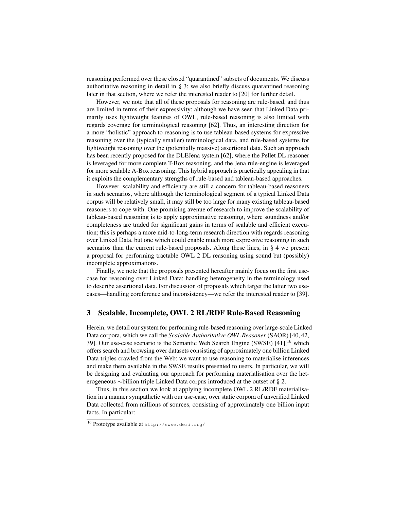reasoning performed over these closed "quarantined" subsets of documents. We discuss authoritative reasoning in detail in § 3; we also briefly discuss quarantined reasoning later in that section, where we refer the interested reader to [20] for further detail.

However, we note that all of these proposals for reasoning are rule-based, and thus are limited in terms of their expressivity: although we have seen that Linked Data primarily uses lightweight features of OWL, rule-based reasoning is also limited with regards coverage for terminological reasoning [62]. Thus, an interesting direction for a more "holistic" approach to reasoning is to use tableau-based systems for expressive reasoning over the (typically smaller) terminological data, and rule-based systems for lightweight reasoning over the (potentially massive) assertional data. Such an approach has been recently proposed for the DLEJena system [62], where the Pellet DL reasoner is leveraged for more complete T-Box reasoning, and the Jena rule-engine is leveraged for more scalable A-Box reasoning. This hybrid approach is practically appealing in that it exploits the complementary strengths of rule-based and tableau-based approaches.

However, scalability and efficiency are still a concern for tableau-based reasoners in such scenarios, where although the terminological segment of a typical Linked Data corpus will be relatively small, it may still be too large for many existing tableau-based reasoners to cope with. One promising avenue of research to improve the scalability of tableau-based reasoning is to apply approximative reasoning, where soundness and/or completeness are traded for significant gains in terms of scalable and efficient execution; this is perhaps a more mid-to-long-term research direction with regards reasoning over Linked Data, but one which could enable much more expressive reasoning in such scenarios than the current rule-based proposals. Along these lines, in § 4 we present a proposal for performing tractable OWL 2 DL reasoning using sound but (possibly) incomplete approximations.

Finally, we note that the proposals presented hereafter mainly focus on the first usecase for reasoning over Linked Data: handling heterogeneity in the terminology used to describe assertional data. For discussion of proposals which target the latter two usecases—handling coreference and inconsistency—we refer the interested reader to [39].

# 3 Scalable, Incomplete, OWL 2 RL/RDF Rule-Based Reasoning

Herein, we detail our system for performing rule-based reasoning over large-scale Linked Data corpora, which we call the *Scalable Authoritative OWL Reasoner* (SAOR) [40, 42, 39]. Our use-case scenario is the Semantic Web Search Engine (SWSE) [41],<sup>16</sup> which offers search and browsing over datasets consisting of approximately one billion Linked Data triples crawled from the Web: we want to use reasoning to materialise inferences and make them available in the SWSE results presented to users. In particular, we will be designing and evaluating our approach for performing materialisation over the heterogeneous ∼billion triple Linked Data corpus introduced at the outset of § 2.

Thus, in this section we look at applying incomplete OWL 2 RL/RDF materialisation in a manner sympathetic with our use-case, over static corpora of unverified Linked Data collected from millions of sources, consisting of approximately one billion input facts. In particular:

<sup>16</sup> Prototype available at http://swse.deri.org/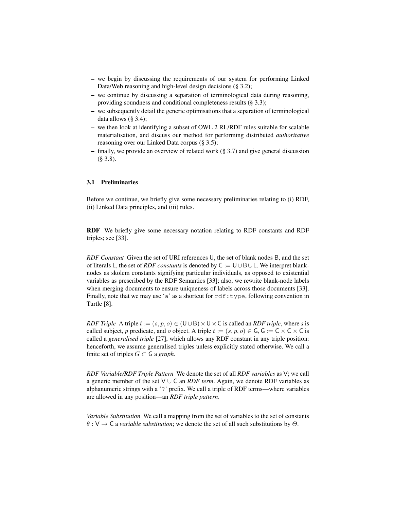- we begin by discussing the requirements of our system for performing Linked Data/Web reasoning and high-level design decisions (§ 3.2);
- we continue by discussing a separation of terminological data during reasoning, providing soundness and conditional completeness results (§ 3.3);
- we subsequently detail the generic optimisations that a separation of terminological data allows  $(\S$  3.4);
- we then look at identifying a subset of OWL 2 RL/RDF rules suitable for scalable materialisation, and discuss our method for performing distributed *authoritative* reasoning over our Linked Data corpus (§ 3.5);
- finally, we provide an overview of related work (§ 3.7) and give general discussion (§ 3.8).

### 3.1 Preliminaries

Before we continue, we briefly give some necessary preliminaries relating to (i) RDF, (ii) Linked Data principles, and (iii) rules.

RDF We briefly give some necessary notation relating to RDF constants and RDF triples; see [33].

*RDF Constant* Given the set of URI references U, the set of blank nodes B, and the set of literals L, the set of *RDF constants* is denoted by C := U∪B∪L. We interpret blanknodes as skolem constants signifying particular individuals, as opposed to existential variables as prescribed by the RDF Semantics [33]; also, we rewrite blank-node labels when merging documents to ensure uniqueness of labels across those documents [33]. Finally, note that we may use 'a' as a shortcut for  $rdf:type$ , following convention in Turtle [8].

*RDF Triple* A triple  $t := (s, p, o) \in (\mathsf{U} \cup \mathsf{B}) \times \mathsf{U} \times \mathsf{C}$  is called an *RDF triple*, where *s* is called subject, *p* predicate, and *o* object. A triple  $t := (s, p, o) \in G$ ,  $G := C \times C \times C$  is called a *generalised triple* [27], which allows any RDF constant in any triple position: henceforth, we assume generalised triples unless explicitly stated otherwise. We call a finite set of triples  $G \subset G$  a *graph*.

*RDF Variable/RDF Triple Pattern* We denote the set of all *RDF variables* as V; we call a generic member of the set  $V \cup C$  an *RDF term*. Again, we denote RDF variables as alphanumeric strings with a '?' prefix. We call a triple of RDF terms—where variables are allowed in any position—an *RDF triple pattern*.

*Variable Substitution* We call a mapping from the set of variables to the set of constants  $\theta: V \to C$  a *variable substitution*; we denote the set of all such substitutions by  $\Theta$ .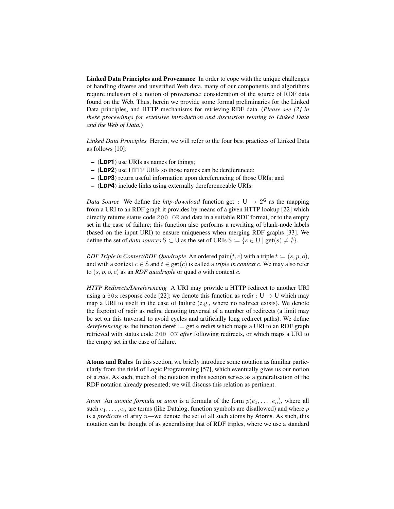Linked Data Principles and Provenance In order to cope with the unique challenges of handling diverse and unverified Web data, many of our components and algorithms require inclusion of a notion of provenance: consideration of the source of RDF data found on the Web. Thus, herein we provide some formal preliminaries for the Linked Data principles, and HTTP mechanisms for retrieving RDF data. (*Please see [2] in these proceedings for extensive introduction and discussion relating to Linked Data and the Web of Data.*)

*Linked Data Principles* Herein, we will refer to the four best practices of Linked Data as follows [10]:

- (**LDP1**) use URIs as names for things;
- (**LDP2**) use HTTP URIs so those names can be dereferenced;
- (**LDP3**) return useful information upon dereferencing of those URIs; and
- (**LDP4**) include links using externally dereferenceable URIs.

*Data Source* We define the *http-download* function get :  $U \rightarrow 2^G$  as the mapping from a URI to an RDF graph it provides by means of a given HTTP lookup [22] which directly returns status code 200 OK and data in a suitable RDF format, or to the empty set in the case of failure; this function also performs a rewriting of blank-node labels (based on the input URI) to ensure uniqueness when merging RDF graphs [33]. We define the set of *data sources*  $S \subset U$  as the set of URIs  $S := \{ s \in U \mid \text{get}(s) \neq \emptyset \}.$ 

*RDF Triple in Context/RDF Quadruple* An ordered pair  $(t, c)$  with a triple  $t := (s, p, o)$ , and with a context  $c \in S$  and  $t \in \text{get}(c)$  is called a *triple in context* c. We may also refer to  $(s, p, o, c)$  as an *RDF quadruple* or quad q with context c.

*HTTP Redirects/Dereferencing* A URI may provide a HTTP redirect to another URI using a 30x response code [22]; we denote this function as redir :  $U \rightarrow U$  which may map a URI to itself in the case of failure (e.g., where no redirect exists). We denote the fixpoint of redir as redirs, denoting traversal of a number of redirects (a limit may be set on this traversal to avoid cycles and artificially long redirect paths). We define *dereferencing* as the function deref  $:=$  get  $\circ$  redirs which maps a URI to an RDF graph retrieved with status code 200 OK *after* following redirects, or which maps a URI to the empty set in the case of failure.

Atoms and Rules In this section, we briefly introduce some notation as familiar particularly from the field of Logic Programming [57], which eventually gives us our notion of a *rule*. As such, much of the notation in this section serves as a generalisation of the RDF notation already presented; we will discuss this relation as pertinent.

*Atom* An *atomic formula* or *atom* is a formula of the form  $p(e_1, \ldots, e_n)$ , where all such  $e_1, \ldots, e_n$  are terms (like Datalog, function symbols are disallowed) and where p is a *predicate* of arity n—we denote the set of all such atoms by Atoms. As such, this notation can be thought of as generalising that of RDF triples, where we use a standard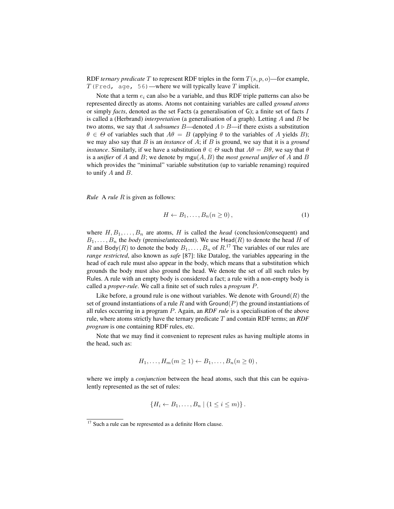RDF *ternary predicate* T to represent RDF triples in the form  $T(s, p, o)$ —for example,  $T$ (Fred, age, 56) —where we will typically leave  $T$  implicit.

Note that a term  $e_i$  can also be a variable, and thus RDF triple patterns can also be represented directly as atoms. Atoms not containing variables are called *ground atoms* or simply *facts*, denoted as the set Facts (a generalisation of G); a finite set of facts I is called a (Herbrand) *interpretation* (a generalisation of a graph). Letting A and B be two atoms, we say that A *subsumes* B—denoted  $A \triangleright B$ —if there exists a substitution  $\theta \in \Theta$  of variables such that  $A\theta = B$  (applying  $\theta$  to the variables of A yields B); we may also say that B is an *instance* of A; if B is ground, we say that it is a *ground instance*. Similarly, if we have a substitution  $\theta \in \Theta$  such that  $A\theta = B\theta$ , we say that  $\theta$ is a *unifier* of A and B; we denote by  $mgu(A, B)$  the *most general unifier* of A and B which provides the "minimal" variable substitution (up to variable renaming) required to unify  $A$  and  $B$ .

*Rule* A *rule* R is given as follows:

$$
H \leftarrow B_1, \dots, B_n (n \ge 0), \tag{1}
$$

where  $H, B_1, \ldots, B_n$  are atoms, H is called the *head* (conclusion/consequent) and  $B_1, \ldots, B_n$  the *body* (premise/antecedent). We use Head(R) to denote the head H of R and Body(R) to denote the body  $B_1, \ldots, B_n$  of  $R^{17}$ . The variables of our rules are *range restricted*, also known as *safe* [87]: like Datalog, the variables appearing in the head of each rule must also appear in the body, which means that a substitution which grounds the body must also ground the head. We denote the set of all such rules by Rules. A rule with an empty body is considered a fact; a rule with a non-empty body is called a *proper-rule*. We call a finite set of such rules a *program* P.

Like before, a ground rule is one without variables. We denote with  $Ground(R)$  the set of ground instantiations of a rule R and with  $Ground(P)$  the ground instantiations of all rules occurring in a program P. Again, an *RDF rule* is a specialisation of the above rule, where atoms strictly have the ternary predicate T and contain RDF terms; an *RDF program* is one containing RDF rules, etc.

Note that we may find it convenient to represent rules as having multiple atoms in the head, such as:

$$
H_1,\ldots,H_m(m\geq 1)\leftarrow B_1,\ldots,B_n(n\geq 0),
$$

where we imply a *conjunction* between the head atoms, such that this can be equivalently represented as the set of rules:

$$
\{H_i \leftarrow B_1, \ldots, B_n \mid (1 \leq i \leq m)\}.
$$

<sup>&</sup>lt;sup>17</sup> Such a rule can be represented as a definite Horn clause.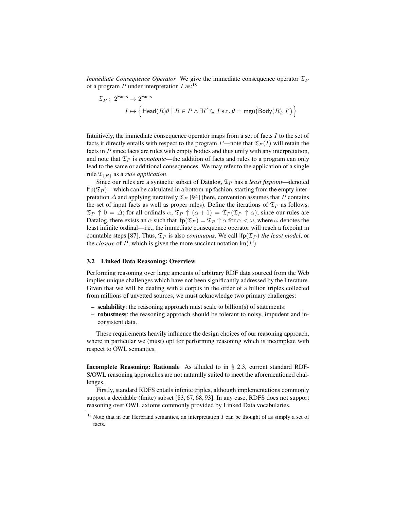*Immediate Consequence Operator* We give the immediate consequence operator  $\mathfrak{T}_P$ of a program P under interpretation I as:<sup>18</sup>

$$
\mathfrak{T}_P: 2^{\mathsf{Facts}} \to 2^{\mathsf{Facts}} \\
I \mapsto \left\{ \mathsf{Head}(R)\theta \mid R \in P \land \exists I' \subseteq I \text{ s.t. } \theta = \mathsf{mgu}(\mathsf{Body}(R), I') \right\}
$$

Intuitively, the immediate consequence operator maps from a set of facts  $I$  to the set of facts it directly entails with respect to the program P—note that  $\mathfrak{T}_P(I)$  will retain the facts in  $P$  since facts are rules with empty bodies and thus unify with any interpretation, and note that  $\mathfrak{T}_P$  is *monotonic*—the addition of facts and rules to a program can only lead to the same or additional consequences. We may refer to the application of a single rule  $\mathfrak{T}_{\{R\}}$  as a *rule application*.

Since our rules are a syntactic subset of Datalog,  $\mathfrak{T}_P$  has a *least fixpoint*—denoted  $lfp(\mathfrak{T}_P)$ —which can be calculated in a bottom-up fashion, starting from the empty interpretation  $\Delta$  and applying iteratively  $\mathfrak{T}_P$  [94] (here, convention assumes that P contains the set of input facts as well as proper rules). Define the iterations of  $\mathfrak{T}_P$  as follows:  $\mathfrak{T}_P \uparrow 0 = \Delta$ ; for all ordinals  $\alpha$ ,  $\mathfrak{T}_P \uparrow (\alpha + 1) = \mathfrak{T}_P(\mathfrak{T}_P \uparrow \alpha)$ ; since our rules are Datalog, there exists an  $\alpha$  such that  $\text{Ifp}(\mathfrak{T}_P) = \mathfrak{T}_P \uparrow \alpha$  for  $\alpha < \omega$ , where  $\omega$  denotes the least infinite ordinal—i.e., the immediate consequence operator will reach a fixpoint in countable steps [87]. Thus,  $\mathfrak{T}_P$  is also *continuous*. We call  $\text{Ifp}(\mathfrak{T}_P)$  *the least model*, or the *closure* of  $P$ , which is given the more succinct notation  $\text{Im}(P)$ .

#### 3.2 Linked Data Reasoning: Overview

Performing reasoning over large amounts of arbitrary RDF data sourced from the Web implies unique challenges which have not been significantly addressed by the literature. Given that we will be dealing with a corpus in the order of a billion triples collected from millions of unvetted sources, we must acknowledge two primary challenges:

- scalability: the reasoning approach must scale to billion(s) of statements;
- robustness: the reasoning approach should be tolerant to noisy, impudent and inconsistent data.

These requirements heavily influence the design choices of our reasoning approach, where in particular we (must) opt for performing reasoning which is incomplete with respect to OWL semantics.

Incomplete Reasoning: Rationale As alluded to in § 2.3, current standard RDF-S/OWL reasoning approaches are not naturally suited to meet the aforementioned challenges.

Firstly, standard RDFS entails infinite triples, although implementations commonly support a decidable (finite) subset [83, 67, 68, 93]. In any case, RDFS does not support reasoning over OWL axioms commonly provided by Linked Data vocabularies.

<sup>&</sup>lt;sup>18</sup> Note that in our Herbrand semantics, an interpretation  $I$  can be thought of as simply a set of facts.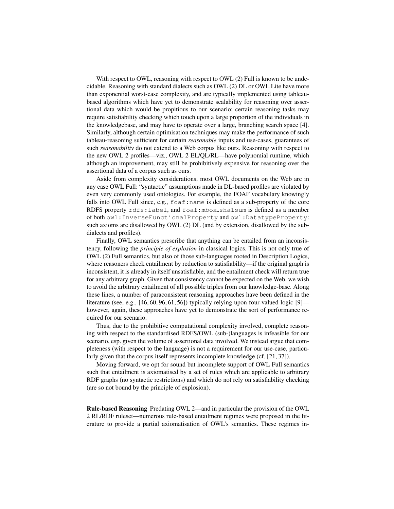With respect to OWL, reasoning with respect to OWL (2) Full is known to be undecidable. Reasoning with standard dialects such as OWL (2) DL or OWL Lite have more than exponential worst-case complexity, and are typically implemented using tableaubased algorithms which have yet to demonstrate scalability for reasoning over assertional data which would be propitious to our scenario: certain reasoning tasks may require satisfiability checking which touch upon a large proportion of the individuals in the knowledgebase, and may have to operate over a large, branching search space [4]. Similarly, although certain optimisation techniques may make the performance of such tableau-reasoning sufficient for certain *reasonable* inputs and use-cases, guarantees of such *reasonability* do not extend to a Web corpus like ours. Reasoning with respect to the new OWL 2 profiles—viz., OWL 2 EL/QL/RL—have polynomial runtime, which although an improvement, may still be prohibitively expensive for reasoning over the assertional data of a corpus such as ours.

Aside from complexity considerations, most OWL documents on the Web are in any case OWL Full: "syntactic" assumptions made in DL-based profiles are violated by even very commonly used ontologies. For example, the FOAF vocabulary knowingly falls into OWL Full since, e.g., foaf:name is defined as a sub-property of the core RDFS property rdfs:label, and foaf:mbox sha1sum is defined as a member of both owl:InverseFunctionalProperty and owl:DatatypeProperty: such axioms are disallowed by OWL (2) DL (and by extension, disallowed by the subdialects and profiles).

Finally, OWL semantics prescribe that anything can be entailed from an inconsistency, following the *principle of explosion* in classical logics. This is not only true of OWL (2) Full semantics, but also of those sub-languages rooted in Description Logics, where reasoners check entailment by reduction to satisfiability—if the original graph is inconsistent, it is already in itself unsatisfiable, and the entailment check will return true for any arbitrary graph. Given that consistency cannot be expected on the Web, we wish to avoid the arbitrary entailment of all possible triples from our knowledge-base. Along these lines, a number of paraconsistent reasoning approaches have been defined in the literature (see, e.g., [46, 60, 96, 61, 56]) typically relying upon four-valued logic [9] however, again, these approaches have yet to demonstrate the sort of performance required for our scenario.

Thus, due to the prohibitive computational complexity involved, complete reasoning with respect to the standardised RDFS/OWL (sub-)languages is infeasible for our scenario, esp. given the volume of assertional data involved. We instead argue that completeness (with respect to the language) is not a requirement for our use-case, particularly given that the corpus itself represents incomplete knowledge (cf. [21, 37]).

Moving forward, we opt for sound but incomplete support of OWL Full semantics such that entailment is axiomatised by a set of rules which are applicable to arbitrary RDF graphs (no syntactic restrictions) and which do not rely on satisfiability checking (are so not bound by the principle of explosion).

Rule-based Reasoning Predating OWL 2—and in particular the provision of the OWL 2 RL/RDF ruleset—numerous rule-based entailment regimes were proposed in the literature to provide a partial axiomatisation of OWL's semantics. These regimes in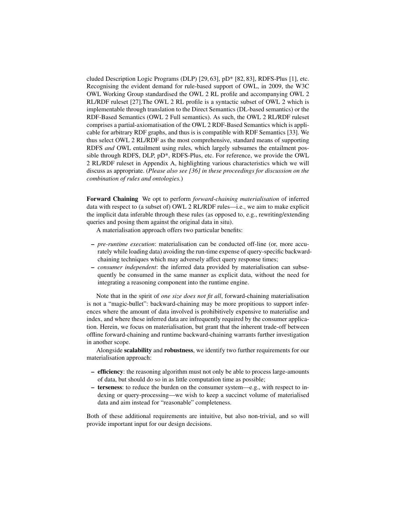cluded Description Logic Programs (DLP) [29, 63], pD\* [82, 83], RDFS-Plus [1], etc. Recognising the evident demand for rule-based support of OWL, in 2009, the W3C OWL Working Group standardised the OWL 2 RL profile and accompanying OWL 2 RL/RDF ruleset [27].The OWL 2 RL profile is a syntactic subset of OWL 2 which is implementable through translation to the Direct Semantics (DL-based semantics) or the RDF-Based Semantics (OWL 2 Full semantics). As such, the OWL 2 RL/RDF ruleset comprises a partial-axiomatisation of the OWL 2 RDF-Based Semantics which is applicable for arbitrary RDF graphs, and thus is is compatible with RDF Semantics [33]. We thus select OWL 2 RL/RDF as the most comprehensive, standard means of supporting RDFS *and* OWL entailment using rules, which largely subsumes the entailment possible through RDFS, DLP, pD\*, RDFS-Plus, etc. For reference, we provide the OWL 2 RL/RDF ruleset in Appendix A, highlighting various characteristics which we will discuss as appropriate. (*Please also see [36] in these proceedings for discussion on the combination of rules and ontologies.*)

Forward Chaining We opt to perform *forward-chaining materialisation* of inferred data with respect to (a subset of) OWL 2 RL/RDF rules—i.e., we aim to make explicit the implicit data inferable through these rules (as opposed to, e.g., rewriting/extending queries and posing them against the original data in situ).

A materialisation approach offers two particular benefits:

- *pre-runtime execution*: materialisation can be conducted off-line (or, more accurately while loading data) avoiding the run-time expense of query-specific backwardchaining techniques which may adversely affect query response times;
- *consumer independent*: the inferred data provided by materialisation can subsequently be consumed in the same manner as explicit data, without the need for integrating a reasoning component into the runtime engine.

Note that in the spirit of *one size does not fit all*, forward-chaining materialisation is not a "magic-bullet": backward-chaining may be more propitious to support inferences where the amount of data involved is prohibitively expensive to materialise and index, and where these inferred data are infrequently required by the consumer application. Herein, we focus on materialisation, but grant that the inherent trade-off between offline forward-chaining and runtime backward-chaining warrants further investigation in another scope.

Alongside scalability and robustness, we identify two further requirements for our materialisation approach:

- efficiency: the reasoning algorithm must not only be able to process large-amounts of data, but should do so in as little computation time as possible;
- terseness: to reduce the burden on the consumer system—e.g., with respect to indexing or query-processing—we wish to keep a succinct volume of materialised data and aim instead for "reasonable" completeness.

Both of these additional requirements are intuitive, but also non-trivial, and so will provide important input for our design decisions.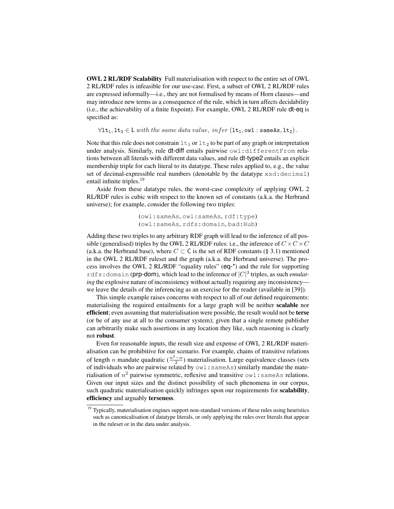OWL 2 RL/RDF Scalability Full materialisation with respect to the entire set of OWL 2 RL/RDF rules is infeasible for our use-case. First, a subset of OWL 2 RL/RDF rules are expressed informally—i.e., they are not formalised by means of Horn clauses—and may introduce new terms as a consequence of the rule, which in turn affects decidability (i.e., the achievability of a finite fixpoint). For example, OWL 2 RL/RDF rule dt-eq is specified as:

 $\forall$ 1t<sub>1</sub>, 1t<sub>2</sub> ∈ L with the same data value, infer (1t<sub>1</sub>, owl: sameAs, 1t<sub>2</sub>).

Note that this rule does not constrain  $lt_1$  or  $lt_2$  to be part of any graph or interpretation under analysis. Similarly, rule dt-diff entails pairwise  $\text{owl:differentFrom rela-}$ tions between all literals with different data values, and rule dt-type2 entails an explicit membership triple for each literal to its datatype. These rules applied to, e.g., the value set of decimal-expressible real numbers (denotable by the datatype xsd:decimal) entail infinite triples.<sup>19</sup>

Aside from these datatype rules, the worst-case complexity of applying OWL 2 RL/RDF rules is cubic with respect to the known set of constants (a.k.a. the Herbrand universe); for example, consider the following two triples:

> (owl:sameAs, owl:sameAs, rdf:type) (owl:sameAs, rdfs:domain, bad:Hub)

Adding these two triples to any arbitrary RDF graph will lead to the inference of all possible (generalised) triples by the OWL 2 RL/RDF rules: i.e., the inference of  $C \times C \times C$ (a.k.a. the Herbrand base), where  $C \subset \mathsf{C}$  is the set of RDF constants (§ 3.1) mentioned in the OWL 2 RL/RDF ruleset and the graph (a.k.a. the Herbrand universe). The process involves the OWL 2 RL/RDF "equality rules" ( $eq^{-*}$ ) and the rule for supporting rdfs:domain (prp-dom), which lead to the inference of |C| 3 triples, as such *emulating* the explosive nature of inconsistency without actually requiring any inconsistency we leave the details of the inferencing as an exercise for the reader (available in [39]).

This simple example raises concerns with respect to all of our defined requirements: materialising the required entailments for a large graph will be neither scalable nor efficient; even assuming that materialisation were possible, the result would not be terse (or be of any use at all to the consumer system); given that a single remote publisher can arbitrarily make such assertions in any location they like, such reasoning is clearly not robust.

Even for reasonable inputs, the result size and expense of OWL 2 RL/RDF materialisation can be prohibitive for our scenario. For example, chains of transitive relations of length *n* mandate quadratic  $(\frac{n^2-n}{2})$  materialisation. Large equivalence classes (sets of individuals who are pairwise related by owl:sameAs) similarly mandate the materialisation of  $n^2$  pairwise symmetric, reflexive and transitive  $\circ \text{wl} : \text{sameAs}$  relations. Given our input sizes and the distinct possibility of such phenomena in our corpus, such quadratic materialisation quickly infringes upon our requirements for **scalability**, efficiency and arguably terseness.

<sup>&</sup>lt;sup>19</sup> Typically, materialisation engines support non-standard versions of these rules using heuristics such as canonicalisation of datatype literals, or only applying the rules over literals that appear in the ruleset or in the data under analysis.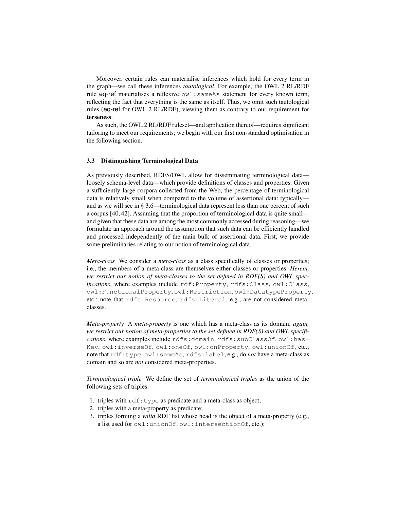Moreover, certain rules can materialise inferences which hold for every term in the graph—we call these inferences *tautological*. For example, the OWL 2 RL/RDF rule eq-ref materialises a reflexive owl:sameAs statement for every known term, reflecting the fact that everything is the same as itself. Thus, we omit such tautological rules (eq-ref for OWL 2 RL/RDF), viewing them as contrary to our requirement for terseness.

As such, the OWL 2 RL/RDF ruleset—and application thereof—requires significant tailoring to meet our requirements; we begin with our first non-standard optimisation in the following section.

### 3.3 Distinguishing Terminological Data

As previously described, RDFS/OWL allow for disseminating terminological data loosely schema-level data—which provide definitions of classes and properties. Given a sufficiently large corpora collected from the Web, the percentage of terminological data is relatively small when compared to the volume of assertional data: typically and as we will see in § 3.6—terminological data represent less than one percent of such a corpus [40, 42]. Assuming that the proportion of terminological data is quite small and given that these data are among the most commonly accessed during reasoning—we formulate an approach around the assumption that such data can be efficiently handled and processed independently of the main bulk of assertional data. First, we provide some preliminaries relating to our notion of terminological data.

*Meta-class* We consider a *meta-class* as a class specifically of classes or properties; i.e., the members of a meta-class are themselves either classes or properties. *Herein, we restrict our notion of meta-classes to the set defined in RDF(S) and OWL specifications*, where examples include rdf:Property, rdfs:Class, owl:Class, owl:FunctionalProperty, owl:Restriction, owl:DatatypeProperty, etc.; note that rdfs:Resource, rdfs:Literal, e.g., are not considered metaclasses.

*Meta-property* A *meta-property* is one which has a meta-class as its domain; *again, we restrict our notion of meta-properties to the set defined in RDF(S) and OWL specifications*, where examples include rdfs:domain, rdfs:subClassOf, owl:has-Key, owl:inverseOf, owl:oneOf, owl:onProperty, owl:unionOf, etc.; note that rdf:type, owl:sameAs, rdfs:label, e.g., do *not* have a meta-class as domain and so are *not* considered meta-properties.

*Terminological triple* We define the set of *terminological triples* as the union of the following sets of triples:

- 1. triples with  $\text{rdf:type}$  as predicate and a meta-class as object;
- 2. triples with a meta-property as predicate;
- 3. triples forming a *valid* RDF list whose head is the object of a meta-property (e.g., a list used for owl:unionOf, owl:intersectionOf, etc.);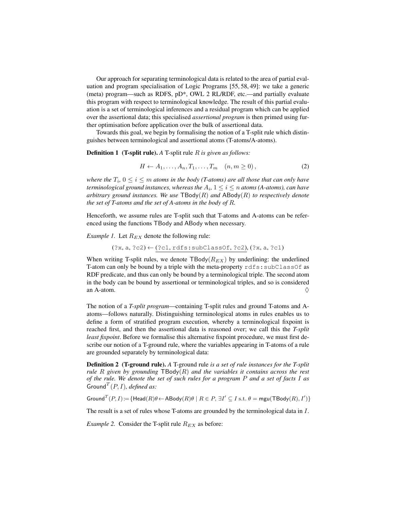Our approach for separating terminological data is related to the area of partial evaluation and program specialisation of Logic Programs [55, 58, 49]: we take a generic (meta) program—such as RDFS, pD\*, OWL 2 RL/RDF, etc.—and partially evaluate this program with respect to terminological knowledge. The result of this partial evaluation is a set of terminological inferences and a residual program which can be applied over the assertional data; this specialised *assertional program* is then primed using further optimisation before application over the bulk of assertional data.

Towards this goal, we begin by formalising the notion of a T-split rule which distinguishes between terminological and assertional atoms (T-atoms/A-atoms).

Definition 1 (T-split rule). *A* T-split rule R *is given as follows:*

$$
H \leftarrow A_1, \dots, A_n, T_1, \dots, T_m \quad (n, m \ge 0), \tag{2}
$$

*where the*  $T_i$ ,  $0 \le i \le m$  *atoms in the body (T-atoms) are all those that can only have* terminological ground instances, whereas the  $A_i, 1 \leq i \leq n$  atoms (A-atoms), can have *arbitrary ground instances. We use*  $TBody(R)$  *and*  $ABody(R)$  *to respectively denote the set of T-atoms and the set of A-atoms in the body of* R*.*

Henceforth, we assume rules are T-split such that T-atoms and A-atoms can be referenced using the functions TBody and ABody when necessary.

*Example 1.* Let  $R_{EX}$  denote the following rule:

 $(?x, a, ?c2) \leftarrow (?c1, rdfs:subClassOf, ?c2), (?x, a, ?c1)$ 

When writing T-split rules, we denote  $T$ Body $(R_{EX})$  by underlining: the underlined T-atom can only be bound by a triple with the meta-property rdfs:subClassOf as RDF predicate, and thus can only be bound by a terminological triple. The second atom in the body can be bound by assertional or terminological triples, and so is considered an A-atom.  $\Diamond$ 

The notion of a *T-split program*—containing T-split rules and ground T-atoms and Aatoms—follows naturally. Distinguishing terminological atoms in rules enables us to define a form of stratified program execution, whereby a terminological fixpoint is reached first, and then the assertional data is reasoned over; we call this the *T-split least fixpoint*. Before we formalise this alternative fixpoint procedure, we must first describe our notion of a T-ground rule, where the variables appearing in T-atoms of a rule are grounded separately by terminological data:

Definition 2 (T-ground rule). *A* T-ground rule *is a set of rule instances for the T-split rule* R *given by grounding* TBody(R) *and the variables it contains across the rest of the rule. We denote the set of such rules for a program* P *and a set of facts* I *as*  $\mathsf{Ground}^T(P, I)$ *, defined as:* 

 $\mathsf{Ground}^T(P, I) \coloneqq \{\mathsf{Head}(R) \theta \leftarrow \mathsf{ABody}(R) \theta \mid R \in P, \, \exists I' \subseteq I \text{ s.t. } \theta = \mathsf{mgu}(\mathsf{TBody}(R), I')\}$ 

The result is a set of rules whose T-atoms are grounded by the terminological data in  $I$ .

*Example 2.* Consider the T-split rule  $R_{EX}$  as before: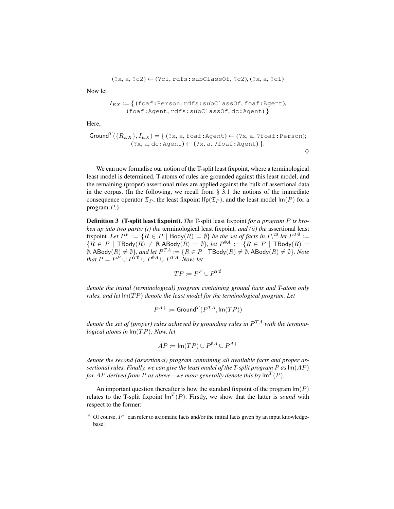$$
(?x, a, ?c2) \leftarrow (?c1, rdfs:subClassOf, ?c2), (?x, a, ?c1)
$$

Now let

$$
I_{EX} := \{ (\text{foaf:Person, rdfs:subClassOf, foaf:Agent}), \\ (\text{foaf:Agent, rdfs:subClassOf, dc:Agent}) \}
$$

Here,

$$
Ground^T(\{R_{EX}\}, I_{EX}) = \{ (?x, a, foaf:Agent) \leftarrow (?x, a, ?foaf:Person);
$$

$$
(?x, a, dc:Agent) \leftarrow (?x, a, ?foaf:Agent) \}.
$$

We can now formalise our notion of the T-split least fixpoint, where a terminological least model is determined, T-atoms of rules are grounded against this least model, and the remaining (proper) assertional rules are applied against the bulk of assertional data in the corpus. (In the following, we recall from  $\S$  3.1 the notions of the immediate consequence operator  $\mathfrak{T}_P$ , the least fixpoint lfp( $\mathfrak{T}_P$ ), and the least model lm(P) for a program P.)

Definition 3 (T-split least fixpoint). *The* T-split least fixpoint *for a program* P *is broken up into two parts: (i) the* terminological least fixpoint*, and (ii) the* assertional least fixpoint. Let  $P^F := \{ R \in P \mid \text{Body}(R) = \emptyset \}$  be the set of facts in  $P,^{20}$  let  $P^{T\emptyset} :=$  ${R \in P \mid \mathsf{TBody}(R) \neq \emptyset, \mathsf{ABody}(R) = \emptyset}, let P^{\emptyset A} := {R \in P \mid \mathsf{TBody}(R) = \emptyset}.$  $\emptyset$ , ABody $(R) \neq \emptyset$ *}, and let*  $P^{TA} := \{R \in P \mid \mathsf{TBody}(R) \neq \emptyset$ *, ABody* $(R) \neq \emptyset\}$ *. Note that*  $P = P^F \cup P^{T\emptyset} \cup P^{\emptyset A} \cup P^{TA}$ *. Now, let* 

 $TP \coloneqq P^F \cup P^{T\emptyset}$ 

*denote the initial (terminological) program containing ground facts and T-atom only rules, and let* lm(T P) *denote the least model for the terminological program. Let*

$$
P^{A+} := \text{Ground}^{T}(P^{TA}, \text{Im}(TP))
$$

denote the set of (proper) rules achieved by grounding rules in  $P^{TA}$  with the termino*logical atoms in*  $\text{Im}(TP)$ *: Now, let* 

$$
AP := \mathsf{Im}(TP) \cup P^{\emptyset A} \cup P^{A+}
$$

*denote the second (assertional) program containing all available facts and proper assertional rules. Finally, we can give the least model of the T-split program* P *as* lm(AP) for AP derived from P as above—we more generally denote this by  $\mathsf{Im}^{T}(P)$ .

An important question thereafter is how the standard fixpoint of the program  $\text{Im}(P)$ relates to the T-split fixpoint  $\text{Im}^{T}(P)$ . Firstly, we show that the latter is *sound* with respect to the former:

<sup>&</sup>lt;sup>20</sup> Of course,  $P<sup>F</sup>$  can refer to axiomatic facts and/or the initial facts given by an input knowledgebase.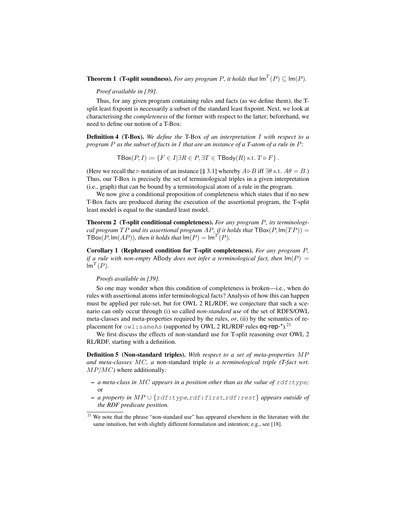**Theorem 1** (**T-split soundness).** For any program P, it holds that  $\text{Im}^{T}(P) \subseteq \text{Im}(P)$ .

*Proof available in [39].*

Thus, for any given program containing rules and facts (as we define them), the Tsplit least fixpoint is necessarily a subset of the standard least fixpoint. Next, we look at characterising the *completeness* of the former with respect to the latter; beforehand, we need to define our notion of a T-Box:

Definition 4 (T-Box). *We define the* T-Box *of an interpretation* I *with respect to a program* P *as the subset of facts in* I *that are an instance of a T-atom of a rule in* P*:*

 $TBox(P, I) := \{F \in I | \exists R \in P, \exists T \in TBody(R) \text{ s.t. } T \triangleright F\}.$ 

(Here we recall the  $\triangleright$  notation of an instance [§ 3.1] whereby  $A \triangleright B$  iff  $\exists \theta$  s.t.  $A\theta = B$ .) Thus, our T-Box is precisely the set of terminological triples in a given interpretation (i.e., graph) that can be bound by a terminological atom of a rule in the program.

We now give a conditional proposition of completeness which states that if no new T-Box facts are produced during the execution of the assertional program, the T-split least model is equal to the standard least model.

Theorem 2 (T-split conditional completeness). *For any program* P*, its terminological program*  $TP$  *and its assertional program*  $AP$ *, if it holds that*  $TBox(P, Im(TP)) =$  $TBox(P, Im(AP)),$  then it holds that  $Im(P) = Im^{T}(P)$ .

Corollary 1 (Rephrased condition for T-split completeness). *For any program* P*, if a rule with non-empty* ABody *does not infer a terminological fact, then*  $\text{Im}(P)$  =  $\overline{\mathsf{Im}^T(P)}$ .

## *Proofs available in [39].*

So one may wonder when this condition of completeness is broken—i.e., when do rules with assertional atoms infer terminological facts? Analysis of how this can happen must be applied per rule-set, but for OWL 2 RL/RDF, we conjecture that such a scenario can only occur through (i) so called *non-standard use* of the set of RDFS/OWL meta-classes and meta-properties required by the rules, *or*, (ii) by the semantics of replacement for  $\text{owl}:$  sameAs (supported by OWL 2 RL/RDF rules eq-rep-\*).<sup>21</sup>

We first discuss the effects of non-standard use for T-split reasoning over OWL 2 RL/RDF, starting with a definition.

Definition 5 (Non-standard triples). *With respect to a set of meta-properties* MP *and meta-classes* MC*, a* non-standard triple *is a terminological triple (T-fact wrt.* MP/MC*)* where additionally*:*

- *a meta-class in* MC *appears in a position other than as the value of* rdf:type*;* or
- *a property in* MP ∪ {rdf:type*,*rdf:first*,*rdf:rest} *appears outside of the RDF predicate position.*

<sup>&</sup>lt;sup>21</sup> We note that the phrase "non-standard use" has appeared elsewhere in the literature with the same intuition, but with slightly different formulation and intention; e.g., see [18].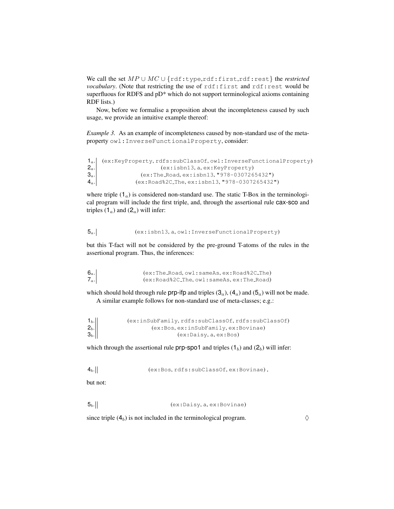We call the set MP ∪ MC ∪ {rdf:type,rdf:first,rdf:rest} the *restricted vocabulary*. (Note that restricting the use of rdf:first and rdf:rest would be superfluous for RDFS and pD\* which do not support terminological axioms containing RDF lists.)

Now, before we formalise a proposition about the incompleteness caused by such usage, we provide an intuitive example thereof:

*Example 3.* As an example of incompleteness caused by non-standard use of the metaproperty owl:InverseFunctionalProperty, consider:

```
1a. (ex:KeyProperty, rdfs:subClassOf, owl:InverseFunctionalProperty)
2a. (ex:isbn13, a, ex:KeyProperty)<br>3a. (ex:The Road, ex:isbn13, "978-030726
                  3a. (ex:The Road, ex:isbn13, "978-0307265432")
A_a. (ex:Road%2C_The, ex:isbn13, "978-0307265432")
```
where triple  $(1_a)$  is considered non-standard use. The static T-Box in the terminological program will include the first triple, and, through the assertional rule cax-sco and triples  $(1_a)$  and  $(2_a)$  will infer:

 $5<sub>a</sub>$ . (ex:isbn13, a, owl:InverseFunctionalProperty)

but this T-fact will not be considered by the pre-ground T-atoms of the rules in the assertional program. Thus, the inferences:

 $6_a$ . (ex:The Road, owl:sameAs, ex:Road%2C The)  $7_a$ . (ex:Road%2C\_The, owl:sameAs, ex:The\_Road)

which should hold through rule prp-ifp and triples  $(3<sub>a</sub>), (4<sub>a</sub>)$  and  $(5<sub>a</sub>)$  will not be made. A similar example follows for non-standard use of meta-classes; e.g.:

```
\vert \mathbf{1}_b \vert \vert (ex:inSubFamily, rdfs:subClassOf, rdfs:subClassOf)
2b. (ex:Bos, ex:inSubFamily, ex:Bovinae)<br>3b.3b. (ex:Daisy, a, ex:Bos)
```
which through the assertional rule prp-spo1 and triples  $(1<sub>b</sub>)$  and  $(2<sub>b</sub>)$  will infer:

$$
4b \qquad \qquad (\text{ex:Bos, rdfs:subClassOf, ex:Bovinae}),
$$

but not:

 $5<sub>b</sub>$ . (ex:Daisy, a, ex:Bovinae)

since triple  $(4<sub>b</sub>)$  is not included in the terminological program.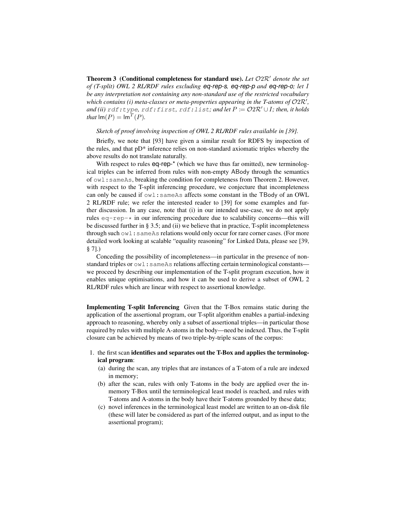**Theorem 3** (Conditional completeness for standard use). Let  $O2R'$  denote the set *of (T-split) OWL 2 RL/RDF rules excluding eq-rep-s, eq-rep-p and eq-rep-o; let* I *be any interpretation not containing any non-standard use of the restricted vocabulary* which contains (i) meta-classes or meta-properties appearing in the T-atoms of  $\mathcal{O}2\mathcal{R}',$ *and (ii)*  $\text{rdf:type}$ ,  $\text{rdf:first}$ ,  $\text{rdf:list}$ ; and let  $P := \mathcal{O}2\mathcal{R}' \cup I$ ; then, it holds *that*  $\mathsf{Im}(P) = \mathsf{Im}^T(P)$ .

### *Sketch of proof involving inspection of OWL 2 RL/RDF rules available in [39].*

Briefly, we note that [93] have given a similar result for RDFS by inspection of the rules, and that pD\* inference relies on non-standard axiomatic triples whereby the above results do not translate naturally.

With respect to rules  $eq-rep<sup>*</sup>$  (which we have thus far omitted), new terminological triples can be inferred from rules with non-empty ABody through the semantics of owl:sameAs, breaking the condition for completeness from Theorem 2. However, with respect to the T-split inferencing procedure, we conjecture that incompleteness can only be caused if  $\circ \text{wl}:$  sameAs affects some constant in the TBody of an OWL 2 RL/RDF rule; we refer the interested reader to [39] for some examples and further discussion. In any case, note that (i) in our intended use-case, we do not apply rules  $eq-rep-*$  in our inferencing procedure due to scalability concerns—this will be discussed further in § 3.5; and (ii) we believe that in practice, T-split incompleteness through such  $\text{ow1}:$  sameAs relations would only occur for rare corner cases. (For more detailed work looking at scalable "equality reasoning" for Linked Data, please see [39, § 7].)

Conceding the possibility of incompleteness—in particular in the presence of nonstandard triples or  $\circ$ wl: sameAs relations affecting certain terminological constantswe proceed by describing our implementation of the T-split program execution, how it enables unique optimisations, and how it can be used to derive a subset of OWL 2 RL/RDF rules which are linear with respect to assertional knowledge.

Implementing T-split Inferencing Given that the T-Box remains static during the application of the assertional program, our T-split algorithm enables a partial-indexing approach to reasoning, whereby only a subset of assertional triples—in particular those required by rules with multiple A-atoms in the body—need be indexed. Thus, the T-split closure can be achieved by means of two triple-by-triple scans of the corpus:

- 1. the first scan identifies and separates out the T-Box and applies the terminological program:
	- (a) during the scan, any triples that are instances of a T-atom of a rule are indexed in memory;
	- (b) after the scan, rules with only T-atoms in the body are applied over the inmemory T-Box until the terminological least model is reached, and rules with T-atoms and A-atoms in the body have their T-atoms grounded by these data;
	- (c) novel inferences in the terminological least model are written to an on-disk file (these will later be considered as part of the inferred output, and as input to the assertional program);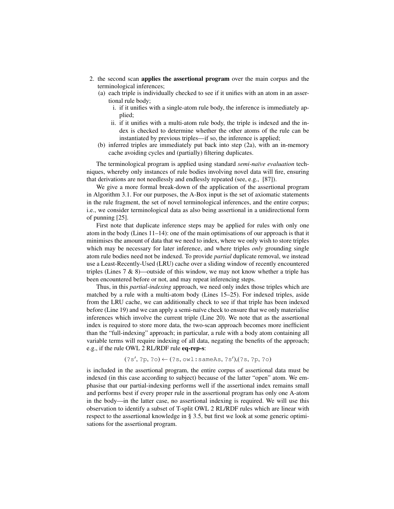- 2. the second scan applies the assertional program over the main corpus and the terminological inferences;
	- (a) each triple is individually checked to see if it unifies with an atom in an assertional rule body;
		- i. if it unifies with a single-atom rule body, the inference is immediately applied;
		- ii. if it unifies with a multi-atom rule body, the triple is indexed and the index is checked to determine whether the other atoms of the rule can be instantiated by previous triples—if so, the inference is applied;
	- (b) inferred triples are immediately put back into step (2a), with an in-memory cache avoiding cycles and (partially) filtering duplicates.

The terminological program is applied using standard *semi-naïve evaluation* techniques, whereby only instances of rule bodies involving novel data will fire, ensuring that derivations are not needlessly and endlessly repeated (see, e.g., [87]).

We give a more formal break-down of the application of the assertional program in Algorithm 3.1. For our purposes, the A-Box input is the set of axiomatic statements in the rule fragment, the set of novel terminological inferences, and the entire corpus; i.e., we consider terminological data as also being assertional in a unidirectional form of punning [25].

First note that duplicate inference steps may be applied for rules with only one atom in the body (Lines 11–14): one of the main optimisations of our approach is that it minimises the amount of data that we need to index, where we only wish to store triples which may be necessary for later inference, and where triples *only* grounding single atom rule bodies need not be indexed. To provide *partial* duplicate removal, we instead use a Least-Recently-Used (LRU) cache over a sliding window of recently encountered triples (Lines 7 & 8)—outside of this window, we may not know whether a triple has been encountered before or not, and may repeat inferencing steps.

Thus, in this *partial-indexing* approach, we need only index those triples which are matched by a rule with a multi-atom body (Lines 15–25). For indexed triples, aside from the LRU cache, we can additionally check to see if that triple has been indexed before (Line 19) and we can apply a semi-naïve check to ensure that we only materialise inferences which involve the current triple (Line 20). We note that as the assertional index is required to store more data, the two-scan approach becomes more inefficient than the "full-indexing" approach; in particular, a rule with a body atom containing all variable terms will require indexing of all data, negating the benefits of the approach; e.g., if the rule OWL 2 RL/RDF rule eq-rep-s:

 $(?s', ?p, ?o) \leftarrow (?s, \text{owl:sameAs}, ?s'), (?s, ?p, ?o)$ 

is included in the assertional program, the entire corpus of assertional data must be indexed (in this case according to subject) because of the latter "open" atom. We emphasise that our partial-indexing performs well if the assertional index remains small and performs best if every proper rule in the assertional program has only one A-atom in the body—in the latter case, no assertional indexing is required. We will use this observation to identify a subset of T-split OWL 2 RL/RDF rules which are linear with respect to the assertional knowledge in § 3.5, but first we look at some generic optimisations for the assertional program.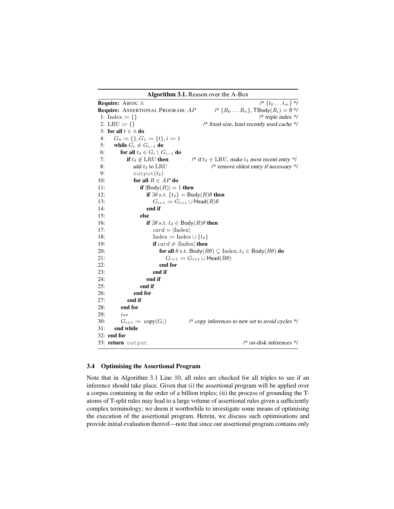Algorithm 3.1. Reason over the A-Box

**Require:** ABOX: A  $/$   $\{t_0 \dots t_m\}$   $\}$ **Require:** ASSERTIONAL PROGRAM:  $AP$  /\*  $\{R_0 ... R_n\}$ , TBody $(R_i) = \emptyset$  \*/ 1: Index  $:= \{\}$ 2: LRU :=  $\{\}$  /\* fixed-size, least recently used cache \*/ 3: for all  $t \in A$  do 4:  $G_0 := \{\}, G_1 := \{t\}, i := 1$ 5: while  $G_i \neq G_{i-1}$  do 6: for all  $t_\delta \in G_i \setminus G_{i-1}$  do 7: **if**  $t_{\delta} \notin \text{LRU}$  then  $\qquad \qquad$  /\* if  $t_{\delta} \in \text{LRU}$ , make  $t_{\delta}$  most recent entry \*/ 8: add  $t_{\delta}$  to LRU /\* remove eldest entry if necessary \*/ 9: output $(t_\delta)$ 10: **for all**  $R \in AP$  do 11: **if**  $|Body(R)| = 1$  then 12: **if**  $\exists \theta$  s.t.  $\{t_\delta\}$  = Body $(R)\theta$  then 13:  $G_{i+1} := G_{i+1} \cup \text{Head}(R)\theta$ 14: end if 15: else 16: **if**  $\exists \theta$  s.t.  $t_\delta \in \text{Body}(R)\theta$  then 17:  $card = |\text{Index}|$ 18: Index := Index ∪  $\{t_\delta\}$ 19: **if**  $card \neq |\text{Index}|$  **then** 20: **for all**  $\theta$  s.t.  $\text{Body}(R\theta) \subseteq \text{Index}, t_{\delta} \in \text{Body}(R\theta)$  **do** 21:  $G_{i+1} := G_{i+1} \cup \text{Head}(R\theta)$ 22: end for 23: end if 24: end if 25: end if 26: end for 27: end if 28: end for 29:  $i_{++}$ <br>30:  $G_{i+1} := \text{copy}(G_i)$ 30:  $G_{i+1} := \text{copy}(G_i)$  /\* copy inferences to new set to avoid cycles \*/ 31: end while 32: end for 33: **return** output /\* on-disk inferences \*/

#### 3.4 Optimising the Assertional Program

Note that in Algorithm 3.1 Line 10, all rules are checked for all triples to see if an inference should take place. Given that (i) the assertional program will be applied over a corpus containing in the order of a billion triples; (ii) the process of grounding the Tatoms of T-split rules may lead to a large volume of assertional rules given a sufficiently complex terminology; we deem it worthwhile to investigate some means of optimising the execution of the assertional program. Herein, we discuss such optimisations and provide initial evaluation thereof—note that since our assertional program contains only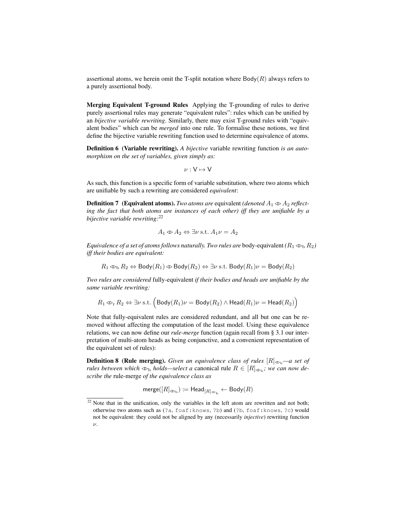assertional atoms, we herein omit the T-split notation where  $Body(R)$  always refers to a purely assertional body.

Merging Equivalent T-ground Rules Applying the T-grounding of rules to derive purely assertional rules may generate "equivalent rules": rules which can be unified by an *bijective variable rewriting*. Similarly, there may exist T-ground rules with "equivalent bodies" which can be *merged* into one rule. To formalise these notions, we first define the bijective variable rewriting function used to determine equivalence of atoms.

Definition 6 (Variable rewriting). *A bijective* variable rewriting function *is an automorphism on the set of variables, given simply as:*

$$
\nu: \mathsf{V} \mapsto \mathsf{V}
$$

As such, this function is a specific form of variable substitution, where two atoms which are unifiable by such a rewriting are considered *equivalent*:

**Definition 7** (Equivalent atoms). *Two atoms are* equivalent *(denoted*  $A_1 \oplus A_2$  *reflecting the fact that both atoms are instances of each other) iff they are unifiable by a bijective variable rewriting:*<sup>22</sup>

$$
A_1 \oplus A_2 \Leftrightarrow \exists \nu \text{ s.t. } A_1 \nu = A_2
$$

*Equivalence of a set of atoms follows naturally. Two rules are body-equivalent*  $(R_1 \triangleleft_R R_2)$ *iff their bodies are equivalent:*

$$
R_1 \oplus_{\text{b}} R_2 \Leftrightarrow \text{Body}(R_1) \oplus \text{Body}(R_2) \Leftrightarrow \exists \nu \text{ s.t. } \text{Body}(R_1) \nu = \text{Body}(R_2)
$$

*Two rules are considered* fully-equivalent *if their bodies and heads are unifiable by the same variable rewriting:*

$$
R_1 \oplus_r R_2 \Leftrightarrow \exists \nu \text{ s.t. } \left( \mathsf{Body}(R_1) \nu = \mathsf{Body}(R_2) \land \mathsf{Head}(R_1) \nu = \mathsf{Head}(R_2) \right)
$$

Note that fully-equivalent rules are considered redundant, and all but one can be removed without affecting the computation of the least model. Using these equivalence relations, we can now define our *rule-merge* function (again recall from § 3.1 our interpretation of multi-atom heads as being conjunctive, and a convenient representation of the equivalent set of rules):

**Definition 8 (Rule merging).** *Given an equivalence class of rules*  $[R]_{\text{def}}-a$  *set of rules between which*  $\triangleleft$ <sub>b</sub> *holds—select a* canonical rule  $R \in [R]_{\triangleleft}$ , *we can now describe the* rule-merge *of the equivalence class as*

$$
\mathsf{merge}([R]_{\mathsf{db}}) \coloneqq \mathsf{Head}_{[R]_{\mathsf{db}}}\leftarrow \mathsf{Body}(R)
$$

 $22$  Note that in the unification, only the variables in the left atom are rewritten and not both; otherwise two atoms such as (?a, foaf:knows, ?b) and (?b, foaf:knows, ?c) would not be equivalent: they could not be aligned by any (necessarily *injective*) rewriting function  $\nu$ .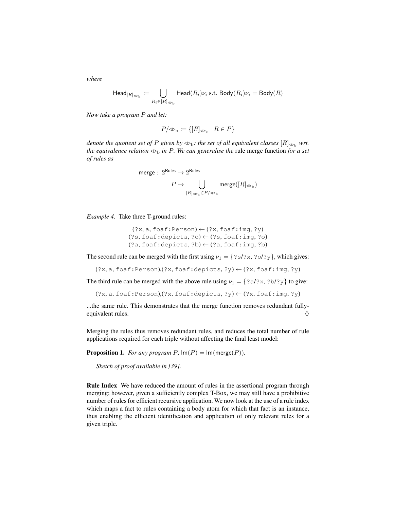*where*

$$
\mathsf{Head}_{[R]_{\triangleleft\triangleright_{\mathbf{b}}}} \coloneqq \bigcup_{R_i \in [R]_{\triangleleft\triangleright_{\mathbf{b}}}} \mathsf{Head}(R_i) \nu_i \text{ s.t. } \mathsf{Body}(R_i) \nu_i = \mathsf{Body}(R)
$$

*Now take a program* P *and let:*

$$
P/\text{D}_b := \{ [R]_{\text{D}_b} \mid R \in P \}
$$

*denote the quotient set of* P *given by*  $\oplus_b$ *: the set of all equivalent classes*  $[R]_{\oplus_b}$  *wrt. the equivalence relation*  $\triangle_{\text{b}}$  *in* P. We can generalise the rule merge function for a set *of rules as*

$$
\begin{aligned} \text{merge}: \; & 2^{\text{Rules}} \rightarrow 2^{\text{Rules}} \\ & P \mapsto \bigcup_{[R]_{\text{db}_\text{b}} \in P/\text{db}_\text{b}} \text{merge}([R]_{\text{db}_\text{b}}) \end{aligned}
$$

*Example 4.* Take three T-ground rules:

 $(?x, a, foaf:Person) \leftarrow (?x, foaf:img, ?y)$  $(?s, foaf:depicts, ?o) \leftarrow (?s, foaf:img, ?o)$  $(?a, foaf:depicts, ?b) \leftarrow (?a, foaf:img, ?b)$ 

The second rule can be merged with the first using  $\nu_1 = \{?s/?x, ?o/?y\}$ , which gives:

 $(?x, a, foaf:Person),(?x, foaf:depicts, ?y) \leftarrow (?x, foaf:img, ?y)$ 

The third rule can be merged with the above rule using  $\nu_1 = \{?a!/x, ?b!/y\}$  to give:

 $(?x, a, foaf:Person), (?x, foaf:depicts, ?y) \leftarrow (?x, foaf:img, ?y)$ 

...the same rule. This demonstrates that the merge function removes redundant fullyequivalent rules.  $\Diamond$ 

Merging the rules thus removes redundant rules, and reduces the total number of rule applications required for each triple without affecting the final least model:

**Proposition 1.** *For any program P*,  $\text{Im}(P) = \text{Im}(\text{merge}(P)).$ 

*Sketch of proof available in [39].*

Rule Index We have reduced the amount of rules in the assertional program through merging; however, given a sufficiently complex T-Box, we may still have a prohibitive number of rules for efficient recursive application. We now look at the use of a rule index which maps a fact to rules containing a body atom for which that fact is an instance, thus enabling the efficient identification and application of only relevant rules for a given triple.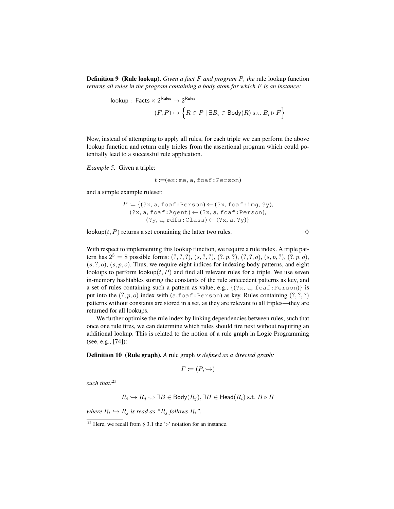Definition 9 (Rule lookup). *Given a fact* F *and program* P*, the* rule lookup function *returns all rules in the program containing a body atom for which* F *is an instance:*

$$
\begin{aligned}\n\text{lookup}: \ \mathsf{Facts} \times 2^{\mathsf{Rules}} &\rightarrow 2^{\mathsf{Rules}} \\
(F, P) &\mapsto \left\{ R \in P \mid \exists B_i \in \mathsf{Body}(R) \text{ s.t. } B_i \triangleright F \right\}\n\end{aligned}
$$

Now, instead of attempting to apply all rules, for each triple we can perform the above lookup function and return only triples from the assertional program which could potentially lead to a successful rule application.

*Example 5.* Given a triple:

 $t := (ex:me, a, foaf:Person)$ 

and a simple example ruleset:

$$
P := \{ (?x, a, foaf:Person) \leftarrow (?x, foaf:img, ?y),
$$
  

$$
(?x, a, foaf:Agent) \leftarrow (?x, a, foaf:Person),
$$
  

$$
(?y, a, rdfs:Class) \leftarrow (?x, a, ?y) \}
$$

lookup $(t, P)$  returns a set containing the latter two rules.  $\Diamond$ 

With respect to implementing this lookup function, we require a rule index. A triple pattern has  $2^3 = 8$  possible forms:  $(?,?,?,), (s,?,?), (?,,?,), (?,?,,o), (s, p,?), (?,,p,o),$  $(s, ?, o), (s, p, o)$ . Thus, we require eight indices for indexing body patterns, and eight lookups to perform  $\text{lookup}(t, P)$  and find all relevant rules for a triple. We use seven in-memory hashtables storing the constants of the rule antecedent patterns as key, and a set of rules containing such a pattern as value; e.g.,  $\{(?x, a, foaf:Person)\}\)$  is put into the  $(?, p, o)$  index with  $(a, f \circ a f : Person)$  as key. Rules containing  $(?, ?, ?)$ patterns without constants are stored in a set, as they are relevant to all triples—they are returned for all lookups.

We further optimise the rule index by linking dependencies between rules, such that once one rule fires, we can determine which rules should fire next without requiring an additional lookup. This is related to the notion of a rule graph in Logic Programming (see, e.g., [74]):

Definition 10 (Rule graph). *A* rule graph *is defined as a directed graph:*

$$
\Gamma := (P, \hookrightarrow)
$$

*such that:*<sup>23</sup>

$$
R_i \hookrightarrow R_j \Leftrightarrow \exists B \in \mathsf{Body}(R_j), \exists H \in \mathsf{Head}(R_i) \text{ s.t. } B \triangleright H
$$

where  $R_i \hookrightarrow R_j$  is read as " $R_j$  *follows*  $R_i$ ".

<sup>&</sup>lt;sup>23</sup> Here, we recall from § 3.1 the ' $\triangleright$ ' notation for an instance.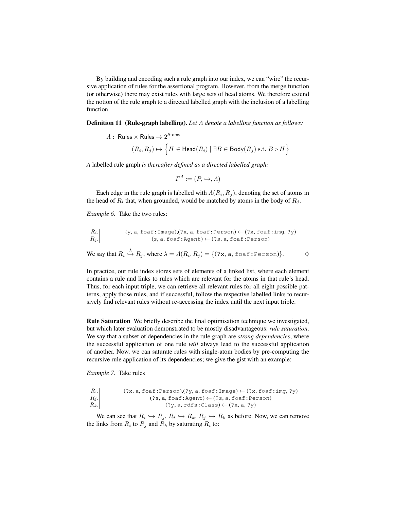By building and encoding such a rule graph into our index, we can "wire" the recursive application of rules for the assertional program. However, from the merge function (or otherwise) there may exist rules with large sets of head atoms. We therefore extend the notion of the rule graph to a directed labelled graph with the inclusion of a labelling function

Definition 11 (Rule-graph labelling). *Let* Λ *denote a labelling function as follows:*

 $\Lambda$  : Rules  $\times$  Rules  $\rightarrow 2^{\text{Atoms}}$ 

$$
(R_i, R_j) \mapsto \Big\{H \in \textsf{Head}(R_i) \mid \exists B \in \textsf{Body}(R_j) \text{ s.t. } B \triangleright H \Big\}
$$

*A* labelled rule graph *is thereafter defined as a directed labelled graph:*

 $\Gamma^A := (P, \hookrightarrow, A)$ 

Each edge in the rule graph is labelled with  $\Lambda(R_i, R_j)$ , denoting the set of atoms in the head of  $R_i$  that, when grounded, would be matched by atoms in the body of  $R_j$ .

*Example 6.* Take the two rules:

$$
R_i.
$$
 (y, a, foaf:Image), (?x, a, foaf:Person)  $\leftarrow$  (?x, foaf:img, ?y)  
\n
$$
R_j.
$$
 (s, a, foaf:Agent)  $\leftarrow$  (?s, a, foaf:Person)

We say that  $R_i \stackrel{\lambda}{\hookrightarrow} R_j,$  where  $\lambda = \Lambda(R_i,R_j) = \{(? \text{x}, \text{a}, \text{foaf:Person})\}.$ 

In practice, our rule index stores sets of elements of a linked list, where each element contains a rule and links to rules which are relevant for the atoms in that rule's head. Thus, for each input triple, we can retrieve all relevant rules for all eight possible patterns, apply those rules, and if successful, follow the respective labelled links to recursively find relevant rules without re-accessing the index until the next input triple.

Rule Saturation We briefly describe the final optimisation technique we investigated, but which later evaluation demonstrated to be mostly disadvantageous: *rule saturation*. We say that a subset of dependencies in the rule graph are *strong dependencies*, where the successful application of one rule *will* always lead to the successful application of another. Now, we can saturate rules with single-atom bodies by pre-computing the recursive rule application of its dependencies; we give the gist with an example:

*Example 7.* Take rules

| $R_i$ .   | $(?x, a, foaf:Person)(?y, a, foaf:Image) \leftarrow (?x, foaf:img, ?y)$ |
|-----------|-------------------------------------------------------------------------|
| $R_{i}$ . | $(?s, a, foaf:Agent) \leftarrow (?s, a, foaf:Person)$                   |
| $R_k$ .   | $(?y, a, rdfs:Class) \leftarrow (?x, a, ?y)$                            |

We can see that  $R_i \hookrightarrow R_j$ ,  $R_i \hookrightarrow R_k$ ,  $R_j \hookrightarrow R_k$  as before. Now, we can remove the links from  $R_i$  to  $R_j$  and  $R_k$  by saturating  $R_i$  to: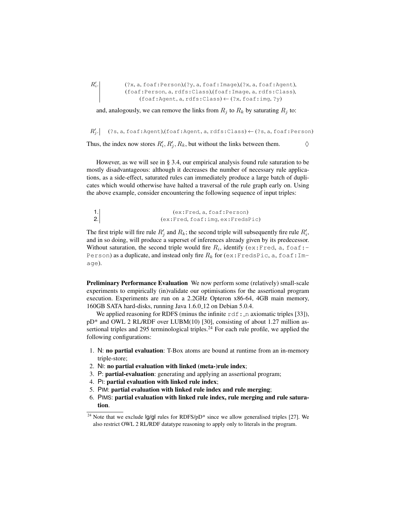$R_i'$ . (?x, a, foaf:Person),(?y, a, foaf:Image),(?x, a, foaf:Agent), (foaf:Person, a, rdfs:Class),(foaf:Image, a, rdfs:Class), (foaf:Agent, a, rdfs:Class) ← (?x, foaf:img, ?y)

and, analogously, we can remove the links from  $R_j$  to  $R_k$  by saturating  $R_j$  to:

 $R'_j$ . (?s, a, foaf:Agent),(foaf:Agent, a, rdfs:Class) ← (?s, a, foaf:Person)

Thus, the index now stores  $R'_i, R'_j, R_k$ , but without the links between them.  $\diamond$ 

However, as we will see in § 3.4, our empirical analysis found rule saturation to be mostly disadvantageous: although it decreases the number of necessary rule applications, as a side-effect, saturated rules can immediately produce a large batch of duplicates which would otherwise have halted a traversal of the rule graph early on. Using the above example, consider encountering the following sequence of input triples:

| 1. | (ex:Fred.a.foaf:Person)           |
|----|-----------------------------------|
| 2. | (ex: Fred, foaf:img, ex:FredsPic) |

The first triple will fire rule  $R'_j$  and  $R_k$ ; the second triple will subsequently fire rule  $R'_i$ , and in so doing, will produce a superset of inferences already given by its predecessor. Without saturation, the second triple would fire  $R_i$ , identify (ex: Fred, a, foaf: -Person) as a duplicate, and instead only fire  $R_k$  for (ex:FredsPic, a, foaf:Image).

Preliminary Performance Evaluation We now perform some (relatively) small-scale experiments to empirically (in)validate our optimisations for the assertional program execution. Experiments are run on a 2.2GHz Opteron x86-64, 4GB main memory, 160GB SATA hard-disks, running Java 1.6.0 12 on Debian 5.0.4.

We applied reasoning for RDFS (minus the infinite  $rdf$ :  $\Delta r$  axiomatic triples [33]), pD\* and OWL 2 RL/RDF over LUBM(10) [30], consisting of about 1.27 million assertional triples and 295 terminological triples.<sup>24</sup> For each rule profile, we applied the following configurations:

- 1. N: no partial evaluation: T-Box atoms are bound at runtime from an in-memory triple-store;
- 2. NI: no partial evaluation with linked (meta-)rule index;
- 3. P: partial-evaluation: generating and applying an assertional program;
- 4. PI: partial evaluation with linked rule index;
- 5. PIM: partial evaluation with linked rule index and rule merging;
- 6. PIMS: partial evaluation with linked rule index, rule merging and rule saturation.

<sup>&</sup>lt;sup>24</sup> Note that we exclude  $\log/g$  rules for RDFS/pD\* since we allow generalised triples [27]. We also restrict OWL 2 RL/RDF datatype reasoning to apply only to literals in the program.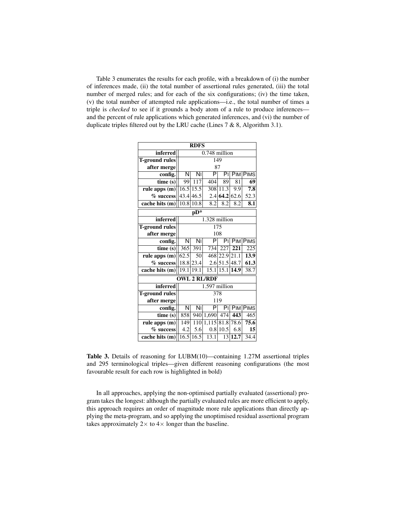Table 3 enumerates the results for each profile, with a breakdown of (i) the number of inferences made, (ii) the total number of assertional rules generated, (iii) the total number of merged rules; and for each of the six configurations; (iv) the time taken, (v) the total number of attempted rule applications—i.e., the total number of times a triple is *checked* to see if it grounds a body atom of a rule to produce inferences and the percent of rule applications which generated inferences, and (vi) the number of duplicate triples filtered out by the LRU cache (Lines  $7 & 8,$  Algorithm 3.1).

| <b>RDFS</b>           |                                              |                 |                     |                  |      |                 |  |  |
|-----------------------|----------------------------------------------|-----------------|---------------------|------------------|------|-----------------|--|--|
| <i>inferred</i>       |                                              | $0.748$ million |                     |                  |      |                 |  |  |
| <b>T-ground rules</b> |                                              |                 |                     | 149              |      |                 |  |  |
| after merge           |                                              |                 | 87                  |                  |      |                 |  |  |
| config.               | N                                            | Nι              | P                   | Pı               |      | <b>PIMPIMS</b>  |  |  |
| time (s)              | 99                                           | 117             | 404                 | 89               | 81   | 69              |  |  |
| rule apps (m)         |                                              | 16.5 15.5       |                     | 308 11.3         | 9.9  | 7.8             |  |  |
| $%$ success           | 43.4                                         | 46.5            |                     | 2.4 64.2         | 62.6 | 52.3            |  |  |
| cache hits (m)        | 10.8                                         | 10.8            | 8.2                 | 8.2              | 8.2  | 8.1             |  |  |
|                       |                                              | $pD*$           |                     |                  |      |                 |  |  |
| inferred              |                                              |                 | 1.328 million       |                  |      |                 |  |  |
| <b>T-ground rules</b> |                                              |                 |                     | $\overline{175}$ |      |                 |  |  |
| after merge           |                                              |                 |                     | 108              |      |                 |  |  |
| config.               | N                                            | NΙ              | P                   | Ρı               |      | <b>PIM PIMS</b> |  |  |
| time(s)               | 365                                          | 391             | 734                 | 227              | 221  | 225             |  |  |
| rule apps (m)         | 62.5                                         | 50              |                     | 468 22.9         | 21.1 | 13.9            |  |  |
| $%$ success           | 18.8<br>2.6 51.5 48.7<br>23.4                |                 |                     |                  |      | 61.3            |  |  |
| cache hits (m)        | 19.1<br>19.1<br>15.1<br>15.1<br>14.9<br>38.7 |                 |                     |                  |      |                 |  |  |
|                       |                                              |                 | <b>OWL 2 RL/RDF</b> |                  |      |                 |  |  |
| inferred              |                                              |                 | 1.597 million       |                  |      |                 |  |  |
| <b>T-ground rules</b> | 378                                          |                 |                     |                  |      |                 |  |  |
| after merge           | 119                                          |                 |                     |                  |      |                 |  |  |
| config.               | N                                            | Nι              | P                   | Pıl              |      | <b>PIM PIMS</b> |  |  |
| time(s)               | 858                                          | 940             | 1,690               | 474              | 443  | 465             |  |  |
| rule apps (m)         | 1,115 81.8<br>75.6<br>149<br>110<br>78.6     |                 |                     |                  |      |                 |  |  |
| $\%$ success          | 10.5<br>4.2<br>5.6<br>0.8<br>6.8<br>15       |                 |                     |                  |      |                 |  |  |
| cache hits (m)        | 16.5<br>16.5<br>13.1<br>13<br>12.7<br>34.4   |                 |                     |                  |      |                 |  |  |

Table 3. Details of reasoning for LUBM(10)—containing 1.27M assertional triples and 295 terminological triples—given different reasoning configurations (the most favourable result for each row is highlighted in bold)

In all approaches, applying the non-optimised partially evaluated (assertional) program takes the longest: although the partially evaluated rules are more efficient to apply, this approach requires an order of magnitude more rule applications than directly applying the meta-program, and so applying the unoptimised residual assertional program takes approximately  $2 \times$  to  $4 \times$  longer than the baseline.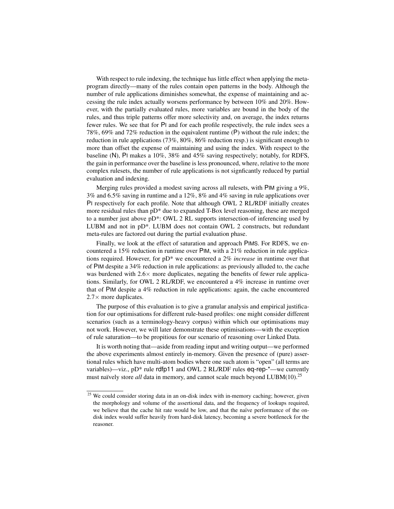With respect to rule indexing, the technique has little effect when applying the metaprogram directly—many of the rules contain open patterns in the body. Although the number of rule applications diminishes somewhat, the expense of maintaining and accessing the rule index actually worsens performance by between 10% and 20%. However, with the partially evaluated rules, more variables are bound in the body of the rules, and thus triple patterns offer more selectivity and, on average, the index returns fewer rules. We see that for PI and for each profile respectively, the rule index sees a 78%, 69% and 72% reduction in the equivalent runtime (P) without the rule index; the reduction in rule applications (73%, 80%, 86% reduction resp.) is significant enough to more than offset the expense of maintaining and using the index. With respect to the baseline (N), PI makes a 10%, 38% and 45% saving respectively; notably, for RDFS, the gain in performance over the baseline is less pronounced, where, relative to the more complex rulesets, the number of rule applications is not signficantly reduced by partial evaluation and indexing.

Merging rules provided a modest saving across all rulesets, with PIM giving a 9%, 3% and 6.5% saving in runtime and a 12%, 8% and 4% saving in rule applications over PI respectively for each profile. Note that although OWL 2 RL/RDF initially creates more residual rules than pD\* due to expanded T-Box level reasoning, these are merged to a number just above pD\*: OWL 2 RL supports intersection-of inferencing used by LUBM and not in pD\*. LUBM does not contain OWL 2 constructs, but redundant meta-rules are factored out during the partial evaluation phase.

Finally, we look at the effect of saturation and approach PIMS. For RDFS, we encountered a 15% reduction in runtime over PIM, with a 21% reduction in rule applications required. However, for pD\* we encountered a 2% *increase* in runtime over that of PIM despite a 34% reduction in rule applications: as previously alluded to, the cache was burdened with  $2.6 \times$  more duplicates, negating the benefits of fewer rule applications. Similarly, for OWL 2 RL/RDF, we encountered a 4% increase in runtime over that of PIM despite a 4% reduction in rule applications: again, the cache encountered  $2.7\times$  more duplicates.

The purpose of this evaluation is to give a granular analysis and empirical justification for our optimisations for different rule-based profiles: one might consider different scenarios (such as a terminology-heavy corpus) within which our optimisations may not work. However, we will later demonstrate these optimisations—with the exception of rule saturation—to be propitious for our scenario of reasoning over Linked Data.

It is worth noting that—aside from reading input and writing output—we performed the above experiments almost entirely in-memory. Given the presence of (pure) assertional rules which have multi-atom bodies where one such atom is "open" (all terms are variables)—viz.,  $pD^*$  rule rdfp11 and OWL 2 RL/RDF rules eq-rep- $*$ —we currently must naïvely store *all* data in memory, and cannot scale much beyond LUBM(10).<sup>25</sup>

<sup>&</sup>lt;sup>25</sup> We could consider storing data in an on-disk index with in-memory caching; however, given the morphology and volume of the assertional data, and the frequency of lookups required, we believe that the cache hit rate would be low, and that the naïve performance of the ondisk index would suffer heavily from hard-disk latency, becoming a severe bottleneck for the reasoner.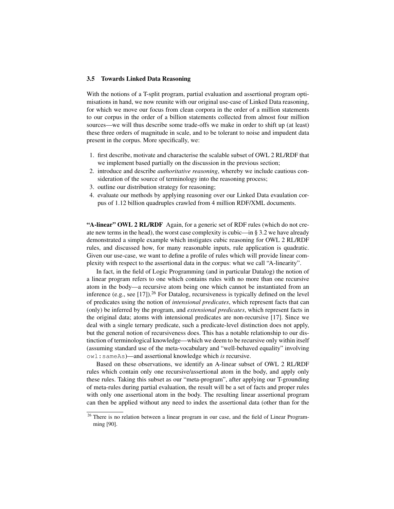### 3.5 Towards Linked Data Reasoning

With the notions of a T-split program, partial evaluation and assertional program optimisations in hand, we now reunite with our original use-case of Linked Data reasoning, for which we move our focus from clean corpora in the order of a million statements to our corpus in the order of a billion statements collected from almost four million sources—we will thus describe some trade-offs we make in order to shift up (at least) these three orders of magnitude in scale, and to be tolerant to noise and impudent data present in the corpus. More specifically, we:

- 1. first describe, motivate and characterise the scalable subset of OWL 2 RL/RDF that we implement based partially on the discussion in the previous section;
- 2. introduce and describe *authoritative reasoning*, whereby we include cautious consideration of the source of terminology into the reasoning process;
- 3. outline our distribution strategy for reasoning;
- 4. evaluate our methods by applying reasoning over our Linked Data evaulation corpus of 1.12 billion quadruples crawled from 4 million RDF/XML documents.

"A-linear" OWL 2 RL/RDF Again, for a generic set of RDF rules (which do not create new terms in the head), the worst case complexity is cubic—in § 3.2 we have already demonstrated a simple example which instigates cubic reasoning for OWL 2 RL/RDF rules, and discussed how, for many reasonable inputs, rule application is quadratic. Given our use-case, we want to define a profile of rules which will provide linear complexity with respect to the assertional data in the corpus: what we call "A-linearity".

In fact, in the field of Logic Programming (and in particular Datalog) the notion of a linear program refers to one which contains rules with no more than one recursive atom in the body—a recursive atom being one which cannot be instantiated from an inference (e.g., see [17]).<sup>26</sup> For Datalog, recursiveness is typically defined on the level of predicates using the notion of *intensional predicates*, which represent facts that can (only) be inferred by the program, and *extensional predicates*, which represent facts in the original data; atoms with intensional predicates are non-recursive [17]. Since we deal with a single ternary predicate, such a predicate-level distinction does not apply, but the general notion of recursiveness does. This has a notable relationship to our distinction of terminological knowledge—which we deem to be recursive only within itself (assuming standard use of the meta-vocabulary and "well-behaved equality" involving owl:sameAs)—and assertional knowledge which *is* recursive.

Based on these observations, we identify an A-linear subset of OWL 2 RL/RDF rules which contain only one recursive/assertional atom in the body, and apply only these rules. Taking this subset as our "meta-program", after applying our T-grounding of meta-rules during partial evaluation, the result will be a set of facts and proper rules with only one assertional atom in the body. The resulting linear assertional program can then be applied without any need to index the assertional data (other than for the

<sup>&</sup>lt;sup>26</sup> There is no relation between a linear program in our case, and the field of Linear Programming [90].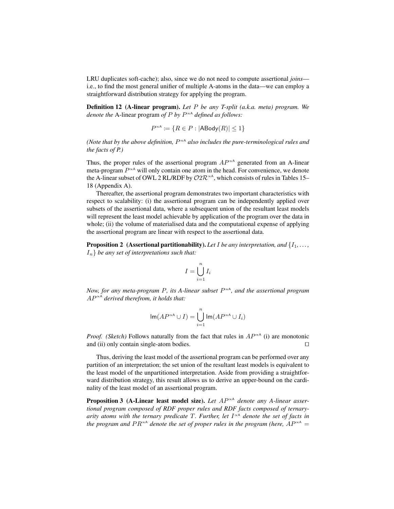LRU duplicates soft-cache); also, since we do not need to compute assertional *joins* i.e., to find the most general unifier of multiple A-atoms in the data—we can employ a straightforward distribution strategy for applying the program.

Definition 12 (A-linear program). *Let* P *be any T-split (a.k.a. meta) program. We denote the* A-linear program *of* P *by* P <sup>∝</sup><sup>A</sup> *defined as follows:*

$$
P^{\sim \mathsf{A}} \coloneqq \{ R \in P : |\mathsf{ABody}(R)| \le 1 \}
$$

*(Note that by the above definition,* P <sup>∝</sup><sup>A</sup> *also includes the pure-terminological rules and the facts of P.)*

Thus, the proper rules of the assertional program  $AP^{\alpha A}$  generated from an A-linear meta-program  $P^{\alpha A}$  will only contain one atom in the head. For convenience, we denote the A-linear subset of OWL 2 RL/RDF by  $O2\mathcal{R}^{\alpha A}$ , which consists of rules in Tables 15– 18 (Appendix A).

Thereafter, the assertional program demonstrates two important characteristics with respect to scalability: (i) the assertional program can be independently applied over subsets of the assertional data, where a subsequent union of the resultant least models will represent the least model achievable by application of the program over the data in whole; (ii) the volume of materialised data and the computational expense of applying the assertional program are linear with respect to the assertional data.

**Proposition 2** (Assertional partitionability). Let I be any interpretation, and  $\{I_1, \ldots, I_n\}$ In} *be any set of interpretations such that:*

$$
I = \bigcup_{i=1}^{n} I_i
$$

*Now, for any meta-program* P*, its A-linear subset* P ∝A *, and the assertional program* AP <sup>∝</sup><sup>A</sup> *derived therefrom, it holds that:*

$$
\mathrm{Im}(AP^{\propto \mathsf{A}} \cup I) = \bigcup_{i=1}^n \mathrm{Im}(AP^{\propto \mathsf{A}} \cup I_i)
$$

*Proof.* (Sketch) Follows naturally from the fact that rules in  $AP^{\alpha A}$  (i) are monotonic and (ii) only contain single-atom bodies.  $\Box$ 

Thus, deriving the least model of the assertional program can be performed over any partition of an interpretation; the set union of the resultant least models is equivalent to the least model of the unpartitioned interpretation. Aside from providing a straightforward distribution strategy, this result allows us to derive an upper-bound on the cardinality of the least model of an assertional program.

**Proposition 3** (A-Linear least model size). Let AP<sup>∞A</sup> denote any A-linear asser*tional program composed of RDF proper rules and RDF facts composed of ternaryarity atoms with the ternary predicate* T*. Further, let* I <sup>∝</sup><sup>A</sup> *denote the set of facts in the program and*  $PR^{\alpha A}$  *denote the set of proper rules in the program (here,*  $AP^{\alpha A}$  *=*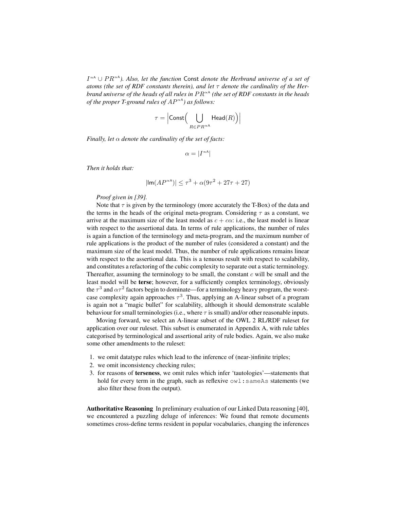I <sup>∝</sup><sup>A</sup> ∪ P R<sup>∝</sup><sup>A</sup> *). Also, let the function* Const *denote the Herbrand universe of a set of atoms (the set of RDF constants therein), and let* τ *denote the cardinality of the Herbrand universe of the heads of all rules in* P R<sup>∝</sup><sup>A</sup> *(the set of RDF constants in the heads of the proper T-ground rules of AP*<sup>∞A</sup>) as follows:

$$
\tau = \left|\mathsf{Const}\Big(\bigcup_{R\in PR^{\propto \mathsf{A}}}\mathsf{Head}(R)\Big)\right|
$$

*Finally, let*  $\alpha$  *denote the cardinality of the set of facts:* 

$$
\alpha = |I^{\infty A}|
$$

*Then it holds that:*

$$
|\text{Im}(AP^{\propto A})| \le \tau^3 + \alpha(9\tau^2 + 27\tau + 27)
$$

### *Proof given in [39].*

Note that  $\tau$  is given by the terminology (more accurately the T-Box) of the data and the terms in the heads of the original meta-program. Considering  $\tau$  as a constant, we arrive at the maximum size of the least model as  $c + c\alpha$ : i.e., the least model is linear with respect to the assertional data. In terms of rule applications, the number of rules is again a function of the terminology and meta-program, and the maximum number of rule applications is the product of the number of rules (considered a constant) and the maximum size of the least model. Thus, the number of rule applications remains linear with respect to the assertional data. This is a tenuous result with respect to scalability, and constitutes a refactoring of the cubic complexity to separate out a static terminology. Thereafter, assuming the terminology to be small, the constant  $c$  will be small and the least model will be terse; however, for a sufficiently complex terminology, obviously the  $\tau^3$  and  $\alpha \tau^2$  factors begin to dominate—for a terminology heavy program, the worstcase complexity again approaches  $\tau^3$ . Thus, applying an A-linear subset of a program is again not a "magic bullet" for scalability, although it should demonstrate scalable behaviour for small terminologies (i.e., where  $\tau$  is small) and/or other reasonable inputs.

Moving forward, we select an A-linear subset of the OWL 2 RL/RDF ruleset for application over our ruleset. This subset is enumerated in Appendix A, with rule tables categorised by terminological and assertional arity of rule bodies. Again, we also make some other amendments to the ruleset:

- 1. we omit datatype rules which lead to the inference of (near-)infinite triples;
- 2. we omit inconsistency checking rules;
- 3. for reasons of terseness, we omit rules which infer 'tautologies'—statements that hold for every term in the graph, such as reflexive  $\circ \text{wt}$ : sameAs statements (we also filter these from the output).

Authoritative Reasoning In preliminary evaluation of our Linked Data reasoning [40], we encountered a puzzling deluge of inferences: We found that remote documents sometimes cross-define terms resident in popular vocabularies, changing the inferences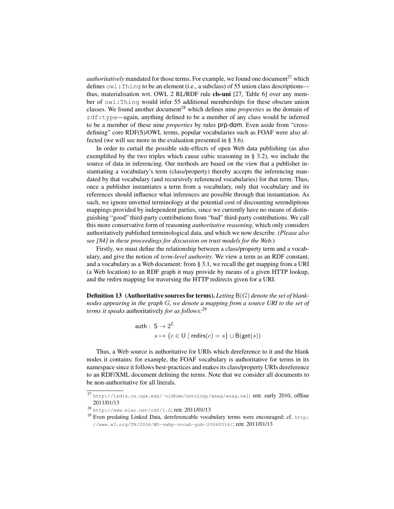*authoritatively* mandated for those terms. For example, we found one document<sup>27</sup> which defines  $\alpha w$ 1: Thing to be an element (i.e., a subclass) of 55 union class descriptions thus, materialisation wrt. OWL 2 RL/RDF rule cls-uni [27, Table 6] over any member of owl:Thing would infer 55 additional memberships for these obscure union classes. We found another document<sup>28</sup> which defines nine *properties* as the domain of rdf:type—again, anything defined to be a member of any class would be inferred to be a member of these nine *properties* by rules prp-dom. Even aside from "crossdefining" core RDF(S)/OWL terms, popular vocabularies such as FOAF were also affected (we will see more in the evaluation presented in § 3.6).

In order to curtail the possible side-effects of open Web data publishing (as also exemplified by the two triples which cause cubic reasoning in § 3.2), we include the source of data in inferencing. Our methods are based on the view that a publisher instantiating a vocabulary's term (class/property) thereby accepts the inferencing mandated by that vocabulary (and recursively referenced vocabularies) for that term. Thus, once a publisher instantiates a term from a vocabulary, only that vocabulary and its references should influence what inferences are possible through that instantiation. As such, we ignore unvetted terminology at the potential cost of discounting serendipitous mappings provided by independent parties, since we currently have no means of distinguishing "good" third-party contributions from "bad" third-party contributions. We call this more conservative form of reasoning *authoritative reasoning*, which only considers authoritatively published terminological data, and which we now describe. (*Please also see [84] in these proceedings for discussion on trust models for the Web.*)

Firstly, we must define the relationship between a class/property term and a vocabulary, and give the notion of *term-level authority*. We view a term as an RDF constant, and a vocabulary as a Web document: from § 3.1, we recall the get mapping from a URI (a Web location) to an RDF graph it may provide by means of a given HTTP lookup, and the redirs mapping for traversing the HTTP redirects given for a URI.

Definition 13 (Authoritative sources for terms). *Letting* B(G) *denote the set of blanknodes appearing in the graph* G*, we denote a mapping from a source URI to the set of terms it speaks* authoritatively *for as follows:*<sup>29</sup>

> auth :  $S \rightarrow 2^C$  $s \mapsto \{c \in \mathsf{U} \mid \mathsf{redirs}(c) = s\} \cup \mathsf{B}(\mathsf{get}(s))$

Thus, a Web source is authoritative for URIs which dereference to it and the blank nodes it contains; for example, the FOAF vocabulary is authoritative for terms in its namespace since it follows best-practices and makes its class/property URIs dereference to an RDF/XML document defining the terms. Note that we consider all documents to be non-authoritative for all literals.

<sup>27</sup> http://lsdis.cs.uga.edu/~oldham/ontology/wsag/wsag.owl; retr. early 2010, offline 2011/01/13

<sup>28</sup> http://www.eiao.net/rdf/1.0; retr. 2011/01/13

 $^{29}$  Even predating Linked Data, dereferencable vocabulary terms were encouraged; cf. http: //www.w3.org/TR/2006/WD-swbp-vocab-pub-20060314/; retr. 2011/01/13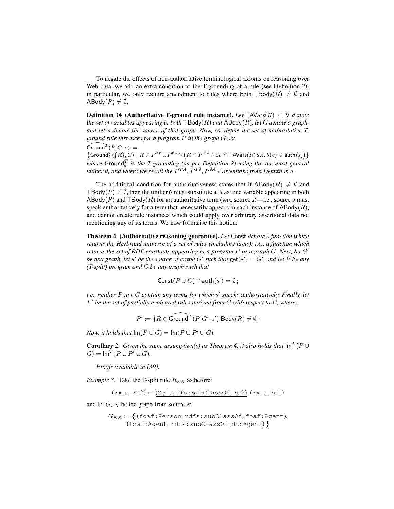To negate the effects of non-authoritative terminological axioms on reasoning over Web data, we add an extra condition to the T-grounding of a rule (see Definition 2): in particular, we only require amendment to rules where both TBody $(R) \neq \emptyset$  and ABody $(R) \neq \emptyset$ .

Definition 14 (Authoritative T-ground rule instance). *Let* TAVars(R) ⊂ V *denote the set of variables appearing in both* TBody(R) *and* ABody(R)*, let* G *denote a graph, and let* s *denote the source of that graph. Now, we define the set of authoritative Tground rule instances for a program* \ <sup>P</sup> *in the graph* <sup>G</sup> *as:*

 $\mathsf{Ground}^T(P,G,s) :=$ 

 $\big\{\mathsf{Ground}_{\theta}^{T}(\{R\}, G) \mid R \in P^{T\emptyset} \cup P^{\emptyset A} \lor \big(R \in P^{TA} \land \exists v \in \mathsf{TAVars}(R) \text{ s.t. } \theta(v) \in \mathsf{auth}(s)\big)\big\}$ where  ${\sf Ground}_\theta^T$  is the T-grounding (as per Definition 2) using the the most general  $u$ nifier  $\theta$ , and where we recall the  $P^{TA}, P^{T\emptyset}, P^{\emptyset A}$  conventions from Definition 3.

The additional condition for authoritativeness states that if ABody(R)  $\neq \emptyset$  and TBody(R)  $\neq \emptyset$ , then the unifier  $\theta$  must substitute at least one variable appearing in both ABody(R) and TBody(R) for an authoritative term (wrt. source  $s$ )—i.e., source  $s$  must speak authoritatively for a term that necessarily appears in each instance of  $\mathsf{ABody}(R)$ , and cannot create rule instances which could apply over arbitrary assertional data not mentioning any of its terms. We now formalise this notion:

Theorem 4 (Authoritative reasoning guarantee). *Let* Const *denote a function which returns the Herbrand universe of a set of rules (including facts): i.e., a function which returns the set of RDF constants appearing in a program P or a graph G. Next, let* G' *be any graph, let* s' *be the source of graph*  $G'$  such that  $\text{get}(s') = G'$ , and let P *be any (T-split) program and* G *be any graph such that*

$$
Const(P\cup G) \cap \text{auth}(s') = \emptyset;
$$

*i.e., neither* P *nor* G *contain any terms for which* s 0 *speaks authoritatively. Finally, let* P <sup>0</sup> *be the set of partially evaluated rules derived from* G *with respect to* P*, where:*

 $P' \coloneqq \{\overline{R} \in \widehat{\mathsf{Ground}}^T(P, G', s') | \mathsf{Body}(R) \neq \emptyset\}$ 

*Now, it holds that*  $\text{Im}(P \cup G) = \text{Im}(P \cup P' \cup G)$ *.* 

**Corollary 2.** Given the same assumption(s) as Theorem 4, it also holds that  $\text{Im}^{T}(P \cup$  $G$ ) =  $\textsf{Im}^{T} (P \cup P' \cup G)$ .

*Proofs available in [39].*

*Example 8.* Take the T-split rule  $R_{EX}$  as before:

 $(?x, a, ?c2) \leftarrow (?c1, rdfs:subClassOf, ?c2), (?x, a, ?c1)$ 

and let  $G_{EX}$  be the graph from source s:

$$
G_{EX} := \{ (\text{foaf:Person, rdfs:subClassOf, foaf:Agent}), \\ (\text{foaf:Agent, rdfs:subClassOf, dc:Agent}) \}
$$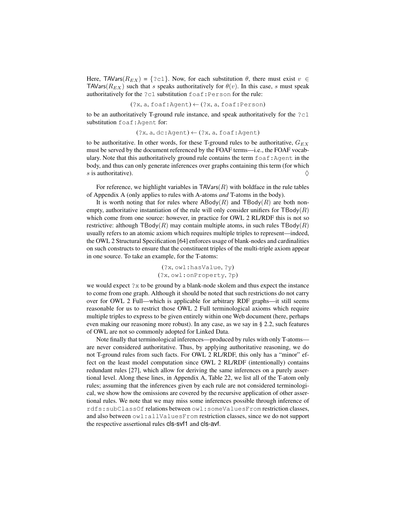Here, TAVars( $R_{EX}$ ) = {?c1}. Now, for each substitution  $\theta$ , there must exist  $v \in$ TAVars( $R_{EX}$ ) such that s speaks authoritatively for  $\theta(v)$ . In this case, s must speak authoritatively for the ?c1 substitution foaf:Person for the rule:

$$
(?x, a, foaf:Agent) \leftarrow (?x, a, foaf:Person)
$$

to be an authoritatively T-ground rule instance, and speak authoritatively for the ?c1 substitution foaf:Agent for:

 $(?x, a, dc:Agent) \leftarrow (?x, a, foaf:Agent)$ 

to be authoritative. In other words, for these T-ground rules to be authoritative,  $G_{EX}$ must be served by the document referenced by the FOAF terms—i.e., the FOAF vocabulary. Note that this authoritatively ground rule contains the term  $f$ oaf: Agent in the body, and thus can only generate inferences over graphs containing this term (for which s is authoritative).  $\Diamond$ 

For reference, we highlight variables in  $TAVars(R)$  with boldface in the rule tables of Appendix A (only applies to rules with A-atoms *and* T-atoms in the body).

It is worth noting that for rules where  $\mathsf{ABody}(R)$  and  $\mathsf{TBody}(R)$  are both nonempty, authoritative instantiation of the rule will only consider unifiers for  $T\text{Body}(R)$ which come from one source: however, in practice for OWL 2 RL/RDF this is not so restrictive: although  $TBody(R)$  may contain multiple atoms, in such rules  $TBody(R)$ usually refers to an atomic axiom which requires multiple triples to represent—indeed, the OWL 2 Structural Specification [64] enforces usage of blank-nodes and cardinalities on such constructs to ensure that the constituent triples of the multi-triple axiom appear in one source. To take an example, for the T-atoms:

```
(?x, owl:hasValue, ?y)
(?x, owl:onProperty, ?p)
```
we would expect ?x to be ground by a blank-node skolem and thus expect the instance to come from one graph. Although it should be noted that such restrictions do not carry over for OWL 2 Full—which is applicable for arbitrary RDF graphs—it still seems reasonable for us to restrict those OWL 2 Full terminological axioms which require multiple triples to express to be given entirely within one Web document (here, perhaps even making our reasoning more robust). In any case, as we say in § 2.2, such features of OWL are not so commonly adopted for Linked Data.

Note finally that terminological inferences—produced by rules with only T-atoms are never considered authoritative. Thus, by applying authoritative reasoning, we do not T-ground rules from such facts. For OWL 2 RL/RDF, this only has a "minor" effect on the least model computation since OWL 2 RL/RDF (intentionally) contains redundant rules [27], which allow for deriving the same inferences on a purely assertional level. Along these lines, in Appendix A, Table 22, we list all of the T-atom only rules; assuming that the inferences given by each rule are not considered terminological, we show how the omissions are covered by the recursive application of other assertional rules. We note that we may miss some inferences possible through inference of rdfs:subClassOf relations between owl:someValuesFrom restriction classes, and also between owl:allValuesFrom restriction classes, since we do not support the respective assertional rules cls-svf1 and cls-avf.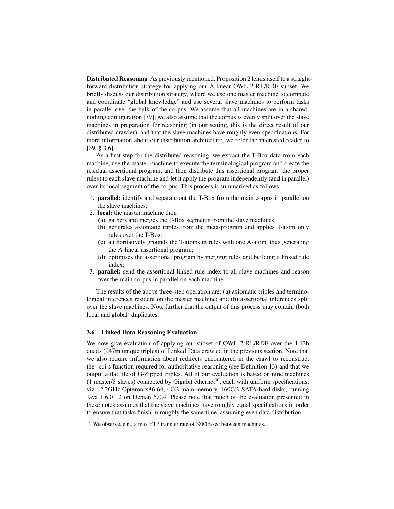Distributed Reasoning As previously mentioned, Proposition 2 lends itself to a straightforward distribution strategy for applying our A-linear OWL 2 RL/RDF subset. We briefly discuss our distribution strategy, where we use one master machine to compute and coordinate "global knowledge" and use several slave machines to perform tasks in parallel over the bulk of the corpus. We assume that all machines are in a sharednothing configuration [79]; we also assume that the corpus is evenly split over the slave machines in preparation for reasoning (in our setting, this is the direct result of our distributed crawler), and that the slave machines have roughly even specifications. For more information about our distribution architecture, we refer the interested reader to [39, § 3.6].

As a first step for the distributed reasoning, we extract the T-Box data from each machine, use the master machine to execute the terminological program and create the residual assertional program, and then distribute this assertional program (the proper rules) to each slave machine and let it apply the program independently (and in parallel) over its local segment of the corpus. This process is summarised as follows:

- 1. parallel: identify and separate out the T-Box from the main corpus in parallel on the slave machines;
- 2. local: the master machine then
	- (a) gathers and merges the T-Box segments from the slave machines;
	- (b) generates axiomatic triples from the meta-program and applies T-atom only rules over the T-Box;
	- (c) authoritatively grounds the T-atoms in rules with one A-atom, thus generating the A-linear assertional program;
	- (d) optimises the assertional program by merging rules and building a linked rule index;
- 3. parallel: send the assertional linked rule index to all slave machines and reason over the main corpus in parallel on each machine.

The results of the above three-step operation are: (a) axiomatic triples and terminological inferences resident on the master machine; and (b) assertional inferences split over the slave machines. Note further that the output of this process may contain (both local and global) duplicates.

### 3.6 Linked Data Reasoning Evaluation

We now give evaluation of applying our subset of OWL 2 RL/RDF over the 1.12b quads (947m unique triples) of Linked Data crawled in the previous section. Note that we also require information about redirects encountered in the crawl to reconstruct the redirs function required for authoritative reasoning (see Definition 13) and that we output a flat file of G-Zipped triples. All of our evaluation is based on nine machines (1 master/8 slaves) connected by Gigabit ethernet<sup>30</sup>, each with uniform specifications; viz.: 2.2GHz Opteron x86-64, 4GB main memory, 160GB SATA hard-disks, running Java 1.6.0 12 on Debian 5.0.4. Please note that much of the evaluation presented in these notes assumes that the slave machines have roughly equal specifications in order to ensure that tasks finish in roughly the same time, assuming even data distribution.

<sup>&</sup>lt;sup>30</sup> We observe, e.g., a max FTP transfer rate of 38MB/sec between machines.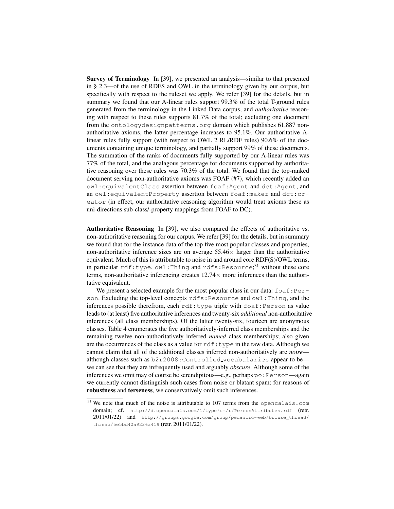Survey of Terminology In [39], we presented an analysis—similar to that presented in § 2.3—of the use of RDFS and OWL in the terminology given by our corpus, but specifically with respect to the ruleset we apply. We refer [39] for the details, but in summary we found that our A-linear rules support 99.3% of the total T-ground rules generated from the terminology in the Linked Data corpus, and *authoritative* reasoning with respect to these rules supports 81.7% of the total; excluding one document from the ontologydesignpatterns.org domain which publishes 61,887 nonauthoritative axioms, the latter percentage increases to 95.1%. Our authoritative Alinear rules fully support (with respect to OWL 2 RL/RDF rules) 90.6% of the documents containing unique terminology, and partially support 99% of these documents. The summation of the ranks of documents fully supported by our A-linear rules was 77% of the total, and the analagous percentage for documents supported by authoritative reasoning over these rules was 70.3% of the total. We found that the top-ranked document serving non-authoritative axioms was FOAF (#7), which recently added an owl:equivalentClass assertion between foaf:Agent and dct:Agent, and an owl:equivalentProperty assertion between foaf:maker and dct:creator (in effect, our authoritative reasoning algorithm would treat axioms these as uni-directions sub-class/-property mappings from FOAF to DC).

Authoritative Reasoning In [39], we also compared the effects of authoritative vs. non-authoritative reasoning for our corpus. We refer [39] for the details, but in summary we found that for the instance data of the top five most popular classes and properties, non-authoritative inference sizes are on average  $55.46 \times$  larger than the authoritative equivalent. Much of this is attributable to noise in and around core RDF(S)/OWL terms, in particular rdf:type, owl:Thing and rdfs:Resource; <sup>31</sup> without these core terms, non-authoritative inferencing creates  $12.74 \times$  more inferences than the authoritative equivalent.

We present a selected example for the most popular class in our data: foaf: Person. Excluding the top-level concepts rdfs: Resource and owl: Thing, and the inferences possible therefrom, each rdf:type triple with foaf:Person as value leads to (at least) five authoritative inferences and twenty-six *additional* non-authoritative inferences (all class memberships). Of the latter twenty-six, fourteen are anonymous classes. Table 4 enumerates the five authoritatively-inferred class memberships and the remaining twelve non-authoritatively inferred *named* class memberships; also given are the occurrences of the class as a value for  $rdf : type$  in the raw data. Although we cannot claim that all of the additional classes inferred non-authoritatively are *noise* although classes such as  $b2r2008$ : Controlled vocabularies appear to be we can see that they are infrequently used and arguably *obscure*. Although some of the inferences we omit may of course be serendipitous—e.g., perhaps  $p \circ P$ erson—again we currently cannot distinguish such cases from noise or blatant spam; for reasons of robustness and terseness, we conservatively omit such inferences.

<sup>&</sup>lt;sup>31</sup> We note that much of the noise is attributable to 107 terms from the opencalais.com domain; cf. http://d.opencalais.com/1/type/em/r/PersonAttributes.rdf (retr. 2011/01/22) and http://groups.google.com/group/pedantic-web/browse\_thread/ thread/5e5bd42a9226a419 (retr. 2011/01/22).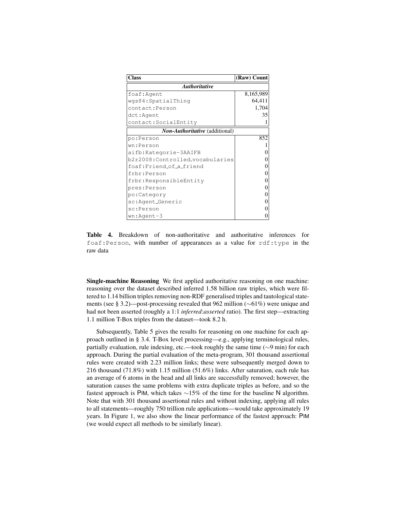| <b>Class</b>                    | (Raw) Count |  |  |  |
|---------------------------------|-------------|--|--|--|
| <b>Authoritative</b>            |             |  |  |  |
| foaf:Agent                      | 8,165,989   |  |  |  |
| wqs84:SpatialThinq              | 64,411      |  |  |  |
| contact: Person                 | 1,704       |  |  |  |
| dct:Agent                       | 35          |  |  |  |
| contact: Social Entity          |             |  |  |  |
| Non-Authoritative (additional)  |             |  |  |  |
| po:Person                       | 852         |  |  |  |
| wn:Person                       |             |  |  |  |
| aifb:Kategorie-3AAIFB           |             |  |  |  |
| b2r2008:Controlled_vocabularies |             |  |  |  |
| foaf:Friend_of_a_friend         | 0           |  |  |  |
| frbr:Person                     | 0           |  |  |  |
| frbr:ResponsibleEntity          |             |  |  |  |
| pres:Person                     |             |  |  |  |
| po:Category                     |             |  |  |  |
| sc:Agent_Generic                | 0           |  |  |  |
| sc:Person                       |             |  |  |  |
| $wn:$ Agent-3                   |             |  |  |  |

Table 4. Breakdown of non-authoritative and authoritative inferences for foaf:Person, with number of appearances as a value for rdf:type in the raw data

Single-machine Reasoning We first applied authoritative reasoning on one machine: reasoning over the dataset described inferred 1.58 billion raw triples, which were filtered to 1.14 billion triples removing non-RDF generalised triples and tautological statements (see § 3.2)—post-processing revealed that 962 million (∼61%) were unique and had not been asserted (roughly a 1:1 *inferred*:*asserted* ratio). The first step—extracting 1.1 million T-Box triples from the dataset—took 8.2 h.

Subsequently, Table 5 gives the results for reasoning on one machine for each approach outlined in § 3.4. T-Box level processing—e.g., applying terminological rules, partially evaluation, rule indexing, etc.—took roughly the same time (∼9 min) for each approach. During the partial evaluation of the meta-program, 301 thousand assertional rules were created with 2.23 million links; these were subsequently merged down to 216 thousand (71.8%) with 1.15 million (51.6%) links. After saturation, each rule has an average of 6 atoms in the head and all links are successfully removed; however, the saturation causes the same problems with extra duplicate triples as before, and so the fastest approach is PIM, which takes ∼15% of the time for the baseline N algorithm. Note that with 301 thousand assertional rules and without indexing, applying all rules to all statements—roughly 750 trillion rule applications—would take approximately 19 years. In Figure 1, we also show the linear performance of the fastest approach: PIM (we would expect all methods to be similarly linear).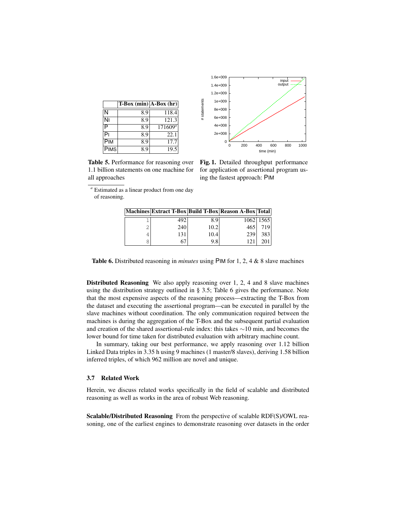

Table 5. Performance for reasoning over 1.1 billion statements on one machine for all approaches

*<sup>a</sup>* Estimated as a linear product from one day of reasoning.

|     |      | Machines Extract T-Box Build T-Box Reason A-Box Total |             |
|-----|------|-------------------------------------------------------|-------------|
|     | 8.9  |                                                       | 1062   1565 |
| 240 | 10.2 | 465                                                   | 719         |
| 131 | 10.4 | 239                                                   | 383         |
|     | 9.8  |                                                       |             |

Fig. 1. Detailed throughput performance for application of assertional program us-

ing the fastest approach: PIM

Table 6. Distributed reasoning in *minutes* using PIM for 1, 2, 4 & 8 slave machines

Distributed Reasoning We also apply reasoning over 1, 2, 4 and 8 slave machines using the distribution strategy outlined in § 3.5; Table 6 gives the performance. Note that the most expensive aspects of the reasoning process—extracting the T-Box from the dataset and executing the assertional program—can be executed in parallel by the slave machines without coordination. The only communication required between the machines is during the aggregation of the T-Box and the subsequent partial evaluation and creation of the shared assertional-rule index: this takes ∼10 min, and becomes the lower bound for time taken for distributed evaluation with arbitrary machine count.

In summary, taking our best performance, we apply reasoning over 1.12 billion Linked Data triples in 3.35 h using 9 machines (1 master/8 slaves), deriving 1.58 billion inferred triples, of which 962 million are novel and unique.

### 3.7 Related Work

Herein, we discuss related works specifically in the field of scalable and distributed reasoning as well as works in the area of robust Web reasoning.

Scalable/Distributed Reasoning From the perspective of scalable RDF(S)/OWL reasoning, one of the earliest engines to demonstrate reasoning over datasets in the order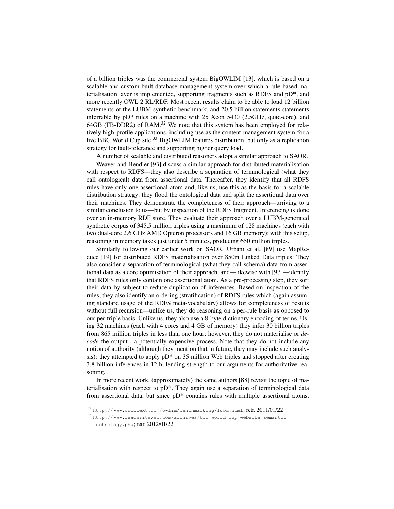of a billion triples was the commercial system BigOWLIM [13], which is based on a scalable and custom-built database management system over which a rule-based materialisation layer is implemented, supporting fragments such as RDFS and pD\*, and more recently OWL 2 RL/RDF. Most recent results claim to be able to load 12 billion statements of the LUBM synthetic benchmark, and 20.5 billion statements statements inferrable by  $pD^*$  rules on a machine with  $2x$  Xeon 5430 (2.5GHz, quad-core), and  $64GB$  (FB-DDR2) of RAM.<sup>32</sup> We note that this system has been employed for relatively high-profile applications, including use as the content management system for a live BBC World Cup site.<sup>33</sup> BigOWLIM features distribution, but only as a replication strategy for fault-tolerance and supporting higher query load.

A number of scalable and distributed reasoners adopt a similar approach to SAOR. Weaver and Hendler [93] discuss a similar approach for distributed materialisation with respect to RDFS—they also describe a separation of terminological (what they call ontological) data from assertional data. Thereafter, they identify that all RDFS rules have only one assertional atom and, like us, use this as the basis for a scalable distribution strategy: they flood the ontological data and split the assertional data over their machines. They demonstrate the completeness of their approach—arriving to a similar conclusion to us—but by inspection of the RDFS fragment. Inferencing is done over an in-memory RDF store. They evaluate their approach over a LUBM-generated synthetic corpus of 345.5 million triples using a maximum of 128 machines (each with two dual-core 2.6 GHz AMD Opteron processors and 16 GB memory); with this setup, reasoning in memory takes just under 5 minutes, producing 650 million triples.

Similarly following our earlier work on SAOR, Urbani et al. [89] use MapReduce [19] for distributed RDFS materialisation over 850m Linked Data triples. They also consider a separation of terminological (what they call schema) data from assertional data as a core optimisation of their approach, and—likewise with [93]—identify that RDFS rules only contain one assertional atom. As a pre-processing step, they sort their data by subject to reduce duplication of inferences. Based on inspection of the rules, they also identify an ordering (stratification) of RDFS rules which (again assuming standard usage of the RDFS meta-vocabulary) allows for completeness of results without full recursion—unlike us, they do reasoning on a per-rule basis as opposed to our per-triple basis. Unlike us, they also use a 8-byte dictionary encoding of terms. Using 32 machines (each with 4 cores and 4 GB of memory) they infer 30 billion triples from 865 million triples in less than one hour; however, they do not materialise or *decode* the output—a potentially expensive process. Note that they do not include any notion of authority (although they mention that in future, they may include such analysis): they attempted to apply pD\* on 35 million Web triples and stopped after creating 3.8 billion inferences in 12 h, lending strength to our arguments for authoritative reasoning.

In more recent work, (approximately) the same authors [88] revisit the topic of materialisation with respect to pD\*. They again use a separation of terminological data from assertional data, but since  $pD^*$  contains rules with multiple assertional atoms,

<sup>32</sup> http://www.ontotext.com/owlim/benchmarking/lubm.html; retr. 2011/01/22

<sup>33</sup> http://www.readwriteweb.com/archives/bbc\_world\_cup\_website\_semantic\_ technology.php; retr. 2012/01/22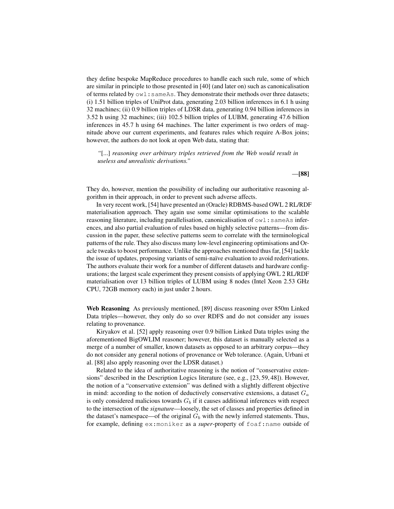they define bespoke MapReduce procedures to handle each such rule, some of which are similar in principle to those presented in [40] (and later on) such as canonicalisation of terms related by owl:sameAs. They demonstrate their methods over three datasets; (i) 1.51 billion triples of UniProt data, generating 2.03 billion inferences in 6.1 h using 32 machines; (ii) 0.9 billion triples of LDSR data, generating 0.94 billion inferences in 3.52 h using 32 machines; (iii) 102.5 billion triples of LUBM, generating 47.6 billion inferences in 45.7 h using 64 machines. The latter experiment is two orders of magnitude above our current experiments, and features rules which require A-Box joins; however, the authors do not look at open Web data, stating that:

*"*[...] *reasoning over arbitrary triples retrieved from the Web would result in useless and unrealistic derivations."*

 $-$ [88]

They do, however, mention the possibility of including our authoritative reasoning algorithm in their approach, in order to prevent such adverse affects.

In very recent work, [54] have presented an (Oracle) RDBMS-based OWL 2 RL/RDF materialisation approach. They again use some similar optimisations to the scalable reasoning literature, including parallelisation, canonicalisation of  $\text{owl}:$  sameAs inferences, and also partial evaluation of rules based on highly selective patterns—from discussion in the paper, these selective patterns seem to correlate with the terminological patterns of the rule. They also discuss many low-level engineering optimisations and Oracle tweaks to boost performance. Unlike the approaches mentioned thus far, [54] tackle the issue of updates, proposing variants of semi-naïve evaluation to avoid rederivations. The authors evaluate their work for a number of different datasets and hardware configurations; the largest scale experiment they present consists of applying OWL 2 RL/RDF materialisation over 13 billion triples of LUBM using 8 nodes (Intel Xeon 2.53 GHz CPU, 72GB memory each) in just under 2 hours.

Web Reasoning As previously mentioned, [89] discuss reasoning over 850m Linked Data triples—however, they only do so over RDFS and do not consider any issues relating to provenance.

Kiryakov et al. [52] apply reasoning over 0.9 billion Linked Data triples using the aforementioned BigOWLIM reasoner; however, this dataset is manually selected as a merge of a number of smaller, known datasets as opposed to an arbitrary corpus—they do not consider any general notions of provenance or Web tolerance. (Again, Urbani et al. [88] also apply reasoning over the LDSR dataset.)

Related to the idea of authoritative reasoning is the notion of "conservative extensions" described in the Description Logics literature (see, e.g., [23, 59, 48]). However, the notion of a "conservative extension" was defined with a slightly different objective in mind: according to the notion of deductively conservative extensions, a dataset  $G_a$ is only considered malicious towards  $G<sub>b</sub>$  if it causes additional inferences with respect to the intersection of the *signature*—loosely, the set of classes and properties defined in the dataset's namespace—of the original  $G_b$  with the newly inferred statements. Thus, for example, defining ex:moniker as a *super*-property of foaf:name outside of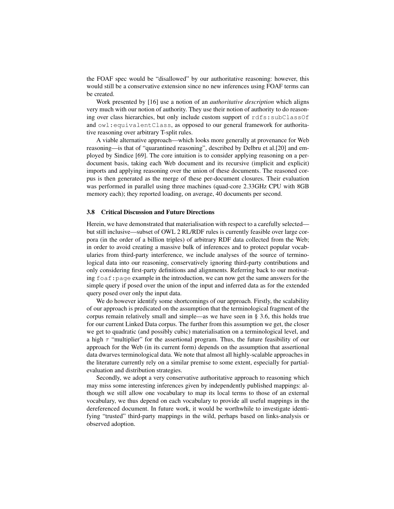the FOAF spec would be "disallowed" by our authoritative reasoning: however, this would still be a conservative extension since no new inferences using FOAF terms can be created.

Work presented by [16] use a notion of an *authoritative description* which aligns very much with our notion of authority. They use their notion of authority to do reasoning over class hierarchies, but only include custom support of rdfs:subClassOf and owl:equivalentClass, as opposed to our general framework for authoritative reasoning over arbitrary T-split rules.

A viable alternative approach—which looks more generally at provenance for Web reasoning—is that of "quarantined reasoning", described by Delbru et al.[20] and employed by Sindice [69]. The core intuition is to consider applying reasoning on a perdocument basis, taking each Web document and its recursive (implicit and explicit) imports and applying reasoning over the union of these documents. The reasoned corpus is then generated as the merge of these per-document closures. Their evaluation was performed in parallel using three machines (quad-core 2.33GHz CPU with 8GB memory each); they reported loading, on average, 40 documents per second.

### 3.8 Critical Discussion and Future Directions

Herein, we have demonstrated that materialisation with respect to a carefully selected but still inclusive—subset of OWL 2 RL/RDF rules is currently feasible over large corpora (in the order of a billion triples) of arbitrary RDF data collected from the Web; in order to avoid creating a massive bulk of inferences and to protect popular vocabularies from third-party interference, we include analyses of the source of terminological data into our reasoning, conservatively ignoring third-party contributions and only considering first-party definitions and alignments. Referring back to our motivating foaf:page example in the introduction, we can now get the same answers for the simple query if posed over the union of the input and inferred data as for the extended query posed over only the input data.

We do however identify some shortcomings of our approach. Firstly, the scalability of our approach is predicated on the assumption that the terminological fragment of the corpus remain relatively small and simple—as we have seen in § 3.6, this holds true for our current Linked Data corpus. The further from this assumption we get, the closer we get to quadratic (and possibly cubic) materialisation on a terminological level, and a high  $\tau$  "multiplier" for the assertional program. Thus, the future feasibility of our approach for the Web (in its current form) depends on the assumption that assertional data dwarves terminological data. We note that almost all highly-scalable approaches in the literature currently rely on a similar premise to some extent, especially for partialevaluation and distribution strategies.

Secondly, we adopt a very conservative authoritative approach to reasoning which may miss some interesting inferences given by independently published mappings: although we still allow one vocabulary to map its local terms to those of an external vocabulary, we thus depend on each vocabulary to provide all useful mappings in the dereferenced document. In future work, it would be worthwhile to investigate identifying "trusted" third-party mappings in the wild, perhaps based on links-analysis or observed adoption.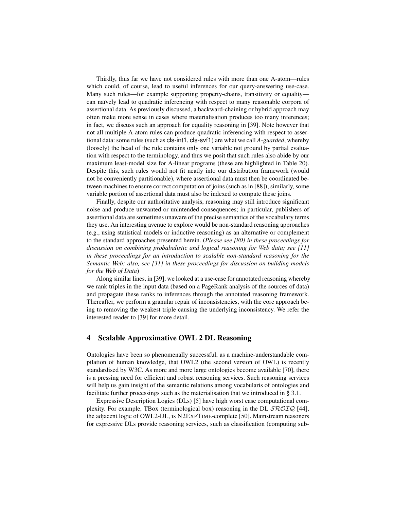Thirdly, thus far we have not considered rules with more than one A-atom—rules which could, of course, lead to useful inferences for our query-answering use-case. Many such rules—for example supporting property-chains, transitivity or equality can naïvely lead to quadratic inferencing with respect to many reasonable corpora of assertional data. As previously discussed, a backward-chaining or hybrid approach may often make more sense in cases where materialisation produces too many inferences; in fact, we discuss such an approach for equality reasoning in [39]. Note however that not all multiple A-atom rules can produce quadratic inferencing with respect to assertional data: some rules (such as cls-int1, cls-svf1) are what we call *A-guarded*, whereby (loosely) the head of the rule contains only one variable not ground by partial evaluation with respect to the terminology, and thus we posit that such rules also abide by our maximum least-model size for A-linear programs (these are highlighted in Table 20). Despite this, such rules would not fit neatly into our distribution framework (would not be conveniently partitionable), where assertional data must then be coordinated between machines to ensure correct computation of joins (such as in [88]); similarly, some variable portion of assertional data must also be indexed to compute these joins.

Finally, despite our authoritative analysis, reasoning may still introduce significant noise and produce unwanted or unintended consequences; in particular, publishers of assertional data are sometimes unaware of the precise semantics of the vocabulary terms they use. An interesting avenue to explore would be non-standard reasoning approaches (e.g., using statistical models or inductive reasoning) as an alternative or complement to the standard approaches presented herein. (*Please see [80] in these proceedings for discussion on combining probabalistic and logical reasoning for Web data; see [11] in these proceedings for an introduction to scalable non-standard reasoning for the Semantic Web; also, see [31] in these proceedings for discussion on building models for the Web of Data*)

Along similar lines, in [39], we looked at a use-case for annotated reasoning whereby we rank triples in the input data (based on a PageRank analysis of the sources of data) and propagate these ranks to inferences through the annotated reasoning framework. Thereafter, we perform a granular repair of inconsistencies, with the core approach being to removing the weakest triple causing the underlying inconsistency. We refer the interested reader to [39] for more detail.

### 4 Scalable Approximative OWL 2 DL Reasoning

Ontologies have been so phenomenally successful, as a machine-understandable compilation of human knowledge, that OWL2 (the second version of OWL) is recently standardised by W3C. As more and more large ontologies become available [70], there is a pressing need for efficient and robust reasoning services. Such reasoning services will help us gain insight of the semantic relations among vocabularis of ontologies and facilitate further processings such as the materialisation that we introduced in § 3.1.

Expressive Description Logics (DLs) [5] have high worst case computational complexity. For example, TBox (terminological box) reasoning in the DL  $\mathcal{SROLQ}$  [44], the adjacent logic of OWL2-DL, is N2EXPTIME-complete [50]. Mainstream reasoners for expressive DLs provide reasoning services, such as classification (computing sub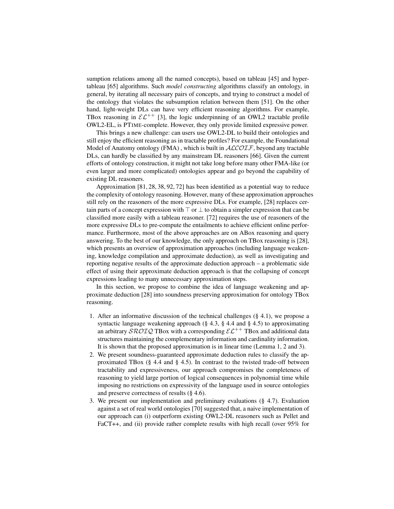sumption relations among all the named concepts), based on tableau [45] and hypertableau [65] algorithms. Such *model constructing* algorithms classify an ontology, in general, by iterating all necessary pairs of concepts, and trying to construct a model of the ontology that violates the subsumption relation between them [51]. On the other hand, light-weight DLs can have very efficient reasoning algorithms. For example, TBox reasoning in  $\mathcal{EL}^{++}$  [3], the logic underpinning of an OWL2 tractable profile OWL2-EL, is PTIME-complete. However, they only provide limited expressive power.

This brings a new challenge: can users use OWL2-DL to build their ontologies and still enjoy the efficient reasoning as in tractable profiles? For example, the Foundational Model of Anatomy ontology (FMA), which is built in  $ALCOTF$ , beyond any tractable DLs, can hardly be classified by any mainstream DL reasoners [66]. Given the current efforts of ontology construction, it might not take long before many other FMA-like (or even larger and more complicated) ontologies appear and go beyond the capability of existing DL reasoners.

Approximation [81, 28, 38, 92, 72] has been identified as a potential way to reduce the complexity of ontology reasoning. However, many of these approximation approaches still rely on the reasoners of the more expressive DLs. For example, [28] replaces certain parts of a concept expression with  $\top$  or  $\bot$  to obtain a simpler expression that can be classified more easily with a tableau reasoner. [72] requires the use of reasoners of the more expressive DLs to pre-compute the entailments to achieve efficient online performance. Furthermore, most of the above approaches are on ABox reasoning and query answering. To the best of our knowledge, the only approach on TBox reasoning is [28], which presents an overview of approximation approaches (including language weakening, knowledge compilation and approximate deduction), as well as investigating and reporting negative results of the approximate deduction approach – a problematic side effect of using their approximate deduction approach is that the collapsing of concept expressions leading to many unnecessary approximation steps.

In this section, we propose to combine the idea of language weakening and approximate deduction [28] into soundness preserving approximation for ontology TBox reasoning.

- 1. After an informative discussion of the technical challenges (§ 4.1), we propose a syntactic language weakening approach  $(\S$  4.3,  $\S$  4.4 and  $\S$  4.5) to approximating an arbitrary  $\mathcal{SROIQ}$  TBox with a corresponding  $\mathcal{EL}^{++}$  TBox and additional data structures maintaining the complementary information and cardinality information. It is shown that the proposed approximation is in linear time (Lemma 1, 2 and 3).
- 2. We present soundness-guaranteed approximate deduction rules to classify the approximated TBox ( $\S$  4.4 and  $\S$  4.5). In contrast to the twisted trade-off between tractability and expressiveness, our approach compromises the completeness of reasoning to yield large portion of logical consequences in polynomial time while imposing no restrictions on expressivity of the language used in source ontologies and preserve correctness of results (§ 4.6).
- 3. We present our implementation and preliminary evaluations (§ 4.7). Evaluation against a set of real world ontologies [70] suggested that, a naive implementation of our approach can (i) outperform existing OWL2-DL reasoners such as Pellet and FaCT++, and (ii) provide rather complete results with high recall (over 95% for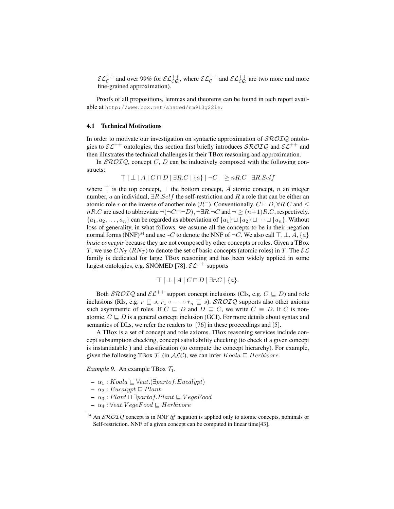$\mathcal{EL}_{\mathcal{C}}^{++}$  and over 99% for  $\mathcal{EL}_{\mathcal{CQ}}^{++}$ , where  $\mathcal{EL}_{\mathcal{C}}^{++}$  and  $\mathcal{EL}_{\mathcal{CQ}}^{++}$  are two more and more fine-grained approximation).

Proofs of all propositions, lemmas and theorems can be found in tech report available at http://www.box.net/shared/nm913g22ie.

### 4.1 Technical Motivations

In order to motivate our investigation on syntactic approximation of  $\mathcal{SROIO}$  ontologies to  $\mathcal{EL}^{++}$  ontologies, this section first briefly introduces  $\mathcal{SROIQ}$  and  $\mathcal{EL}^{++}$  and then illustrates the technical challenges in their TBox reasoning and approximation.

In  $\text{SROIQ}$ , concept C, D can be inductively composed with the following constructs:

$$
\top | \perp | A | C \sqcap D | \exists R.C | \{a\} | \neg C | \geq nR.C | \exists R.Self
$$

where  $\top$  is the top concept,  $\bot$  the bottom concept, A atomic concept, n an integer number, a an individual,  $\exists R. Sel f$  the self-restriction and R a role that can be either an atomic role r or the inverse of another role  $(R^-)$ . Conventionally,  $C \sqcup D$ ,  $\forall R.C$  and  $\leq$  $nR.C$  are used to abbreviate  $\neg(\neg C \sqcap \neg D)$ ,  $\neg \exists R.\neg C$  and  $\neg \geq (n+1)R.C$ , respectively.  ${a_1, a_2, \ldots, a_n}$  can be regarded as abbreviation of  ${a_1} \sqcup {a_2} \sqcup \cdots \sqcup {a_n}$ . Without loss of generality, in what follows, we assume all the concepts to be in their negation normal forms (NNF)<sup>34</sup> and use ~C to denote the NNF of  $\neg C$ . We also call  $\top$ ,  $\bot$ , A,  $\{a\}$ *basic concepts* because they are not composed by other concepts or roles. Given a TBox T, we use  $CN_T (RN_T)$  to denote the set of basic concepts (atomic roles) in T. The  $\mathcal{EL}$ family is dedicated for large TBox reasoning and has been widely applied in some largest ontologies, e.g. SNOMED [78].  $\mathcal{EL}^{++}$  supports

$$
\top | \perp | A | C \sqcap D | \exists r.C | \{a\}.
$$

Both SROIQ and  $\mathcal{EL}^{++}$  support concept inclusions (CIs, e.g.  $C \sqsubseteq D$ ) and role inclusions (RIs, e.g.  $r \subseteq s$ ,  $r_1 \circ \cdots \circ r_n \subseteq s$ ). SROIQ supports also other axioms such asymmetric of roles. If  $C \subseteq D$  and  $D \subseteq C$ , we write  $C \equiv D$ . If C is nonatomic,  $C \sqsubset D$  is a general concept inclusion (GCI). For more details about syntax and semantics of DLs, we refer the readers to [76] in these proceedings and [5].

A TBox is a set of concept and role axioms. TBox reasoning services include concept subsumption checking, concept satisfiability checking (to check if a given concept is instantiatable ) and classification (to compute the concept hierarchy). For example, given the following TBox  $\mathcal{T}_1$  (in  $\mathcal{ALC}$ ), we can infer  $Koala \sqsubseteq \text{Herbivore.}$ 

*Example 9.* An example TBox  $\mathcal{T}_1$ .

- $-α_1$ : Koala  $\subseteq$  ∀eat.(∃partof.Eucalypt)
- $\alpha_2 : Eucalypt \sqsubseteq Plant$
- $α_3$ : Plant  $□$  ∃partof.Plant  $□$  V egeFood
- $\alpha_4 : \forall eat.VegeFood \sqsubseteq Herbivore$

<sup>&</sup>lt;sup>34</sup> An SROIQ concept is in NNF *iff* negation is applied only to atomic concepts, nominals or Self-restriction. NNF of a given concept can be computed in linear time[43].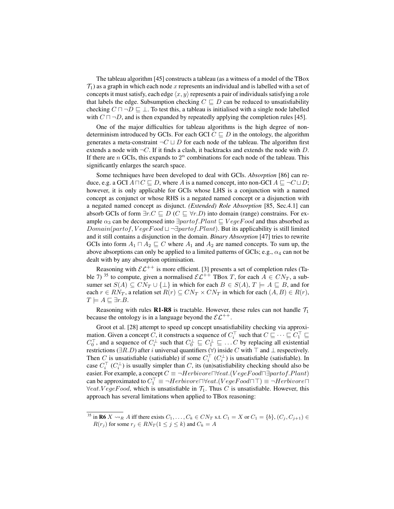The tableau algorithm [45] constructs a tableau (as a witness of a model of the TBox  $\mathcal{T}_1$ ) as a graph in which each node x represents an individual and is labelled with a set of concepts it must satisfy, each edge  $\langle x, y \rangle$  represents a pair of individuals satisfying a role that labels the edge. Subsumption checking  $C \sqsubseteq D$  can be reduced to unsatisfiability checking  $C \sqcap \neg D \sqsubseteq \bot$ . To test this, a tableau is initialised with a single node labelled with  $C \sqcap \neg D$ , and is then expanded by repeatedly applying the completion rules [45].

One of the major difficulties for tableau algorithms is the high degree of nondeterminism introduced by GCIs. For each GCI  $C \sqsubseteq D$  in the ontology, the algorithm generates a meta-constraint  $\neg C \sqcup D$  for each node of the tableau. The algorithm first extends a node with  $\neg C$ . If it finds a clash, it backtracks and extends the node with D. If there are  $n$  GCIs, this expands to  $2^n$  combinations for each node of the tableau. This significantly enlarges the search space.

Some techniques have been developed to deal with GCIs. *Absorption* [86] can reduce, e.g. a GCI  $A \sqcap C \sqsubseteq D$ , where A is a named concept, into non-GCI  $A \sqsubseteq \neg C \sqcup D$ ; however, it is only applicable for GCIs whose LHS is a conjunction with a named concept as conjunct or whose RHS is a negated named concept or a disjunction with a negated named concept as disjunct. *(Extended) Role Absorption* [85, Sec.4.1] can absorb GCIs of form  $\exists r.C \sqsubseteq D \ (C \sqsubseteq \forall r.D)$  into domain (range) constrains. For example  $\alpha_3$  can be decomposed into  $\exists part of. Plant \sqsubseteq VegetFood$  and thus absorbed as Domain(partof, VegeFood  $\sqcup \neg \exists part of. Plant$ ). But its applicability is still limited and it still contains a disjunction in the domain. *Binary Absorption* [47] tries to rewrite GCIs into form  $A_1 \sqcap A_2 \sqsubseteq C$  where  $A_1$  and  $A_2$  are named concepts. To sum up, the above absorptions can only be applied to a limited patterns of GCIs; e.g.,  $\alpha_4$  can not be dealt with by any absorption optimisation.

Reasoning with  $\mathcal{EL}^{++}$  is more efficient. [3] presents a set of completion rules (Table 7) <sup>35</sup> to compute, given a normalised  $\mathcal{EL}^{++}$  TBox T, for each  $A \in CN_T$ , a subsumer set  $S(A) \subseteq CN_T \cup \{\perp\}$  in which for each  $B \in S(A)$ ,  $T \models A \sqsubseteq B$ , and for each  $r \in RN_T$ , a relation set  $R(r) \subseteq CN_T \times CN_T$  in which for each  $(A, B) \in R(r)$ ,  $T \models A \sqsubseteq \exists r.B.$ 

Reasoning with rules R1-R8 is tractable. However, these rules can not handle  $\mathcal{T}_1$ because the ontology is in a language beyond the  $\mathcal{EL}^{++}$ .

Groot et al. [28] attempt to speed up concept unsatisfiability checking via approximation. Given a concept C, it constructs a sequence of  $C_i^{\top}$  such that  $C \sqsubseteq \cdots \sqsubseteq C_1^{\top} \sqsubseteq$  $C_0^{\top}$ , and a sequence of  $C_i^{\perp}$  such that  $C_0^{\perp} \sqsubseteq C_1^{\perp} \sqsubseteq ... C$  by replacing all existential restrictions ( $\exists R.D$ ) after *i* universal quantifiers ( $\forall$ ) inside C with  $\top$  and  $\bot$  respectively. Then  $C_i$  is unsatisfiable (satisfiable) if some  $C_i^{\top}$   $(C_i^{\perp})$  is unsatisfiable (satisfiable). In case  $C_i^{\top}$  ( $C_i^{\perp}$ ) is usually simpler than C, its (un)satisfiability checking should also be easier. For example, a concept  $C \equiv \neg Herbivore \sqcap \forall eat. (VegeFood \sqcap \exists part of. Plant)$ can be approximated to  $C_1^\top \equiv \neg Herbivore \sqcap \forall eat. (VegeFood \sqcap \top) \equiv \neg Herbivore \sqcap$  $\forall eat.VegeFood$ , which is unsatisfiable in  $\mathcal{T}_1$ . Thus C is unsatisfiable. However, this approach has several limitations when applied to TBox reasoning:

<sup>&</sup>lt;sup>35</sup> in **R6**  $\overline{X} \rightsquigarrow_R A$  iff there exists  $C_1, \ldots, C_k \in CN_T$  s.t.  $C_1 = \overline{X}$  or  $C_1 = \{b\}$ ,  $(C_j, C_{j+1}) \in$  $R(r_j)$  for some  $r_j \in RN_T(1 \leq j \leq k)$  and  $C_k = A$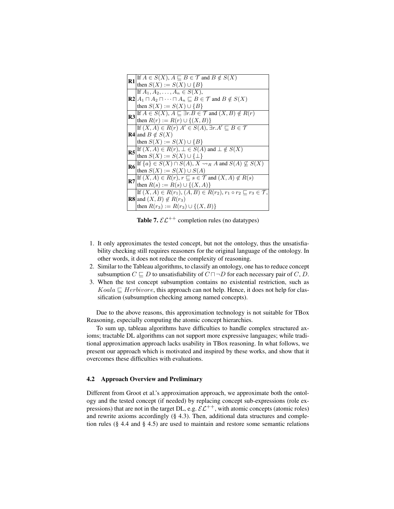| $\left \mathbf{R1}\right $ If $A \in S(X)$ , $A \sqsubseteq B \in \mathcal{T}$ and $B \notin S(X)$                                       |
|------------------------------------------------------------------------------------------------------------------------------------------|
| then $S(X) := S(X) \cup {B}$                                                                                                             |
| If $A_1, A_2, \ldots, A_n \in S(\overline{X})$ ,                                                                                         |
| $\mathbf{R2}   A_1 \sqcap A_2 \sqcap \cdots \sqcap A_n \sqsubseteq B \in \mathcal{T}$ and $B \notin S(X)$                                |
| then $S(X) := S(X) \cup {B}$                                                                                                             |
| <b>R3</b> If $A \in S(X)$ , $A \sqsubseteq \exists r.B \in \mathcal{T}$ and $(X, B) \notin R(r)$<br>then $R(r) := R(r) \cup \{(X, B)\}\$ |
|                                                                                                                                          |
| If $(X, A) \in R(r)$ $A' \in S(A)$ , $\exists r.A' \sqsubseteq B \in \mathcal{T}$                                                        |
| <b>R4</b> and $B \notin S(X)$                                                                                                            |
| then $S(X) := S(X) \cup {B}$                                                                                                             |
| $\operatorname{RS}$ If $(X, A) \in R(r)$ , $\bot \in S(A)$ and $\bot \notin S(X)$                                                        |
| then $S(X) := S(X) \cup \{\perp\}$                                                                                                       |
| ${\bf R6}$ If $\overline{\{a\} \in S(X) \cap S(A), X \rightsquigarrow_R A \text{ and } S(A) \not\subseteq S(X)}$                         |
| then $S(X) := S(X) \cup S(A)$                                                                                                            |
| $\mathbf{RT}$ If $(X, A) \in R(r), r \sqsubseteq s \in \mathcal{T}$ and $(X, A) \notin R(s)$                                             |
| then $R(s) := R(s) \cup \{(X, A)\}\)$                                                                                                    |
| If $(X, A) \in R(r_1), (A, B) \in R(r_2), r_1 \circ r_2 \sqsubseteq r_3 \in \mathcal{T}$ ,                                               |
| <b>R8</b> and $(X, B) \notin R(r_3)$                                                                                                     |
| then $R(r_3) := R(r_3) \cup \{(X, B)\}\$                                                                                                 |

**Table 7.**  $\mathcal{EL}^{++}$  completion rules (no datatypes)

- 1. It only approximates the tested concept, but not the ontology, thus the unsatisfiability checking still requires reasoners for the original language of the ontology. In other words, it does not reduce the complexity of reasoning.
- 2. Similar to the Tableau algorithms, to classify an ontology, one has to reduce concept subsumption  $C \sqsubseteq D$  to unsatisfiability of  $C \sqcap \neg D$  for each necessary pair of C, D.
- 3. When the test concept subsumption contains no existential restriction, such as  $Koala \sqsubseteq \text{Herbivore},$  this approach can not help. Hence, it does not help for classification (subsumption checking among named concepts).

Due to the above reasons, this approximation technology is not suitable for TBox Reasoning, especially computing the atomic concept hierarchies.

To sum up, tableau algorithms have difficulties to handle complex structured axioms; tractable DL algorithms can not support more expressive languages; while traditional approximation approach lacks usability in TBox reasoning. In what follows, we present our approach which is motivated and inspired by these works, and show that it overcomes these difficulties with evaluations.

### 4.2 Approach Overview and Preliminary

Different from Groot et al.'s approximation approach, we approximate both the ontology and the tested concept (if needed) by replacing concept sub-expressions (role expressions) that are not in the target DL, e.g.  $\mathcal{EL}^{++}$ , with atomic concepts (atomic roles) and rewrite axioms accordingly (§ 4.3). Then, additional data structures and completion rules (§ 4.4 and § 4.5) are used to maintain and restore some semantic relations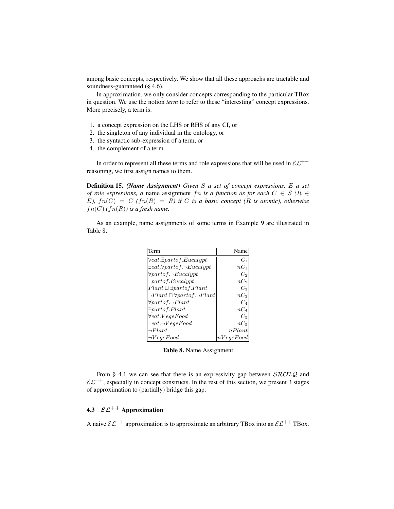among basic concepts, respectively. We show that all these approachs are tractable and soundness-guaranteed (§ 4.6).

In approximation, we only consider concepts corresponding to the particular TBox in question. We use the notion *term* to refer to these "interesting" concept expressions. More precisely, a term is:

- 1. a concept expression on the LHS or RHS of any CI, or
- 2. the singleton of any individual in the ontology, or
- 3. the syntactic sub-expression of a term, or
- 4. the complement of a term.

In order to represent all these terms and role expressions that will be used in  $\mathcal{EL}^{++}$ reasoning, we first assign names to them.

Definition 15. *(Name Assignment) Given* S *a set of concept expressions,* E *a set of role expressions, a* name assignment fn *is a function as for each*  $C \in S$  ( $R \in$ E),  $fn(C) = C$  ( $fn(R) = R$ ) if C is a basic concept (R is atomic), otherwise  $fn(C)$  ( $fn(R)$ ) is a fresh name.

As an example, name assignments of some terms in Example 9 are illustrated in Table 8.

| Term                                            | Name                        |
|-------------------------------------------------|-----------------------------|
| $\forall eat. \exists part of. Eucalypt$        | $C_1$                       |
| $\exists eat.\forall part of.\neg Eucalypt$     | $nC_1$                      |
| $\forall part of. \neg Eucalypt$                | $C_2$                       |
| $\exists part of. Eucalypt$                     | $nC_2$                      |
| $Plant \sqcup \exists part of. Plant$           | Cз                          |
| $\neg Plant \sqcap \forall part of. \neg Plant$ | $nC_3$                      |
| $\forall part of. \neg Plant$                   | $C_{\scriptscriptstyle{A}}$ |
| $\exists part of. Plant$                        | $nC_A$                      |
| $\forall eat.VeqeFood$                          | $C_5$                       |
| $\exists eat.\neg VegetFood$                    | $nC_5$                      |
| $\neg Plant$                                    | nPlant                      |
| $\neg V e q e F o o d$                          | nVeqefood                   |

Table 8. Name Assignment

From § 4.1 we can see that there is an expressivity gap between  $\mathcal{SROIQ}$  and  $\mathcal{EL}^{++}$ , especially in concept constructs. In the rest of this section, we present 3 stages of approximation to (partially) bridge this gap.

# 4.3  $\mathcal{EL}^{++}$  Approximation

A naive  $\mathcal{EL}^{++}$  approximation is to approximate an arbitrary TBox into an  $\mathcal{EL}^{++}$  TBox.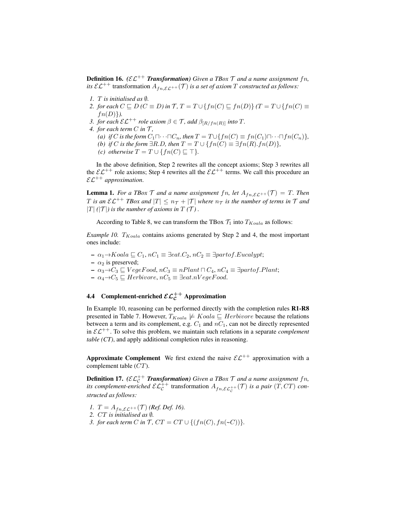**Definition 16.** *(* $\mathcal{EL}^{++}$  *Transformation) Given a TBox*  $\mathcal T$  *and a name assignment fn, its*  $\mathcal{EL}^{++}$  transformation  $A_{fn,\mathcal{EL}^{++}}(\mathcal{T})$  *is a set of axiom*  $T$  *constructed as follows:* 

- *1. T is initialised as Ø.*
- *2. for each*  $C \sqsubseteq D$  *(C*  $\equiv D$ *) in*  $\mathcal{T}, T = T \cup \{fn(C) \sqsubseteq fn(D)\}$   $(T = T \cup \{fn(C) \sqsubseteq n\})$  $fn(D)$ }).
- *3. for each*  $\mathcal{EL}^{++}$  *role axiom*  $\beta \in \mathcal{T}$ *, add*  $\beta_{[R/f_n(R)]}$  *into*  $T$ *.*
- *4. for each term*  $C$  *in*  $T$ *,* 
	- *(a) if* C *is the form*  $C_1 \sqcap \cdots \sqcap C_n$ *, then*  $T = T \cup \{fn(C) \equiv fn(C_1) \sqcap \cdots \sqcap fn(C_n)\}$ *,*
	- *(b) if* C *is the form*  $\exists R.D$ *, then*  $T = T \cup \{fn(C) \equiv \exists fn(R).fn(D)\}$ *,*
	- *(c) otherwise*  $T = T \cup \{fn(C) \sqsubseteq \top\}.$

In the above definition, Step 2 rewrites all the concept axioms; Step 3 rewrites all the  $\mathcal{EL}^{++}$  role axioms; Step 4 rewrites all the  $\mathcal{EL}^{++}$  terms. We call this procedure an  $\mathcal{EL}^{++}$  *approximation.* 

**Lemma 1.** For a TBox  $T$  and a name assignment  $fn$ , let  $A_{fn, \mathcal{EL}^{++}}(T) = T$ . Then T is an  $\mathcal{EL}^{++}$  *TBox and*  $|T| \leq n_\mathcal{T} + |\mathcal{T}|$  *where*  $n_\mathcal{T}$  *is the number of terms in*  $\mathcal{T}$  *and*  $|T|$  *(*| $T$ *) is the number of axioms in*  $T(T)$ .

According to Table 8, we can transform the TBox  $\mathcal{T}_1$  into  $T_{Koala}$  as follows:

*Example 10.*  $T_{Koala}$  contains axioms generated by Step 2 and 4, the most important ones include:

- $\alpha_1 \rightarrow$ Koala  $\subseteq C_1$ , n $C_1 \equiv \exists eat.C_2, nC_2 \equiv \exists part of.Eucalypt;$
- $\alpha_2$  is preserved;
- $\alpha_3 \rightarrow C_3 \sqsubseteq V egeFood, nC_3 \equiv nPlant \sqcap C_4, nC_4 \equiv \exists part of. Plant;$
- $\alpha_4 \rightarrow C_5 \sqsubseteq$  Herbivore,  $nC_5 \equiv \exists eat.nVegeFood$ .

## 4.4 Complement-enriched  $\mathcal{EL}_{\mathcal{C}}^{++}$  Approximation

In Example 10, reasoning can be performed directly with the completion rules R1-R8 presented in Table 7. However,  $T_{Koala} \not\models Koala \sqsubseteq Herbivore$  because the relations between a term and its complement, e.g.  $C_1$  and  $nC_1$ , can not be directly represented in  $\mathcal{EL}^{++}$ . To solve this problem, we maintain such relations in a separate *complement table (CT)*, and apply additional completion rules in reasoning.

**Approximate Complement** We first extend the naive  $\mathcal{E} \mathcal{L}^{++}$  approximation with a complement table (CT).

**Definition 17.**  $(\mathcal{EL}_{\mathcal{C}}^{++}$  **Transformation**) Given a TBox  $\mathcal{T}$  and a name assignment fn, *its complement-enriched*  $\mathcal{EL}_{\mathcal{C}}^{++}$  transformation  $A_{fn,\mathcal{EL}_{\mathcal{C}}^{++}}(\mathcal{T})$  *is a pair*  $(T,CT)$  *constructed as follows:*

- *1.*  $T = A_{fn, \mathcal{EL}} + (\mathcal{T})$  *(Ref. Def. 16).*
- *2.* CT *is initialised as* ∅*.*
- *3. for each term C in*  $T$ *, CT* = *CT*  $\cup$  {( $fn(C)$ *, fn*(*~C*))}*.*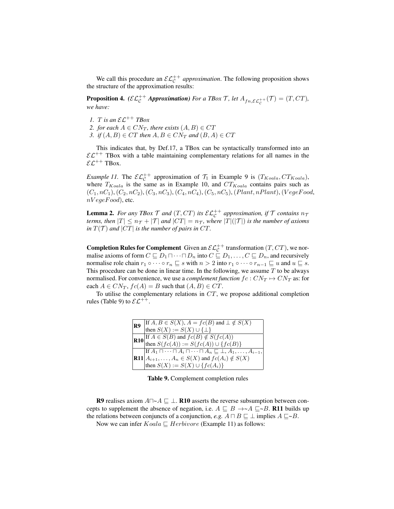We call this procedure an  $\mathcal{EL}_{\mathcal{C}}^{++}$  *approximation*. The following proposition shows the structure of the approximation results:

**Proposition 4.**  $(\mathcal{EL}_{\mathcal{C}}^{++}$  **Approximation**) For a TBox  $\mathcal{T}$ , let  $A_{fn,\mathcal{EL}_{\mathcal{C}}^{++}}(\mathcal{T}) = (T,CT)$ , *we have:*

- *1. T is an*  $\mathcal{EL}^{++}$  *TBox*
- *2. for each*  $A \in CN_T$ *, there exists*  $(A, B) \in CT$
- *3. if*  $(A, B) \in CT$  *then*  $A, B \in CN_T$  *and*  $(B, A) \in CT$

This indicates that, by Def.17, a TBox can be syntactically transformed into an  $\mathcal{EL}^{++}$  TBox with a table maintaining complementary relations for all names in the  $\mathcal{EL}^{++}$  TBox.

*Example 11.* The  $\mathcal{EL}_{\mathcal{C}}^{++}$  approximation of  $\mathcal{T}_1$  in Example 9 is  $(T_{Koala}, CT_{Koala})$ , where  $T_{Koala}$  is the same as in Example 10, and  $CT_{Koala}$  contains pairs such as  $(C_1, nC_1), (C_2, nC_2), (C_3, nC_3), (C_4, nC_4), (C_5, nC_5), (Plant, nPlant), (VegeFood,$  $nVegeFood$ ), etc.

**Lemma 2.** For any TBox  $\mathcal T$  and  $(T, CT)$  its  $\mathcal{EL}_{\mathcal{C}}^{++}$  approximation, if  $\mathcal T$  contains  $n_{\mathcal{T}}$ *terms, then*  $|T| \leq n_{\mathcal{T}} + |\mathcal{T}|$  *and*  $|CT| = n_{\mathcal{T}}$ *, where*  $|T|(|\mathcal{T}|)$  *is the number of axioms in*  $T(T)$  *and*  $|CT|$  *is the number of pairs in*  $CT$ *.* 

**Completion Rules for Complement** Given an  $\mathcal{EL}_{\mathcal{C}}^{++}$  transformation  $(T, CT)$ , we normalise axioms of form  $C \sqsubseteq D_1 \sqcap \cdots \sqcap D_n$  into  $C \sqsubseteq D_1, \ldots, C \sqsubseteq D_n$ , and recursively normalise role chain  $r_1 \circ \cdots \circ r_n \sqsubseteq s$  with  $n > 2$  into  $r_1 \circ \cdots \circ r_{n-1} \sqsubseteq u$  and  $u \sqsubseteq s$ . This procedure can be done in linear time. In the following, we assume  $T$  to be always normalised. For convenience, we use a *complement function*  $fc: CN_T \rightarrow CN_T$  as: for each  $A \in CN_T$ ,  $fc(A) = B$  such that  $(A, B) \in CT$ .

To utilise the complementary relations in  $CT$ , we propose additional completion rules (Table 9) to  $\mathcal{EL}^{++}$ .

| R9 | If $A, B \in S(X)$ , $A = fc(B)$ and $\bot \notin S(X)$<br>then $S(X) := S(X) \cup {\bot}$                                                                                                                                                             |
|----|--------------------------------------------------------------------------------------------------------------------------------------------------------------------------------------------------------------------------------------------------------|
|    |                                                                                                                                                                                                                                                        |
|    | <b>R10</b> If $A \in S(B)$ and $fc(B) \notin S(fc(A))$<br>then $S(fc(A)) := S(fc(A)) \cup \{fc(B)\}$                                                                                                                                                   |
|    |                                                                                                                                                                                                                                                        |
|    |                                                                                                                                                                                                                                                        |
|    | $\left \n\begin{array}{c}\n\text{If } A_1 \sqcap \cdots \sqcap A_i \sqcap \cdots \sqcap A_n \sqsubseteq \bot, A_1, \ldots, A_{i-1}, \\ \text{R11}\left  A_{i+1}, \ldots, A_n \in S(X) \text{ and } fc(A_i) \notin S(X)\n\end{array}\n\right \n\right $ |
|    | then $S(X) := S(X) \cup \{ fc(A_i) \}$                                                                                                                                                                                                                 |

Table 9. Complement completion rules

**R9** realises axiom  $A\Box A ⊆ ⊥$ . **R10** asserts the reverse subsumption between concepts to supplement the absence of negation, i.e.  $A \sqsubset B \rightarrow A \sqsubset B$ . R11 builds up the relations between conjuncts of a conjunction, *e.g.*  $A \sqcap B \sqsubseteq \bot$  implies  $A \sqsubseteq B$ .

Now we can infer  $Koala \nightharpoonup \nightharpoonup \nightharpoonup \nightharpoonup$  (Example 11) as follows: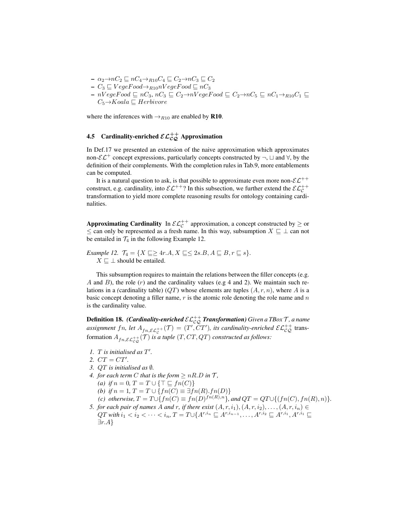- $\alpha_2 \rightarrow nC_2 \sqsubseteq nC_4 \rightarrow_{R10} C_4 \sqsubseteq C_2 \rightarrow nC_3 \sqsubseteq C_2$
- $C_3 \sqsubseteq VegeFood \rightarrow_{R10} nVegeFood \sqsubseteq nC_3$
- nVegeFood  $\sqsubseteq nC_3$ , n $C_3 \sqsubseteq C_2 \rightarrow nV$ egeFood  $\sqsubseteq C_2 \rightarrow nC_5 \sqsubseteq nC_1 \rightarrow_{R10}C_1 \sqsubseteq$  $C_5 \rightarrow Koala \sqsubset Herbivore$

where the inferences with  $\rightarrow$ <sub>R10</sub> are enabled by **R10**.

## 4.5 Cardinality-enriched  $\mathcal{EL}_{\mathcal{CQ}}^{++}$  Approximation

In Def.17 we presented an extension of the naive approximation which approximates non- $\mathcal{EL}^+$  concept expressions, particularly concepts constructed by  $\neg$ ,  $\Box$  and  $\forall$ , by the definition of their complements. With the completion rules in Tab.9, more entablements can be computed.

It is a natural question to ask, is that possible to approximate even more non- $\mathcal{EL}^{++}$ construct, e.g. cardinality, into  $\mathcal{EL}^{++}$ ? In this subsection, we further extend the  $\mathcal{EL}_{\mathcal{C}}^{++}$ transformation to yield more complete reasoning results for ontology containing cardinalities.

Approximating Cardinality In  $\mathcal{EL}_{\mathcal{C}}^{++}$  approximation, a concept constructed by  $\geq$  or ≤ can only be represented as a fresh name. In this way, subsumption  $X \subseteq \bot$  can not be entailed in  $\mathcal{T}_4$  in the following Example 12.

*Example 12.*  $\mathcal{T}_4 = \{ X \sqsubseteq \geq 4r.A, X \sqsubseteq \leq 2s.B, A \sqsubseteq B, r \sqsubseteq s \}.$  $X \sqsubseteq \perp$  should be entailed.

This subsumption requires to maintain the relations between the filler concepts (e.g. A and  $B$ ), the role  $(r)$  and the cardinality values (e.g 4 and 2). We maintain such relations in a *(cardinality table)*  $(QT)$  whose elements are tuples  $(A, r, n)$ , where A is a basic concept denoting a filler name,  $r$  is the atomic role denoting the role name and  $n$ is the cardinality value.

**Definition 18.** *(Cardinality-enriched*  $\mathcal{EL}_{\mathcal{CQ}}^{++}$  *Transformation) Given a TBox T , a name assignment* fn, let  $A_{fn, \mathcal{EL}_{\mathcal{C}}^{++}}(\mathcal{T}) = (T', \tilde{C}T')$ , its cardinality-enriched  $\mathcal{EL}_{\mathcal{CQ}}^{++}$  transformation  $A_{fn, \mathcal{EL}^{++}_{\mathcal{CQ}}}(\mathcal{T})$  *is a tuple*  $(T, CT, QT)$  *constructed as follows:* 

- 1.  $T$  is initialised as  $T'$ .
- 2.  $CT = CT'.$
- *3.* QT *is initialised as* ∅*.*
- *4. for each term C* that is the form  $\geq nR.D$  in  $\mathcal{T}$ ,
	- *(a) if*  $n = 0$ ,  $T = T \cup \{T \sqsubseteq fn(C)\}$
	- *(b) if*  $n = 1, T = T \cup \{fn(C) \equiv \exists fn(R).fn(D)\}$
	- *(c) otherwise*,  $T = T \cup \{fn(C) ≡ fn(D)^{fn(R),n}\}$ *, and*  $QT = QT \cup \{(fn(C), fn(R),n)\}.$
- *5. for each pair of names A and r, if there exist*  $(A, r, i_1), (A, r, i_2), \ldots, (A, r, i_n) \in$  $QT$  with  $i_1 < i_2 < \cdots < i_n$ ,  $T = T \cup \{A^{r,i_n} \sqsubseteq A^{r,i_{n-1}}, \ldots, A^{r,i_2} \sqsubseteq A^{r,i_1}, A^{r,i_1} \sqsubseteq$  $\exists r.A$ }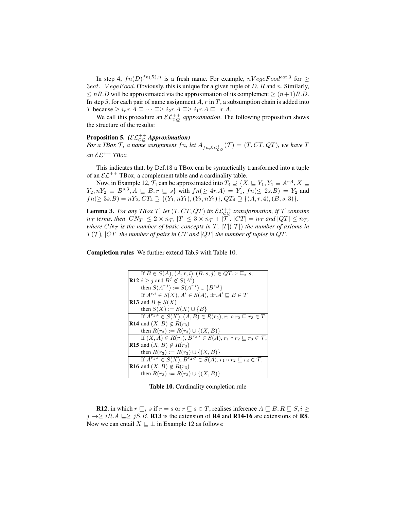In step 4,  $fn(D)^{fn(R),n}$  is a fresh name. For example,  $nVegeFood^{eat,3}$  for  $\ge$  $3eat.\neg Vegetood. Obviously, this is unique for a given tuple of D, R and n. Similarly,$  $\leq nR.D$  will be approximated via the approximation of its complement  $\geq (n+1)R.D$ . In step 5, for each pair of name assignment  $A$ ,  $r$  in  $T$ , a subsumption chain is added into T because  $\geq i_n r.A \sqsubseteq \cdots \sqsubseteq \geq i_2 r.A \sqsubseteq \geq i_1 r.A \sqsubseteq \exists r.A.$ 

We call this procedure an  $\mathcal{EL}_{\mathcal{CQ}}^{++}$  *approximation*. The following proposition shows the structure of the results:

## Proposition 5. *(EL*<sup>++</sup> *Approximation)*

For a TBox  $\mathcal T$ , a name assignment  $f$ n, let  $A_{fn,\mathcal{EL}^{++}_{\mathcal{CQ}}}(\mathcal T) = (T,CT,QT)$ , we have T an  $\mathcal{EL}^{++}$  *TBox.* 

This indicates that, by Def.18 a TBox can be syntactically transformed into a tuple of an  $\mathcal{EL}^{++}$  TBox, a complement table and a cardinality table.

Now, in Example 12,  $\mathcal{T}_4$  can be approximated into  $T_4 \supseteq \{X, \sqsubseteq Y_1, Y_1 \equiv A^{r,4}, X \sqsubseteq$  $Y_2, nY_2 \equiv B^{s,3}, A \sqsubseteq B, r \sqsubseteq s$ } with  $fn(\geq 4r.A) = Y_1, fn(\leq 2s.B) = Y_2$  and  $fn(\geq 3s.B) = nY_2, CT_4 \supseteq \{(Y_1, nY_1), (Y_2, nY_2)\}, QT_4 \supseteq \{(A, r, 4), (B, s, 3)\}.$ 

**Lemma 3.** For any TBox  $\mathcal{T}$ , let  $(T, CT, QT)$  its  $\mathcal{EL}_{\mathcal{CQ}}^{++}$  transformation, if  $\mathcal{T}$  contains  $n_{\mathcal{T}}$  *terms, then*  $|CN_T| \leq 2 \times n_{\mathcal{T}}$ ,  $|T| \leq 3 \times n_{\mathcal{T}} + |\mathcal{T}|$ ,  $|CT| = n_{\mathcal{T}}$  *and*  $|QT| \leq n_{\mathcal{T}}$ , *where*  $CN_T$  *is the number of basic concepts in* T,  $|T|(|T|)$  *the number of axioms in*  $T(T)$ ,  $|CT|$  *the number of pairs in* CT *and*  $|QT|$  *the number of tuples in* QT.

Completion rules We further extend Tab.9 with Table 10.

| If $B \in S(A), (A, r, i), (B, s, j) \in QT, r \sqsubseteq_* s$ ,                            |
|----------------------------------------------------------------------------------------------|
|                                                                                              |
| $\vert R12 \vert i \geq j$ and $B^j \notin S(A^i)$                                           |
| then $S(A^{r,i}) := S(A^{r,i}) \cup \{B^{s,j}\}\$                                            |
| If $A^{r,i} \in S(X)$ , $A' \in S(A)$ , $\exists r.A' \sqsubseteq B \in T$                   |
| R13 and $B \notin S(X)$                                                                      |
| then $S(X) := S(X) \cup {B}$                                                                 |
| If $A^{r_1,i} \in S(X)$ , $(A, B) \in R(r_2)$ , $r_1 \circ r_2 \sqsubseteq r_3 \in T$ ,      |
| $\textbf{R14}$ and $(X, B) \notin R(r_3)$                                                    |
| then $R(r_3) := R(r_3) \cup \{(X, B)\}\$                                                     |
| If $(X, A) \in R(r_1), B^{r_2, i} \in S(A), r_1 \circ r_2 \sqsubseteq r_3 \in T$ ,           |
| $\textbf{R15}$ and $(X, B) \notin R(r_3)$                                                    |
| then $R(r_3) := R(r_3) \cup \{(X, B)\}\$                                                     |
| If $A^{r_1,i} \in S(X), B^{r_2,j} \in S(A), r_1 \circ r_2 \sqsubseteq r_3 \in \mathcal{T}$ , |
| <b>R16</b> and $(X, B) \notin R(r_3)$                                                        |
| then $R(r_3) := R(r_3) \cup \{(X, B)\}\$                                                     |

Table 10. Cardinality completion rule

**R12**, in which  $r \sqsubseteq_* s$  if  $r = s$  or  $r \sqsubseteq s \in T$ , realises inference  $A \sqsubseteq B$ ,  $R \sqsubseteq S$ ,  $i \geq$  $j \rightarrow\geq iR.A \sqsubseteq \geq jS.B.$  R13 is the extension of R4 and R14-16 are extensions of R8. Now we can entail  $X \sqsubseteq \perp$  in Example 12 as follows: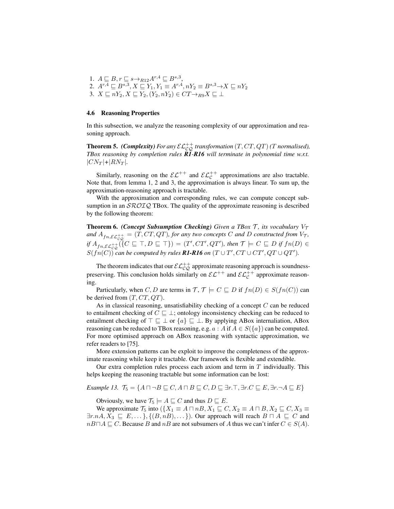1.  $A \sqsubseteq B, r \sqsubseteq s \rightarrow_{R12} A^{r,4} \sqsubseteq B^{s,3}$ , 2.  $A^{r,4} \sqsubseteq B^{s,3}, X \sqsubseteq Y_1, Y_1 \equiv A^{r,4}, nY_2 \equiv B^{s,3} \rightarrow X \sqsubseteq nY_2$ 3.  $X \sqsubseteq nY_2, X \sqsubseteq Y_2,(Y_2, nY_2) \in CT \rightarrow_{R9} X \sqsubseteq \bot$ 

### 4.6 Reasoning Properties

In this subsection, we analyze the reasoning complexity of our approximation and reasoning approach.

**Theorem 5.** *(Complexity) For any*  $\mathcal{EL}_{\mathcal{CQ}}^{++}$  *transformation*  $(T, CT, QT)$  *(T normalised), TBox reasoning by completion rules R1-R16 will terminate in polynomial time w.r.t.*  $|CN_T|$ + $|RN_T|$ *.* 

Similarly, reasoning on the  $\mathcal{EL}^{++}$  and  $\mathcal{EL}^{++}_\mathcal{C}$  approximations are also tractable. Note that, from lemma 1, 2 and 3, the approximation is always linear. To sum up, the approximation-reasoning approach is tractable.

With the approximation and corresponding rules, we can compute concept subsumption in an  $\mathcal{SROTQ}$  TBox. The quality of the approximate reasoning is described by the following theorem:

**Theorem 6.** *(Concept Subsumption Checking) Given a TBox T, its vocabulary*  $V_{\tau}$ and  $A_{fn,\mathcal{EL}_{CQ}^{++}} = (T, CT, QT)$ , for any two concepts C and D constructed from  $V_T$ ,  $if$   $A_{fn, \mathcal{EL}^{++}_{\mathcal{CO}}}(\{C \sqsubseteq \top, D \sqsubseteq \top\}) = (T', CT', QT'),$  then  $\mathcal{T} \models C \sqsubseteq D$  if  $fn(D) \in \mathcal{T}$  $S(fn(C))$  can be computed by rules **R1-R16** on  $(T \cup T', CT \cup CT', QT \cup QT')$ .

The theorem indicates that our  $\mathcal{EL}_{\mathcal{CQ}}^{++}$  approximate reasoning approach is soundnesspreserving. This conclusion holds similarly on  $\mathcal{EL}^{++}$  and  $\mathcal{EL}^{++}_{\mathcal{C}}$  approximate reasoning.

Particularly, when C, D are terms in  $\mathcal{T}, \mathcal{T} \models C \sqsubseteq D$  if  $fn(D) \in S(fn(C))$  can be derived from  $(T, CT, QT)$ .

As in classical reasoning, unsatisfiability checking of a concept  $C$  can be reduced to entailment checking of  $C \sqsubseteq \perp$ ; ontology inconsistency checking can be reduced to entailment checking of  $\top \sqsubseteq \bot$  or  $\{a\} \sqsubseteq \bot$ . By applying ABox internaliation, ABox reasoning can be reduced to TBox reasoning, e.g.  $a : A$  if  $A \in S({a})$  can be computed. For more optimised approach on ABox reasoning with syntactic approximation, we refer readers to [75].

More extension patterns can be exploit to improve the completeness of the approximate reasoning while keep it tractable. Our framework is flexible and extendible.

Our extra completion rules process each axiom and term in  $T$  individually. This helps keeping the reasoning tractable but some information can be lost:

*Example 13.*  $\mathcal{T}_5 = \{A \sqcap \neg B \sqsubseteq C, A \sqcap B \sqsubseteq C, D \sqsubseteq \exists r.\top, \exists r.C \sqsubseteq E, \exists r.\neg A \sqsubseteq E\}$ 

Obviously, we have  $\mathcal{T}_5 \models A \sqsubseteq C$  and thus  $D \sqsubseteq E$ .

We approximate  $\mathcal{T}_5$  into  $(\{X_1 \equiv A \sqcap nB, X_1 \sqsubseteq C, X_2 \equiv A \sqcap B, X_2 \sqsubseteq C, X_3 \equiv C\})$  $\exists r.nA, X_3 \sqsubseteq E, \ldots$ ,  $\{(B, nB), \ldots\}$ . Our approach will reach  $B \sqcap A \sqsubseteq C$  and  $nB\Box A \sqsubseteq C$ . Because B and  $nB$  are not subsumers of A thus we can't infer  $C \in S(A)$ .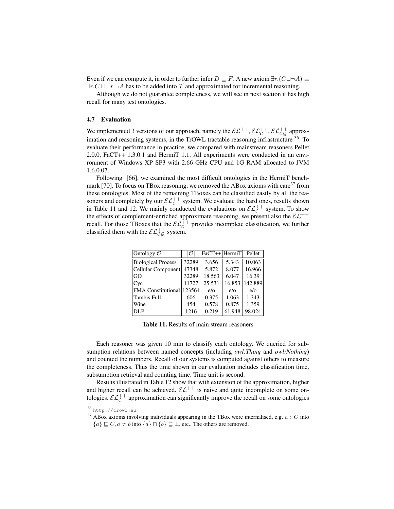Even if we can compute it, in order to further infer  $D \sqsubseteq F$ . A new axiom  $\exists r.(C \sqcup \neg A) \equiv$  $\exists r.C \sqcup \exists r.\neg A$  has to be added into T and approximated for incremental reasoning.

Although we do not guarantee completeness, we will see in next section it has high recall for many test ontologies.

### 4.7 Evaluation

We implemented 3 versions of our approach, namely the  $\mathcal{EL}^{++}$ ,  $\mathcal{EL}^{++}_c$ ,  $\mathcal{EL}^{++}_{CQ}$  approximation and reasoning systems, in the TrOWL tractable reasoning infrastructure <sup>36</sup>. To evaluate their performance in practice, we compared with mainstream reasoners Pellet 2.0.0, FaCT++ 1.3.0.1 and HermiT 1.1. All experiments were conducted in an environment of Windows XP SP3 with 2.66 GHz CPU and 1G RAM allocated to JVM 1.6.0.07.

Following [66], we examined the most difficult ontologies in the HermiT benchmark [70]. To focus on TBox reasoning, we removed the ABox axioms with care<sup>37</sup> from these ontologies. Most of the remaining TBoxes can be classified easily by all the reasoners and completely by our  $\mathcal{EL}_{\mathcal{C}}^{++}$  system. We evaluate the hard ones, results shown in Table 11 and 12. We mainly conducted the evaluations on  $\mathcal{EL}_{\mathcal{C}}^{++}$  system. To show the effects of complement-enriched approximate reasoning, we present also the  $\mathcal{EL}^{++}$ recall. For those TBoxes that the  $\mathcal{EL}_{\mathcal{C}}^{\dagger+}$  provides incomplete classification, we further classified them with the  $\mathcal{EL}_{\mathcal{CQ}}^{++}$  system.

| Ontology $\mathcal O$     | $\mathcal O$ | $ FaCT++ HermiT $ |        | Pellet  |
|---------------------------|--------------|-------------------|--------|---------|
| <b>Biological Process</b> | 32289        | 3.656             | 5.343  | 10.063  |
| Cellular Component        | 47348        | 5.872             | 8.077  | 16.966  |
| GO                        | 32289        | 18.563            | 6.047  | 16.39   |
| Cyc                       | 11727        | 25.531            | 16.853 | 142.889 |
| FMA Constitutional 123564 |              | e/o               | e/o    | e/o     |
| Tambis Full               | 606          | 0.375             | 1.063  | 1.343   |
| Wine                      | 454          | 0.578             | 0.875  | 1.359   |
| DI.P                      | 1216         | 0.219             | 61.948 | 98.024  |

Table 11. Results of main stream reasoners

Each reasoner was given 10 min to classify each ontology. We queried for subsumption relations between named concepts (including *owl:Thing* and *owl:Nothing*) and counted the numbers. Recall of our systems is computed against others to measure the completeness. Thus the time shown in our evaluation includes classification time, subsumption retrieval and counting time. Time unit is second.

Results illustrated in Table 12 show that with extension of the approximation, higher and higher recall can be achieved.  $\mathcal{EL}^{++}$  is naive and quite incomplete on some ontologies.  $\mathcal{EL}_{\mathcal{C}}^{++}$  approximation can significantly improve the recall on some ontologies

 $36$  http://trowl.eu

 $37$  ABox axioms involving individuals appearing in the TBox were internalised, e.g.  $a : C$  into  ${a} \subseteq C, a \neq b$  into  ${a} \cap {b} \subseteq \bot$ , etc.. The others are removed.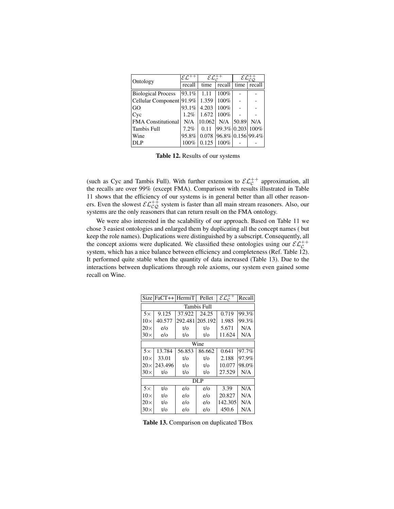| Ontology                  | $\mathcal{EL}^-$ | $\mathcal{EL}_{\mathcal{C}}^{+}$ |                                | $\mathcal{EL}_{\mathcal{CQ}}^{++}$ |        |
|---------------------------|------------------|----------------------------------|--------------------------------|------------------------------------|--------|
|                           | recall           | time                             | recall                         | time                               | recall |
| <b>Biological Process</b> | 93.1%            | -1.11                            | 100%                           |                                    |        |
| Cellular Component 91.9%  |                  | 1.359                            | 100%                           |                                    |        |
| GO                        | 93.1%            | 4.203                            | $100\%$                        |                                    |        |
| Cyc                       | 1.2%             | 1.672                            | 100%                           |                                    |        |
| <b>FMA</b> Constitutional | N/A              | 10.062                           | N/A                            | 50.89                              | N/A    |
| Tambis Full               | $7.2\%$          | 0.11                             | $ 99.3\% 0.203 100\%$          |                                    |        |
| Wine                      | 95.8%            |                                  | $0.078$  96.8%   0.156   99.4% |                                    |        |
| DLP                       | 100%             | 0.125                            | 100%                           |                                    |        |

Table 12. Results of our systems

(such as Cyc and Tambis Full). With further extension to  $\mathcal{EL}_{\mathcal{C}}^{++}$  approximation, all the recalls are over 99% (except FMA). Comparison with results illustrated in Table 11 shows that the efficiency of our systems is in general better than all other reasoners. Even the slowest  $\mathcal{EL}_{\mathcal{CQ}}^{++}$  system is faster than all main stream reasoners. Also, our systems are the only reasoners that can return result on the FMA ontology.

We were also interested in the scalability of our approach. Based on Table 11 we chose 3 easiest ontologies and enlarged them by duplicating all the concept names ( but keep the role names). Duplications were distinguished by a subscript. Consequently, all the concept axioms were duplicated. We classified these ontologies using our  $\mathcal{EL}_{\mathcal{C}}^{++}$ system, which has a nice balance between efficiency and completeness (Ref. Table 12). It performed quite stable when the quantity of data increased (Table 13). Due to the interactions between duplications through role axioms, our system even gained some recall on Wine.

|            | $Size FacT++ HermiT$ |            | Pellet     | $\mathcal{EL}_{\mathcal{C}}^{++}$ | Recall |  |  |  |
|------------|----------------------|------------|------------|-----------------------------------|--------|--|--|--|
|            | Tambis Full          |            |            |                                   |        |  |  |  |
| $5\times$  | 9.125                | 37.922     | 24.25      | 0.719                             | 99.3%  |  |  |  |
| $10\times$ | 40.577               | 292.481    | 205.192    | 1.985                             | 99.3%  |  |  |  |
| $20\times$ | $e$ /0               | t/o        | t/o        | 5.671                             | N/A    |  |  |  |
| $30\times$ | e/o                  | $t/\alpha$ | $t/\alpha$ | 11.624                            | N/A    |  |  |  |
|            |                      |            | Wine       |                                   |        |  |  |  |
| $5\times$  | 13.784               | 56.853     | 86.662     | 0.641                             | 97.7%  |  |  |  |
| $10\times$ | 33.01                | $t/\alpha$ | $t/\alpha$ | 2.188                             | 97.9%  |  |  |  |
| $20\times$ | 243.496              | $t/\sigma$ | $t/\Omega$ | 10.077                            | 98.0%  |  |  |  |
| $30\times$ | $t/\alpha$           | $t/\alpha$ | $t/\Omega$ | 27.529                            | N/A    |  |  |  |
|            |                      |            | DLP        |                                   |        |  |  |  |
| $5\times$  | $t/\alpha$           | e/o        | e/o        | 3.39                              | N/A    |  |  |  |
| $10\times$ | $t/\alpha$           | $e$ /0     | e/o        | 20.827                            | N/A    |  |  |  |
| $20\times$ | $t$ /0               | e/o        | $e$ /0     | 142.305                           | N/A    |  |  |  |
| $30\times$ | t/o                  | $e$ /0     | $e$ /0     | 450.6                             | N/A    |  |  |  |

Table 13. Comparison on duplicated TBox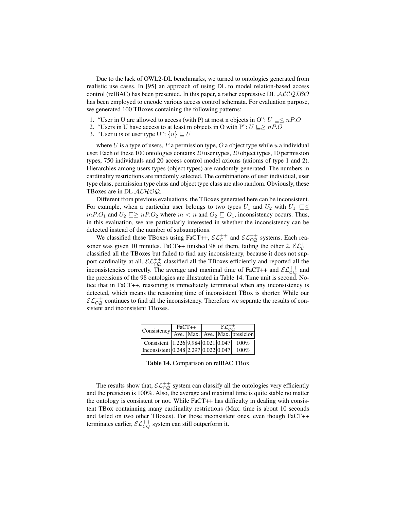Due to the lack of OWL2-DL benchmarks, we turned to ontologies generated from realistic use cases. In [95] an approach of using DL to model relation-based access control (relBAC) has been presented. In this paper, a rather expressive DL ALCQIBO has been employed to encode various access control schemata. For evaluation purpose, we generated 100 TBoxes containing the following patterns:

- 1. "User in U are allowed to access (with P) at most n objects in O":  $U \subseteq \leq nP.O$
- 2. "Users in U have access to at least m objects in O with P":  $U \sqsubseteq \geq nP.O$
- 3. "User u is of user type U":  $\{u\} \sqsubseteq U$

where U is a type of users, P a permission type, O a object type while  $u$  a individual user. Each of these 100 ontologies contains 20 user types, 20 object types, 10 permission types, 750 individuals and 20 access control model axioms (axioms of type 1 and 2). Hierarchies among users types (object types) are randomly generated. The numbers in cardinality restrictions are randomly selected. The combinations of user individual, user type class, permission type class and object type class are also random. Obviously, these TBoxes are in DL  $ALHOQ$ .

Different from previous evaluations, the TBoxes generated here can be inconsistent. For example, when a particular user belongs to two types  $U_1$  and  $U_2$  with  $U_1 \subseteq \leq$  $mPO_1$  and  $U_2 \sqsubseteq \geq nPO_2$  where  $m < n$  and  $O_2 \sqsubseteq O_1$ , inconsistency occurs. Thus, in this evaluation, we are particularly interested in whether the inconsistency can be detected instead of the number of subsumptions.

We classified these TBoxes using FaCT++,  $\mathcal{EL}_{\mathcal{C}}^{++}$  and  $\mathcal{EL}_{\mathcal{CQ}}^{++}$  systems. Each reasoner was given 10 minutes. FaCT++ finished 98 of them, failing the other 2.  $\mathcal{EL}_{\mathcal{C}}^{++}$ classified all the TBoxes but failed to find any inconsistency, because it does not support cardinality at all.  $\mathcal{EL}_{\mathcal{CQ}}^{++}$  classified all the TBoxes efficiently and reported all the inconsistencies correctly. The average and maximal time of FaCT++ and  $\mathcal{EL}_{\mathcal{CQ}}^{++}$  and the precisions of the 98 ontologies are illustrated in Table 14. Time unit is second. Notice that in FaCT++, reasoning is immediately terminated when any inconsistency is detected, which means the reasoning time of inconsistent TBox is shorter. While our  $\mathcal{EL}_{\mathcal{CQ}}^{++}$  continues to find all the inconsistency. Therefore we separate the results of consistent and inconsistent TBoxes.

| Consistency                                                                   | $FaCT++$ |  | $\mathcal{EL}_{\mathcal{C}}^{\tau}$ |  |                               |
|-------------------------------------------------------------------------------|----------|--|-------------------------------------|--|-------------------------------|
|                                                                               |          |  |                                     |  | Ave. Max. Ave. Max. presicion |
| Consistent $ 1.226 9.984 0.021 0.047 $                                        |          |  |                                     |  | $100\%$                       |
| $\left $ Inconsistent $\left 0.248\right 2.297\left 0.022\right 0.047\right $ |          |  |                                     |  | 100%                          |

Table 14. Comparison on relBAC TBox

The results show that,  $\mathcal{EL}_{\mathcal{CQ}}^{++}$  system can classify all the ontologies very efficiently and the presicion is 100%. Also, the average and maximal time is quite stable no matter the ontology is consistent or not. While FaCT++ has difficulty in dealing with consistent TBox containning many cardinality restrictions (Max. time is about 10 seconds and failed on two other TBoxes). For those inconsistent ones, even though FaCT++ terminates earlier,  $\mathcal{EL}_{\mathcal{CQ}}^{++}$  system can still outperform it.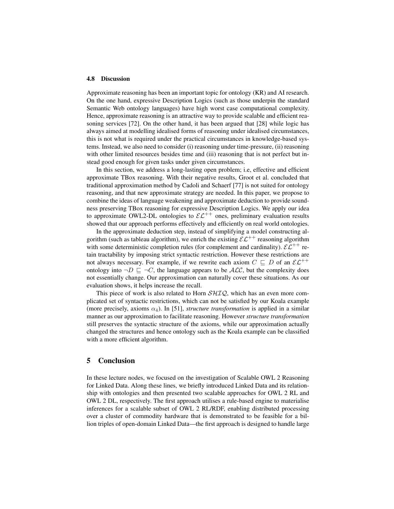#### 4.8 Discussion

Approximate reasoning has been an important topic for ontology (KR) and AI research. On the one hand, expressive Description Logics (such as those underpin the standard Semantic Web ontology languages) have high worst case computational complexity. Hence, approximate reasoning is an attractive way to provide scalable and efficient reasoning services [72]. On the other hand, it has been argued that [28] while logic has always aimed at modelling idealised forms of reasoning under idealised circumstances, this is not what is required under the practical circumstances in knowledge-based systems. Instead, we also need to consider (i) reasoning under time-pressure, (ii) reasoning with other limited resources besides time and (iii) reasoning that is not perfect but instead good enough for given tasks under given circumstances.

In this section, we address a long-lasting open problem; i.e, effective and efficient approximate TBox reasoning. With their negative results, Groot et al. concluded that traditional approximation method by Cadoli and Schaerf [77] is not suited for ontology reasoning, and that new approximate strategy are needed. In this paper, we propose to combine the ideas of language weakening and approximate deduction to provide soundness preserving TBox reasoning for expressive Description Logics. We apply our idea to approximate OWL2-DL ontologies to  $\mathcal{EL}^{++}$  ones, preliminary evaluation results showed that our approach performs effectively and efficiently on real world ontologies.

In the approximate deduction step, instead of simplifying a model constructing algorithm (such as tableau algorithm), we enrich the existing  $\mathcal{EL}^{++}$  reasoning algorithm with some deterministic completion rules (for complement and cardinality).  $\mathcal{EL}^{++}$  retain tractability by imposing strict syntactic restriction. However these restrictions are not always necessary. For example, if we rewrite each axiom  $C \subseteq D$  of an  $\mathcal{EL}^{++}$ ontology into  $\neg D \sqsubseteq \neg C$ , the language appears to be  $\mathcal{ALC}$ , but the complexity does not essentially change. Our approximation can naturally cover these situations. As our evaluation shows, it helps increase the recall.

This piece of work is also related to Horn  $\mathcal{SHIQ}$ , which has an even more complicated set of syntactic restrictions, which can not be satisfied by our Koala example (more precisely, axioms  $\alpha_4$ ). In [51], *structure transformation* is applied in a similar manner as our approximation to facilitate reasoning. However *structure transformation* still preserves the syntactic structure of the axioms, while our approximation actually changed the structures and hence ontology such as the Koala example can be classified with a more efficient algorithm.

### 5 Conclusion

In these lecture nodes, we focused on the investigation of Scalable OWL 2 Reasoning for Linked Data. Along these lines, we briefly introduced Linked Data and its relationship with ontologies and then presented two scalable approaches for OWL 2 RL and OWL 2 DL, respectively. The first approach utilises a rule-based engine to materialise inferences for a scalable subset of OWL 2 RL/RDF, enabling distributed processing over a cluster of commodity hardware that is demonstrated to be feasible for a billion triples of open-domain Linked Data—the first approach is designed to handle large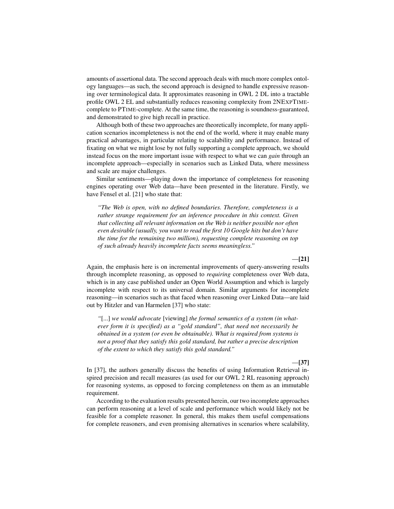amounts of assertional data. The second approach deals with much more complex ontology languages—as such, the second approach is designed to handle expressive reasoning over terminological data. It approximates reasoning in OWL 2 DL into a tractable profile OWL 2 EL and substantially reduces reasoning complexity from 2NEXPTIMEcomplete to PTIME-complete. At the same time, the reasoning is soundness-guaranteed, and demonstrated to give high recall in practice.

Although both of these two approaches are theoretically incomplete, for many application scenarios incompleteness is not the end of the world, where it may enable many practical advantages, in particular relating to scalability and performance. Instead of fixating on what we might lose by not fully supporting a complete approach, we should instead focus on the more important issue with respect to what we can *gain* through an incomplete approach—especially in scenarios such as Linked Data, where messiness and scale are major challenges.

Similar sentiments—playing down the importance of completeness for reasoning engines operating over Web data—have been presented in the literature. Firstly, we have Fensel et al. [21] who state that:

*"The Web is open, with no defined boundaries. Therefore, completeness is a rather strange requirement for an inference procedure in this context. Given that collecting all relevant information on the Web is neither possible nor often even desirable (usually, you want to read the first 10 Google hits but don't have the time for the remaining two million), requesting complete reasoning on top of such already heavily incomplete facts seems meaningless."*

Again, the emphasis here is on incremental improvements of query-answering results through incomplete reasoning, as opposed to *requiring* completeness over Web data, which is in any case published under an Open World Assumption and which is largely incomplete with respect to its universal domain. Similar arguments for incomplete reasoning—in scenarios such as that faced when reasoning over Linked Data—are laid out by Hitzler and van Harmelen [37] who state:

*"*[...] *we would advocate* [viewing] *the formal semantics of a system (in whatever form it is specified) as a "gold standard", that need not necessarily be obtained in a system (or even be obtainable). What is required from systems is not a proof that they satisfy this gold standard, but rather a precise description of the extent to which they satisfy this gold standard."*

#### $-$ [37]

In [37], the authors generally discuss the benefits of using Information Retrieval inspired precision and recall measures (as used for our OWL 2 RL reasoning approach) for reasoning systems, as opposed to forcing completeness on them as an immutable requirement.

According to the evaluation results presented herein, our two incomplete approaches can perform reasoning at a level of scale and performance which would likely not be feasible for a complete reasoner. In general, this makes them useful compensations for complete reasoners, and even promising alternatives in scenarios where scalability,

#### $-$ [21]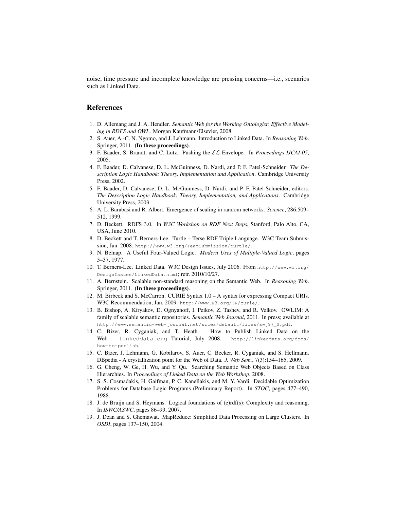noise, time pressure and incomplete knowledge are pressing concerns—i.e., scenarios such as Linked Data.

### References

- 1. D. Allemang and J. A. Hendler. *Semantic Web for the Working Ontologist: Effective Modeling in RDFS and OWL*. Morgan Kaufmann/Elsevier, 2008.
- 2. S. Auer, A.-C. N. Ngomo, and J. Lehmann. Introduction to Linked Data. In *Reasoning Web*. Springer, 2011. (In these proceedings).
- 3. F. Baader, S. Brandt, and C. Lutz. Pushing the EL Envelope. In *Proceedings IJCAI-05*, 2005.
- 4. F. Baader, D. Calvanese, D. L. McGuinness, D. Nardi, and P. F. Patel-Schneider. *The Description Logic Handbook: Theory, Implementation and Application*. Cambridge University Press, 2002.
- 5. F. Baader, D. Calvanese, D. L. McGuinness, D. Nardi, and P. F. Patel-Schneider, editors. *The Description Logic Handbook: Theory, Implementation, and Applications*. Cambridge University Press, 2003.
- 6. A. L. Barabasi and R. Albert. Emergence of scaling in random networks. ´ *Science*, 286:509– 512, 1999.
- 7. D. Beckett. RDFS 3.0. In *W3C Workshop on RDF Next Steps*, Stanford, Palo Alto, CA, USA, June 2010.
- 8. D. Beckett and T. Berners-Lee. Turtle Terse RDF Triple Language. W3C Team Submission, Jan. 2008. http://www.w3.org/TeamSubmission/turtle/.
- 9. N. Belnap. A Useful Four-Valued Logic. *Modern Uses of Multiple-Valued Logic*, pages 5–37, 1977.
- 10. T. Berners-Lee. Linked Data. W3C Design Issues, July 2006. From http://www.w3.org/ DesignIssues/LinkedData.html; retr. 2010/10/27.
- 11. A. Bernstein. Scalable non-standard reasoning on the Semantic Web. In *Reasoning Web*. Springer, 2011. (In these proceedings).
- 12. M. Birbeck and S. McCarron. CURIE Syntax 1.0 A syntax for expressing Compact URIs. W3C Recommendation, Jan. 2009. http://www.w3.org/TR/curie/.
- 13. B. Bishop, A. Kiryakov, D. Ognyanoff, I. Peikov, Z. Tashev, and R. Velkov. OWLIM: A family of scalable semantic repositories. *Semantic Web Journal*, 2011. In press; available at http://www.semantic-web-journal.net/sites/default/files/swj97\_0.pdf.
- 14. C. Bizer, R. Cyganiak, and T. Heath. How to Publish Linked Data on the Web. linkeddata.org Tutorial, July 2008. http://linkeddata.org/docs/ how-to-publish.
- 15. C. Bizer, J. Lehmann, G. Kobilarov, S. Auer, C. Becker, R. Cyganiak, and S. Hellmann. DBpedia - A crystallization point for the Web of Data. *J. Web Sem.*, 7(3):154–165, 2009.
- 16. G. Cheng, W. Ge, H. Wu, and Y. Qu. Searching Semantic Web Objects Based on Class Hierarchies. In *Proceedings of Linked Data on the Web Workshop*, 2008.
- 17. S. S. Cosmadakis, H. Gaifman, P. C. Kanellakis, and M. Y. Vardi. Decidable Optimization Problems for Database Logic Programs (Preliminary Report). In *STOC*, pages 477–490, 1988.
- 18. J. de Bruijn and S. Heymans. Logical foundations of (e)rdf(s): Complexity and reasoning. In *ISWC/ASWC*, pages 86–99, 2007.
- 19. J. Dean and S. Ghemawat. MapReduce: Simplified Data Processing on Large Clusters. In *OSDI*, pages 137–150, 2004.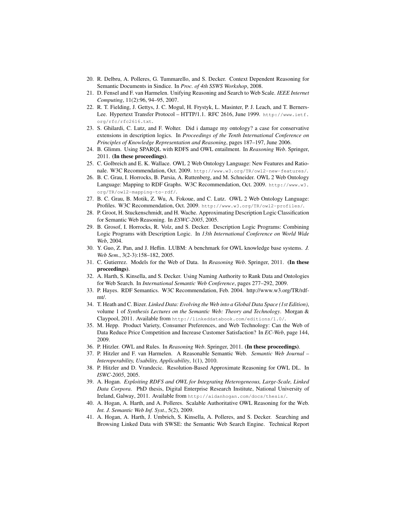- 20. R. Delbru, A. Polleres, G. Tummarello, and S. Decker. Context Dependent Reasoning for Semantic Documents in Sindice. In *Proc. of 4th SSWS Workshop*, 2008.
- 21. D. Fensel and F. van Harmelen. Unifying Reasoning and Search to Web Scale. *IEEE Internet Computing*, 11(2):96, 94–95, 2007.
- 22. R. T. Fielding, J. Gettys, J. C. Mogul, H. Frystyk, L. Masinter, P. J. Leach, and T. Berners-Lee. Hypertext Transfer Protocol – HTTP/1.1. RFC 2616, June 1999. http://www.ietf. org/rfc/rfc2616.txt.
- 23. S. Ghilardi, C. Lutz, and F. Wolter. Did i damage my ontology? a case for conservative extensions in description logics. In *Proceedings of the Tenth International Conference on Principles of Knowledge Representation and Reasoning*, pages 187–197, June 2006.
- 24. B. Glimm. Using SPARQL with RDFS and OWL entailment. In *Reasoning Web*. Springer, 2011. (In these proceedings).
- 25. C. Golbreich and E. K. Wallace. OWL 2 Web Ontology Language: New Features and Rationale. W3C Recommendation, Oct. 2009. http://www.w3.org/TR/owl2-new-features/.
- 26. B. C. Grau, I. Horrocks, B. Parsia, A. Ruttenberg, and M. Schneider. OWL 2 Web Ontology Language: Mapping to RDF Graphs. W3C Recommendation, Oct. 2009. http://www.w3. org/TR/owl2-mapping-to-rdf/.
- 27. B. C. Grau, B. Motik, Z. Wu, A. Fokoue, and C. Lutz. OWL 2 Web Ontology Language: Profiles. W3C Recommendation, Oct. 2009. http://www.w3.org/TR/owl2-profiles/.
- 28. P. Groot, H. Stuckenschmidt, and H. Wache. Approximating Description Logic Classification for Semantic Web Reasoning. In *ESWC-2005*, 2005.
- 29. B. Grosof, I. Horrocks, R. Volz, and S. Decker. Description Logic Programs: Combining Logic Programs with Description Logic. In *13th International Conference on World Wide Web*, 2004.
- 30. Y. Guo, Z. Pan, and J. Heflin. LUBM: A benchmark for OWL knowledge base systems. *J. Web Sem.*, 3(2-3):158–182, 2005.
- 31. C. Gutierrez. Models for the Web of Data. In *Reasoning Web*. Springer, 2011. (In these proceedings).
- 32. A. Harth, S. Kinsella, and S. Decker. Using Naming Authority to Rank Data and Ontologies for Web Search. In *International Semantic Web Conference*, pages 277–292, 2009.
- 33. P. Hayes. RDF Semantics. W3C Recommendation, Feb. 2004. http://www.w3.org/TR/rdfmt/.
- 34. T. Heath and C. Bizer. *Linked Data: Evolving the Web into a Global Data Space (1st Edition)*, volume 1 of *Synthesis Lectures on the Semantic Web: Theory and Technology*. Morgan & Claypool, 2011. Available from http://linkeddatabook.com/editions/1.0/.
- 35. M. Hepp. Product Variety, Consumer Preferences, and Web Technology: Can the Web of Data Reduce Price Competition and Increase Customer Satisfaction? In *EC-Web*, page 144, 2009.
- 36. P. Hitzler. OWL and Rules. In *Reasoning Web*. Springer, 2011. (In these proceedings).
- 37. P. Hitzler and F. van Harmelen. A Reasonable Semantic Web. *Semantic Web Journal – Interoperability, Usability, Applicability*, 1(1), 2010.
- 38. P. Hitzler and D. Vrandecic. Resolution-Based Approximate Reasoning for OWL DL. In *ISWC-2005*, 2005.
- 39. A. Hogan. *Exploiting RDFS and OWL for Integrating Heterogeneous, Large-Scale, Linked Data Corpora*. PhD thesis, Digital Enterprise Research Institute, National University of Ireland, Galway, 2011. Available from http://aidanhogan.com/docs/thesis/.
- 40. A. Hogan, A. Harth, and A. Polleres. Scalable Authoritative OWL Reasoning for the Web. *Int. J. Semantic Web Inf. Syst.*, 5(2), 2009.
- 41. A. Hogan, A. Harth, J. Umbrich, S. Kinsella, A. Polleres, and S. Decker. Searching and Browsing Linked Data with SWSE: the Semantic Web Search Engine. Technical Report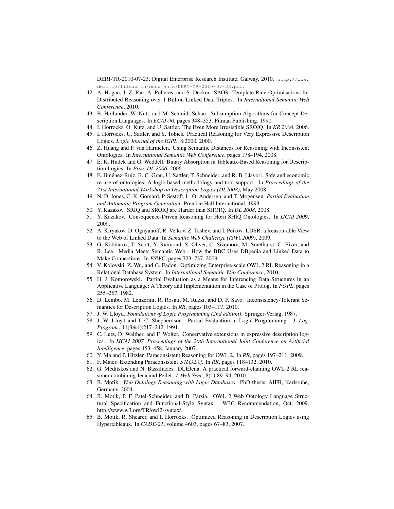DERI-TR-2010-07-23, Digital Enterprise Research Institute, Galway, 2010. http://www. deri.ie/fileadmin/documents/DERI-TR-2010-07-23.pdf.

- 42. A. Hogan, J. Z. Pan, A. Polleres, and S. Decker. SAOR: Template Rule Optimisations for Distributed Reasoning over 1 Billion Linked Data Triples. In *International Semantic Web Conference*, 2010.
- 43. B. Hollunder, W. Nutt, and M. Schmidt-Schau. Subsumption Algorithms for Concept Description Languages. In *ECAI-90*, pages 348–353. Pitman Publishing, 1990.
- 44. I. Horrocks, O. Kutz, and U. Sattler. The Even More Irresistible SROIQ. In *KR 2006*, 2006.
- 45. I. Horrocks, U. Sattler, and S. Tobies. Practical Reasoning for Very Expressive Description Logics. *Logic Journal of the IGPL*, 8:2000, 2000.
- 46. Z. Huang and F. van Harmelen. Using Semantic Distances for Reasoning with Inconsistent Ontologies. In *International Semantic Web Conference*, pages 178–194, 2008.
- 47. E. K. Hudek and G. Weddell. Binary Absorption in Tableaux-Based Reasoning for Description Logics. In *Proc. DL 2006*, 2006.
- 48. E. Jimenez-Ruiz, B. C. Grau, U. Sattler, T. Schneider, and R. B. Llavori. Safe and economic ´ re-use of ontologies: A logic-based methodology and tool support. In *Proceedings of the 21st International Workshop on Description Logics (DL2008)*, May 2008.
- 49. N. D. Jones, C. K. Gomard, P. Sestoft, L. O. Andersen, and T. Mogensen. *Partial Evaluation and Automatic Program Generation*. Prentice Hall International, 1993.
- 50. Y. Kazakov. SRIQ and SROIQ are Harder than SHOIQ. In *DL 2008*, 2008.
- 51. Y. Kazakov. Consequence-Driven Reasoning for Horn SHIQ Ontologies. In *IJCAI 2009*, 2009.
- 52. A. Kiryakov, D. Ognyanoff, R. Velkov, Z. Tashev, and I. Peikov. LDSR: a Reason-able View to the Web of Linked Data. In *Semantic Web Challenge (ISWC2009)*, 2009.
- 53. G. Kobilarov, T. Scott, Y. Raimond, S. Oliver, C. Sizemore, M. Smethurst, C. Bizer, and R. Lee. Media Meets Semantic Web - How the BBC Uses DBpedia and Linked Data to Make Connections. In *ESWC*, pages 723–737, 2009.
- 54. V. Kolovski, Z. Wu, and G. Eadon. Optimizing Enterprise-scale OWL 2 RL Reasoning in a Relational Database System. In *International Semantic Web Conference*, 2010.
- 55. H. J. Komorowski. Partial Evaluation as a Means for Inferencing Data Structures in an Applicative Language: A Theory and Implementation in the Case of Prolog. In *POPL*, pages 255–267, 1982.
- 56. D. Lembo, M. Lenzerini, R. Rosati, M. Ruzzi, and D. F. Savo. Inconsistency-Tolerant Semantics for Description Logics. In *RR*, pages 103–117, 2010.
- 57. J. W. Lloyd. *Foundations of Logic Programming (2nd edition)*. Springer-Verlag, 1987.
- 58. J. W. Lloyd and J. C. Shepherdson. Partial Evaluation in Logic Programming. *J. Log. Program.*, 11(3&4):217–242, 1991.
- 59. C. Lutz, D. Walther, and F. Wolter. Conservative extensions in expressive description logics. In *IJCAI 2007, Proceedings of the 20th International Joint Conference on Artificial Intelligence*, pages 453–458, January 2007.
- 60. Y. Ma and P. Hitzler. Paraconsistent Reasoning for OWL 2. In *RR*, pages 197–211, 2009.
- 61. F. Maier. Extending Paraconsistent SROIQ. In *RR*, pages 118–132, 2010.
- 62. G. Meditskos and N. Bassiliades. DLEJena: A practical forward-chaining OWL 2 RL reasoner combining Jena and Pellet. *J. Web Sem.*, 8(1):89–94, 2010.
- 63. B. Motik. *Web Ontology Reasoning with Logic Databases*. PhD thesis, AIFB, Karlsruhe, Germany, 2004.
- 64. B. Motik, P. F. Patel-Schneider, and B. Parsia. OWL 2 Web Ontology Language Structural Specification and Functional-Style Syntax. W3C Recommendation, Oct. 2009. http://www.w3.org/TR/owl2-syntax/.
- 65. B. Motik, R. Shearer, and I. Horrocks. Optimized Reasoning in Description Logics using Hypertableaux. In *CADE-21*, volume 4603, pages 67–83, 2007.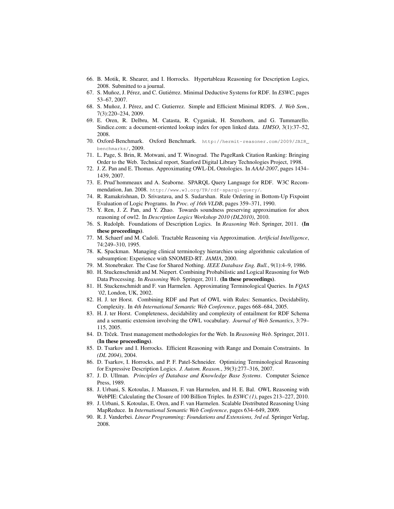- 66. B. Motik, R. Shearer, and I. Horrocks. Hypertableau Reasoning for Description Logics, 2008. Submitted to a journal.
- 67. S. Muñoz, J. Pérez, and C. Gutiérrez. Minimal Deductive Systems for RDF. In *ESWC*, pages 53–67, 2007.
- 68. S. Muñoz, J. Pérez, and C. Gutierrez. Simple and Efficient Minimal RDFS. J. Web Sem., 7(3):220–234, 2009.
- 69. E. Oren, R. Delbru, M. Catasta, R. Cyganiak, H. Stenzhorn, and G. Tummarello. Sindice.com: a document-oriented lookup index for open linked data. *IJMSO*, 3(1):37–52, 2008.
- 70. Oxford-Benchmark. Oxford Benchmark. http://hermit-reasoner.com/2009/JAIR\_ benchmarks/, 2009.
- 71. L. Page, S. Brin, R. Motwani, and T. Winograd. The PageRank Citation Ranking: Bringing Order to the Web. Technical report, Stanford Digital Library Technologies Project, 1998.
- 72. J. Z. Pan and E. Thomas. Approximating OWL-DL Ontologies. In *AAAI-2007*, pages 1434– 1439, 2007.
- 73. E. Prud'hommeaux and A. Seaborne. SPARQL Query Language for RDF. W3C Recommendation, Jan. 2008. http://www.w3.org/TR/rdf-sparql-query/.
- 74. R. Ramakrishnan, D. Srivastava, and S. Sudarshan. Rule Ordering in Bottom-Up Fixpoint Evaluation of Logic Programs. In *Proc. of 16th VLDB*, pages 359–371, 1990.
- 75. Y. Ren, J. Z. Pan, and Y. Zhao. Towards soundness preserving approximation for abox reasoning of owl2. In *Description Logics Workshop 2010 (DL2010)*, 2010.
- 76. S. Rudolph. Foundations of Description Logics. In *Reasoning Web*. Springer, 2011. (In these proceedings).
- 77. M. Schaerf and M. Cadoli. Tractable Reasoning via Approximation. *Artificial Intelligence*, 74:249–310, 1995.
- 78. K. Spackman. Managing clinical terminology hierarchies using algorithmic calculation of subsumption: Experience with SNOMED-RT. *JAMIA*, 2000.
- 79. M. Stonebraker. The Case for Shared Nothing. *IEEE Database Eng. Bull.*, 9(1):4–9, 1986.
- 80. H. Stuckenschmidt and M. Niepert. Combining Probabilistic and Logical Reasoning for Web Data Processing. In *Reasoning Web*. Springer, 2011. (In these proceedings).
- 81. H. Stuckenschmidt and F. van Harmelen. Approximating Terminological Queries. In *FQAS '02*, London, UK, 2002.
- 82. H. J. ter Horst. Combining RDF and Part of OWL with Rules: Semantics, Decidability, Complexity. In *4th International Semantic Web Conference*, pages 668–684, 2005.
- 83. H. J. ter Horst. Completeness, decidability and complexity of entailment for RDF Schema and a semantic extension involving the OWL vocabulary. *Journal of Web Semantics*, 3:79– 115, 2005.
- 84. D. Trček. Trust management methodologies for the Web. In *Reasoning Web*. Springer, 2011. (In these proceedings).
- 85. D. Tsarkov and I. Horrocks. Efficient Reasoning with Range and Domain Constraints. In *(DL 2004)*, 2004.
- 86. D. Tsarkov, I. Horrocks, and P. F. Patel-Schneider. Optimizing Terminological Reasoning for Expressive Description Logics. *J. Autom. Reason.*, 39(3):277–316, 2007.
- 87. J. D. Ullman. *Principles of Database and Knowledge Base Systems*. Computer Science Press, 1989.
- 88. J. Urbani, S. Kotoulas, J. Maassen, F. van Harmelen, and H. E. Bal. OWL Reasoning with WebPIE: Calculating the Closure of 100 Billion Triples. In *ESWC (1)*, pages 213–227, 2010.
- 89. J. Urbani, S. Kotoulas, E. Oren, and F. van Harmelen. Scalable Distributed Reasoning Using MapReduce. In *International Semantic Web Conference*, pages 634–649, 2009.
- 90. R. J. Vanderbei. *Linear Programming: Foundations and Extensions, 3rd ed.* Springer Verlag, 2008.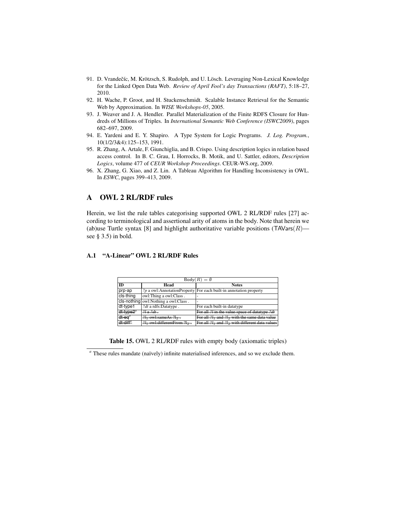- 91. D. Vrandečíc, M. Krötzsch, S. Rudolph, and U. Lösch. Leveraging Non-Lexical Knowledge for the Linked Open Data Web. *Review of April Fool's day Transactions (RAFT)*, 5:18–27, 2010.
- 92. H. Wache, P. Groot, and H. Stuckenschmidt. Scalable Instance Retrieval for the Semantic Web by Approximation. In *WISE Workshops-05*, 2005.
- 93. J. Weaver and J. A. Hendler. Parallel Materialization of the Finite RDFS Closure for Hundreds of Millions of Triples. In *International Semantic Web Conference (ISWC2009)*, pages 682–697, 2009.
- 94. E. Yardeni and E. Y. Shapiro. A Type System for Logic Programs. *J. Log. Program.*, 10(1/2/3&4):125–153, 1991.
- 95. R. Zhang, A. Artale, F. Giunchiglia, and B. Crispo. Using description logics in relation based access control. In B. C. Grau, I. Horrocks, B. Motik, and U. Sattler, editors, *Description Logics*, volume 477 of *CEUR Workshop Proceedings*. CEUR-WS.org, 2009.
- 96. X. Zhang, G. Xiao, and Z. Lin. A Tableau Algorithm for Handling Inconsistency in OWL. In *ESWC*, pages 399–413, 2009.

## A OWL 2 RL/RDF rules

Herein, we list the rule tables categorising supported OWL 2 RL/RDF rules [27] according to terminological and assertional arity of atoms in the body. Note that herein we (ab)use Turtle syntax [8] and highlight authoritative variable positions (TAVars $(R)$  see § 3.5) in bold.

### A.1 "A-Linear" OWL 2 RL/RDF Rules

| $Body(R) = \emptyset$   |                                          |                                                                           |  |  |
|-------------------------|------------------------------------------|---------------------------------------------------------------------------|--|--|
| ID                      | Head                                     | <b>Notes</b>                                                              |  |  |
| prp-ap                  |                                          | ?p a owl:AnnotationProperty For each built-in annotation property         |  |  |
| cls-thing               | owl:Thing a owl:Class.                   |                                                                           |  |  |
|                         | cls-nothing   owl: Nothing a owl: Class. |                                                                           |  |  |
| dt-type1                | ?dt a rdfs:Datatype.                     | For each built-in datatype                                                |  |  |
| $dt$ -type $2^a$        | $\frac{2l}{2}a^2dt$ .                    | For all ?! in the value-space of datatype ? dt                            |  |  |
| $dt - e\mathbf{e}^a$    | $-2l$ owl:sameAs $2l$                    | For all $2l_1$ and $2l_2$ with the same data value                        |  |  |
| $dt$ -diff <sup>a</sup> | $-21$ owl:differentFrom $-21$            | For all ? <i>l</i> and ? <i>l</i> <sub>2</sub> with different data values |  |  |

Table 15. OWL 2 RL/RDF rules with empty body (axiomatic triples)

<sup>&</sup>lt;sup>a</sup> These rules mandate (naïvely) infinite materialised inferences, and so we exclude them.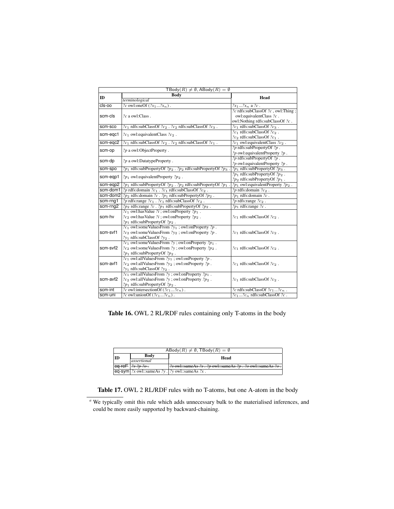|            | $\mathsf{TBody}(R) \neq \emptyset, \mathsf{ABody}(R) = \emptyset$                                         |                                                      |  |  |  |
|------------|-----------------------------------------------------------------------------------------------------------|------------------------------------------------------|--|--|--|
| ID         | <b>Body</b>                                                                                               | Head                                                 |  |  |  |
|            | terminological                                                                                            |                                                      |  |  |  |
| cls-oo     | ?c owl:oneOf $(2x_12x_n)$ .                                                                               | $2x_12x_n$ a $2c$ .                                  |  |  |  |
|            |                                                                                                           | ?c rdfs:subClassOf ?c, owl:Thing;                    |  |  |  |
| scm-cls    | $?c$ a owl: Class.                                                                                        | owl:equivalentClass ?c.                              |  |  |  |
|            |                                                                                                           | owl:Nothing rdfs:subClassOf ?c.                      |  |  |  |
| scm-sco    | $2c_1$ rdfs:subClassOf $2c_2$ . $2c_2$ rdfs:subClassOf $2c_3$ .                                           | $2c_1$ rdfs:subClassOf $2c_3$ .                      |  |  |  |
| scm-egc1   | $2c_1$ owl: equivalent Class $2c_2$ .                                                                     | $2c_1$ rdfs:subClassOf $2c_2$ .                      |  |  |  |
|            |                                                                                                           | $2c_2$ rdfs:subClassOf $2c_1$ .                      |  |  |  |
| scm-eqc2   | $2c_1$ rdfs:subClassOf $2c_2$ . $2c_2$ rdfs:subClassOf $2c_1$ .                                           | $2c_1$ owl: equivalent Class $2c_2$ .                |  |  |  |
|            | ?p a owl:ObjectProperty.                                                                                  | ?p rdfs:subPropertyOf ?p.                            |  |  |  |
| scm-op     |                                                                                                           | ?p owl:equivalentProperty ?p.                        |  |  |  |
| scm-dp     |                                                                                                           | $?p$ rdfs:subPropertyOf $?p$ .                       |  |  |  |
|            | ?p a owl:DatatypeProperty.                                                                                | ?p owl:equivalentProperty ?p.                        |  |  |  |
| scm-spo    | $?p_1$ rdfs:subPropertyOf $?p_2$ . $?p_2$ rdfs:subPropertyOf $?p_3$ .                                     | $?p_1$ rdfs:subPropertyOf $?p_3$ .                   |  |  |  |
|            |                                                                                                           | $?p_1$ rdfs:subPropertyOf $?p_2$ .                   |  |  |  |
| scm-eqp1   | $?p_1$ owl: equivalent Property $?p_2$ .                                                                  | $2p_2$ rdfs:subPropertyOf $2p_1$ .                   |  |  |  |
| scm-eqp2   | ?p <sub>1</sub> rdfs:subPropertyOf ?p <sub>2</sub> . ?p <sub>2</sub> rdfs:subPropertyOf ?p <sub>1</sub> . | $?p_1$ owl: equivalent Property $?p_2$ .             |  |  |  |
| scm-dom1   | ?p rdfs:domain ?c <sub>1</sub> . ?c <sub>1</sub> rdfs:subClassOf ?c <sub>2</sub> .                        | ?p rdfs:domain ?c <sub>2</sub> .                     |  |  |  |
| scm-dom2   | $?p_2$ rdfs:domain $?c$ . $?p_1$ rdfs:subPropertyOf $?p_2$ .                                              | $?p_1$ rdfs: domain $?c$ .                           |  |  |  |
| $scm-rng1$ | ?p rdfs:range ?c <sub>1</sub> . ?c <sub>1</sub> rdfs:subClassOf ?c <sub>2</sub> .                         | ?p rdfs:range ?c <sub>2</sub> .                      |  |  |  |
| scm-rnq2   | $?p_2$ rdfs:range $?c$ . $?p_1$ rdfs:subPropertyOf $?p_2$ .                                               | $?p_1$ rdfs:range $?c$ .                             |  |  |  |
|            | $2c_1$ owl:has Value $2i$ ; owl:on Property $2p_1$ .                                                      |                                                      |  |  |  |
| scm-hv     | $2c_2$ owl:has Value $2i$ ; owl:on Property $2p_2$ .                                                      | $2c_1$ rdfs:subClassOf $2c_2$ .                      |  |  |  |
|            | $?p_1$ rdfs:subPropertyOf $?p_2$ .                                                                        |                                                      |  |  |  |
|            | $2c_1$ owl:someValuesFrom $2y_1$ ; owl:onProperty $2p$ .                                                  |                                                      |  |  |  |
| scm-svf1   | $2c_2$ owl:someValuesFrom $2y_2$ ; owl:onProperty $2p$ .                                                  | $2c_1$ rdfs:subClassOf $2c_2$ .                      |  |  |  |
|            | $2y_1$ rdfs:subClassOf $2y_2$ .                                                                           |                                                      |  |  |  |
|            | $?c_1$ owl:someValuesFrom ?y; owl:onProperty ?p <sub>1</sub> .                                            |                                                      |  |  |  |
| scm-svf2   | $2c_2$ owl:someValuesFrom $2y$ ; owl:onProperty $2p_2$ .                                                  | $2c_1$ rdfs:subClassOf $2c_2$ .                      |  |  |  |
|            | $?p_1$ rdfs:subPropertyOf $?p_2$ .                                                                        |                                                      |  |  |  |
|            | $?c_1$ owl:allValuesFrom $?y_1$ ; owl:onProperty $?p$ .                                                   |                                                      |  |  |  |
| scm-avf1   | $?c_2$ owl:allValuesFrom $?y_2$ ; owl:onProperty $?p$ .                                                   | $2c_1$ rdfs:subClassOf $2c_2$ .                      |  |  |  |
|            | $2y_1$ rdfs:subClassOf $2y_2$ .                                                                           |                                                      |  |  |  |
|            | $2c_1$ owl:allValuesFrom $2y$ ; owl:onProperty $2p_1$ .                                                   |                                                      |  |  |  |
| scm-avf2   | $2c_2$ owl:allValuesFrom $2y$ ; owl:onProperty $2p_2$ .                                                   | $2c_1$ rdfs:subClassOf $2c_2$ .                      |  |  |  |
|            | $?p_1$ rdfs:subPropertyOf $?p_2$ .                                                                        |                                                      |  |  |  |
| scm-int    | ?c owl:intersectionOf $(2c_12c_n)$ .                                                                      | ?c rdfs:subClassOf ?c <sub>1</sub> ?c <sub>n</sub> . |  |  |  |
| scm-uni    | ?c owl:unionOf $(2c_12c_n)$ .                                                                             | $?c_1?c_n$ rdfs:subClassOf $?c$ .                    |  |  |  |

Table 16. OWL 2 RL/RDF rules containing only T-atoms in the body

| $\overline{ABody(R)} \neq \emptyset$ , T $Body(R) = \emptyset$ |                                                    |                                                                                                                           |
|----------------------------------------------------------------|----------------------------------------------------|---------------------------------------------------------------------------------------------------------------------------|
| $\mathbf{ID}$                                                  | Body                                               | Head                                                                                                                      |
|                                                                | assertional                                        |                                                                                                                           |
|                                                                | eq-ref <sup>a</sup> $\frac{2s}{b}$ $\frac{2p}{c}$  | $\frac{2}{5}$ owl::sameAs $\frac{2}{5}$ $\frac{2}{7}$ owl::sameAs $\frac{2}{7}$ $\frac{2}{7}$ owl::sameAs $\frac{2}{7}$ . |
|                                                                | eq-sym   ?x owl::sameAs ?y .   ?y owl::sameAs ?x . |                                                                                                                           |

Table 17. OWL 2 RL/RDF rules with no T-atoms, but one A-atom in the body

*<sup>a</sup>* We typically omit this rule which adds unnecessary bulk to the materialised inferences, and could be more easily supported by backward-chaining.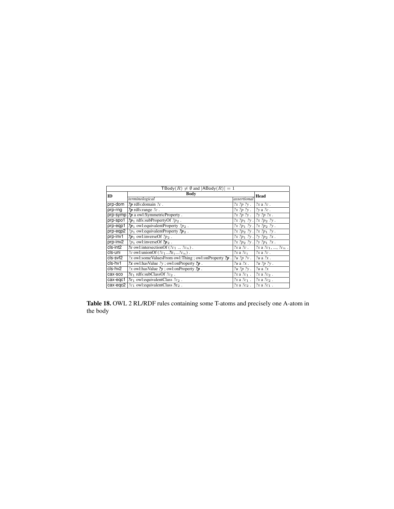| $TBody(R) \neq \emptyset$ and $ {\sf ABody}(R)  = 1$ |                                                                                           |                     |                                   |
|------------------------------------------------------|-------------------------------------------------------------------------------------------|---------------------|-----------------------------------|
| ID                                                   | Body                                                                                      |                     | Head                              |
|                                                      | terminological                                                                            | assertional         |                                   |
| prp-dom                                              | 2p rdfs: domain $2c$ .                                                                    | ?x ?p ?y.           | $2x a 2c$ .                       |
| prp-rng                                              | $2p$ rdfs: range $2c$ .                                                                   | ?x ?p ?y.           | $2v a 2c$ .                       |
|                                                      | $prp\text{-symp}$ ?p a owl:Symmetric Property.                                            | ?x ?p ?y. 2y ?p ?x. |                                   |
| prp-spo1                                             | $ 2p_1 $ rdfs:subPropertyOf $2p_2$ .                                                      |                     | $2x 2p_1 2y 2x 2p_2 2y$ .         |
| prp-eqp1                                             | $ 2p_1$ owl: equivalent Property $2p_2$ .                                                 |                     | $2x 2p_1 2y$ . $2x 2p_2 2y$ .     |
| $prp$ -eqp2 $ $                                      | $2p_1$ owl: equivalent Property $2p_2$ .                                                  |                     | $2x 2p_2 2y 2x 2p_1 2y$ .         |
| prp-inv1                                             | $\sqrt{2p_1}$ owl:inverseOf $\sqrt[2]{2p_2}$ .                                            |                     | $2x 2p_1 2y 2y 2p_2 2x$ .         |
| prp-inv2                                             | $\frac{2p_1}{p_2}$ owl:inverseOf $\frac{2p_2}{p_2}$ .                                     |                     | $?x ?p_2 ?y . 2y ?p_1 ?x .$       |
| cls-int2                                             | <i>Pc</i> owl:intersectionOf $(2c_1  2c_n)$ .                                             | $2x a 2c$ .         | $\sqrt{2x}$ a $2c_1$ , , $2c_n$ . |
| cls-uni                                              | ?c owl:unionOf $(2c_12c_i2c_n)$ .                                                         | $2x$ a $2c_i$       | $2x a 2c$ .                       |
| cls-svf2                                             | ?x owl:someValuesFrom owl:Thing ; owl:onProperty ?p.                                      | $2u 2p 2v$ .        | $2u$ a $2x$ .                     |
| cls-hv1                                              | ?x owl:has Value ?y ; owl:on Property ?p.                                                 | $2u$ a $2x$ .       | $2u 2p 2y$ .                      |
| cls-hv2                                              | ?x owl:has Value ?y; owl:on Property ?p.                                                  | $2u 2p 2y$ .        | $2u$ a $2x$                       |
| cax-sco                                              | $2c_1$ rdfs:subClassOf $2c_2$ .                                                           | $?x$ a $?c_1$ .     | $2x$ a $2c_2$ .                   |
| cax-eqc1                                             | $ 2c_1$ owl: equivalent Class $2c_2$ .                                                    | $2x$ a $2c_1$ .     | $2x a 2c_2$ .                     |
|                                                      | cax-eqc2   $2c_1$ owl: equivalent Class $2c_2$ .<br>$\overline{?x}$ a $\overline{?c_2}$ . |                     | $2x a 2c1$ .                      |

Table 18. OWL 2 RL/RDF rules containing some T-atoms and precisely one A-atom in the body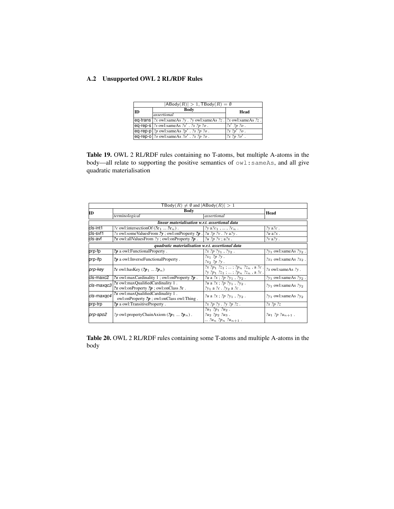## A.2 Unsupported OWL 2 RL/RDF Rules

| $ {\sf ABody}(R)  > 1$ , TBody $(R) = \emptyset$ |                                                                       |                           |
|--------------------------------------------------|-----------------------------------------------------------------------|---------------------------|
| ID                                               | Body                                                                  | Head                      |
|                                                  | assertional                                                           |                           |
|                                                  | eq-trans   ?x owl:sameAs ?y . ?y owl:sameAs ?z .   ?x owl:sameAs ?z . |                           |
|                                                  | eq-rep-s   ?s owl:same As ?s' . ?s ?p ?o.                             | $2s'$ $2p$ $2o$ .         |
|                                                  | eq-rep-p ?p owl:sameAs ?p' . ?s ?p ?o.                                | $2s$ $2p'$ $2o$ .         |
|                                                  | eq-rep-o   ?o owl:sameAs ?o' . ?s ?p ?o.                              | $2s \cdot 2p \cdot 2o'$ . |

Table 19. OWL 2 RL/RDF rules containing no T-atoms, but multiple A-atoms in the body—all relate to supporting the positive semantics of  $\text{owl:sameAs}$ , and all give quadratic materialisation

| $TBody(R) \neq \emptyset$ and $ {\sf ABody}(R)  > 1$ |                                                                    |                                       |                            |  |
|------------------------------------------------------|--------------------------------------------------------------------|---------------------------------------|----------------------------|--|
| ID                                                   | Body                                                               |                                       | Head                       |  |
|                                                      | terminological                                                     | assertional                           |                            |  |
| linear materialisation w.r.t. assertional data       |                                                                    |                                       |                            |  |
| cls-int1                                             | ?c owl:intersectionOf $(2c_1  2c_n)$ .                             | $?y a?c_1, , ?c_n$ .                  | $2v$ a $2c$ .              |  |
| cls-svf1                                             | ?x owl:someValuesFrom ?y ; owl:onProperty ?p.   ?u ?p ?v . ?v a?y. |                                       | $2u$ a $2x$ .              |  |
| cls-avf                                              | 2x owl:allValuesFrom ?y; owl:onProperty ?p.                        | ?u ?p ?v : a?x.                       | ?v a?y.                    |  |
|                                                      | quadratic materialisation w.r.t. assertional data                  |                                       |                            |  |
| prp-fp                                               | $?p$ a owl: Functional Property.                                   | $?x ?p ?y_1, ?y_2.$                   | $2y_1$ owl:sameAs $2y_2$ . |  |
| prp-ifp                                              | $?p$ a owl:InverseFunctionalProperty.                              | $2x_1 2p 2y$ .                        | $2x_1$ owl:sameAs $2x_2$ . |  |
|                                                      |                                                                    | $2x_2 2p 2y$ .                        |                            |  |
| prp-key                                              | ?c owl:hasKey $(2p_1  2p_n)$                                       | $?x ?p_1 ?z_1 ;  ; ?p_n ?z_n , a ?c.$ | $?x$ owl:sameAs $?y$ .     |  |
|                                                      |                                                                    | $?y ?p_1 ?z_1 ;  ; ?p_n ?z_n , a ?c.$ |                            |  |
| cls-maxc2                                            | ?x owl:maxCardinality 1 ; owl:onProperty ?p.                       | $2u$ a $2x$ ; $2p$ $2y_1$ , $2y_2$ .  | $2y_1$ owl:sameAs $2y_2$ . |  |
| cls-maxgc3                                           | 2x owl:maxQualifiedCardinality 1.                                  | $2u$ a $2x$ ; $2p$ $2y_1$ , $2y_2$ .  |                            |  |
|                                                      | ?x owl:onProperty ?p; owl:onClass ?c.                              | $?y_1$ a $?c$ . $?y_2$ a $?c$ .       | $2y_1$ owl:sameAs $2y_2$   |  |
| cls-maxgc4                                           | 2x owl:maxQualifiedCardinality 1.                                  | $2u$ a $2x$ ; $2p$ $2y_1$ , $2y_2$ .  | $2y_1$ owl:sameAs $2y_2$   |  |
|                                                      | owl:onProperty $?p$ ; owl:onClass owl:Thing.                       |                                       |                            |  |
| prp-trp                                              | $?p$ a owl:TransitiveProperty.                                     | ?x ?p ?y . ?y ?p ?z.                  | ?x ?p ?z                   |  |
| prp-spo2                                             |                                                                    | $2u_1 2p_1 2u_2$ .                    |                            |  |
|                                                      | ?p owl:propertyChainAxiom $(2p_1  2p_n)$ .                         | $2u_2$ $2p_2$ $2u_3$ .                | $2u_1$ $2p$ $2u_{n+1}$ .   |  |
|                                                      |                                                                    | $2u_n 2p_n 2u_{n+1}$ .                |                            |  |

Table 20. OWL 2 RL/RDF rules containing some T-atoms and multiple A-atoms in the body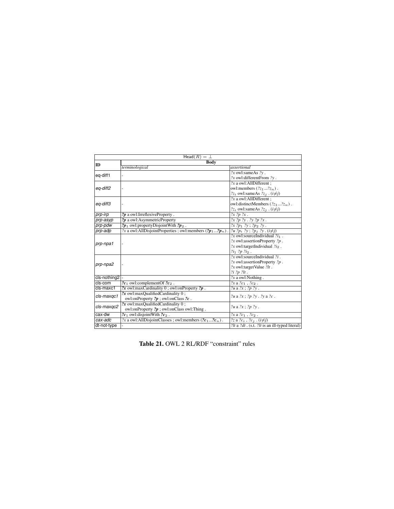| $Head(R) = \perp$ |                                                             |                                                                             |  |
|-------------------|-------------------------------------------------------------|-----------------------------------------------------------------------------|--|
| ID                | <b>Body</b>                                                 |                                                                             |  |
|                   | terminological                                              | assertional                                                                 |  |
| eg-diff1          |                                                             | $?x$ owl:sameAs $?y$ .                                                      |  |
|                   |                                                             | $?x$ owl:differentFrom $?y$ .                                               |  |
|                   |                                                             | $?x$ a owl:AllDifferent :                                                   |  |
| eq-diff2          |                                                             | owl:members $(2z_12z_n)$ .                                                  |  |
|                   |                                                             | $?z_i$ owl:sameAs $?z_i$ . $(i \neq j)$                                     |  |
|                   |                                                             | $?x$ a owl:AllDifferent;                                                    |  |
| eq-diff3          |                                                             | owl:distinctMembers $(2z_12z_n)$ .                                          |  |
|                   |                                                             | $2z_i$ owl:sameAs $2z_i$ . $(i \neq j)$                                     |  |
| prp-irp           | $?p$ a owl:IrreflexiveProperty.                             | $\overline{?x}\overline{?p}\overline{?x}$ .                                 |  |
| prp-asyp          | ?p a owl:AsymmetricProperty                                 | ?x ?p ?y . ?y ?p ?x.                                                        |  |
| prp-pdw           | $2p_1$ owl: property Disjoint With $2p_2$ .                 | $?x ?p_1 ?y ; ?p_2 ?y.$                                                     |  |
| prp-adp           | ?x a owl:AllDisjointProperties ; owl:members $(2p_12p_n)$ . | $2u 2p_i 2y$ ; $2p_j 2y$ . $(i \neq j)$                                     |  |
|                   |                                                             | ?x owl:sourceIndividual $2i_1$ .                                            |  |
| prp-npa1          |                                                             | ?x owl:assertionProperty ?p.                                                |  |
|                   |                                                             | ?x owl:targetIndividual $2i_2$ .                                            |  |
|                   |                                                             | $2i_1$ $2p$ $2i_2$ .                                                        |  |
|                   |                                                             | $2x$ owl:sourceIndividual $2i$ .                                            |  |
| prp-npa2          |                                                             | ?x owl:assertionProperty ?p.                                                |  |
|                   |                                                             | $?x$ owl:targetValue $?lt$ .                                                |  |
|                   |                                                             | $2i$ $2p$ $2lt$ .                                                           |  |
| cls-nothing2.     |                                                             | $?x$ a owl: Nothing.                                                        |  |
| cls-com           | $2c_1$ owl:complementOf $2c_2$ .                            | $2x a 2c_1$ , $2c_2$ .                                                      |  |
| cls-maxc1         | ?x owl:maxCardinality 0; owl:onProperty ?p.                 | $2u$ a $2x$ ; $2p$ $2y$ .                                                   |  |
| cls-maxgc1        | ?x owl:maxQualifiedCardinality 0;                           | ? <i>u</i> a ? <i>x</i> ; ? <i>p</i> ? <i>y</i> . ? <i>y</i> a ? <i>c</i> . |  |
|                   | owl:onProperty $?p$ ; owl:onClass $?c$ .                    |                                                                             |  |
| cls-maxgc2        | ?x owl:maxQualifiedCardinality 0;                           | $2u$ a $2x: 2p 2y$ .                                                        |  |
|                   | owl:onProperty $2p$ ; owl:onClass owl:Thing.                |                                                                             |  |
| cax-dw            | $2c_1$ owl:disjoint With $2c_2$ .                           | $?x a ?c_1 . ?c_2 .$                                                        |  |
| cax-adc           | ?x a owl:AllDisjointClasses; owl:members $(2c_12c_n)$ .     | ?z a ?c <sub>i</sub> , ?c <sub>i</sub> . $(i \neq j)$                       |  |
| dt-not-type       |                                                             | ? <i>lt</i> a ? <i>dt</i> . (s.t. ? <i>lt</i> is an ill-typed literal)      |  |

Table 21. OWL 2 RL/RDF "constraint" rules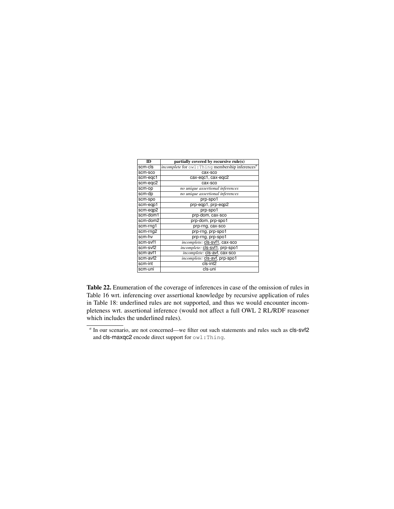| ID       | partially covered by recursive rule(s)                       |
|----------|--------------------------------------------------------------|
| scm-cls  | incomplete for owl: Thing membership inferences <sup>a</sup> |
| scm-sco  | cax-sco                                                      |
| scm-egc1 | cax-eqc1, cax-eqc2                                           |
| scm-eqc2 | cax-sco                                                      |
| scm-op   | no unique assertional inferences                             |
| scm-dp   | no unique assertional inferences                             |
| scm-spo  | prp-spo1                                                     |
| scm-eqp1 | prp-eqp1, prp-eqp2                                           |
| scm-eqp2 | prp-spo1                                                     |
| scm-dom1 | prp-dom, cax-sco                                             |
| scm-dom2 | prp-dom, prp-spo1                                            |
| scm-rng1 | prp-rng, cax-sco                                             |
| scm-rng2 | prp-rng, prp-spo1                                            |
| scm-hv   | prp-rng, prp-spo1                                            |
| scm-svf1 | incomplete: cls-svf1, cax-sco                                |
| scm-svf2 | incomplete: cls-svf1, prp-spo1                               |
| scm-avf1 | incomplete: cls-avf, cax-sco                                 |
| scm-avf2 | incomplete: cls-avf, prp-spo1                                |
| scm-int  | cls-int2                                                     |
| scm-uni  | cls-uni                                                      |

Table 22. Enumeration of the coverage of inferences in case of the omission of rules in Table 16 wrt. inferencing over assertional knowledge by recursive application of rules in Table 18: underlined rules are not supported, and thus we would encounter incompleteness wrt. assertional inference (would not affect a full OWL 2 RL/RDF reasoner which includes the underlined rules).

*a* In our scenario, are not concerned—we filter out such statements and rules such as cls-svf2 and cls-maxqc2 encode direct support for owl:Thing.